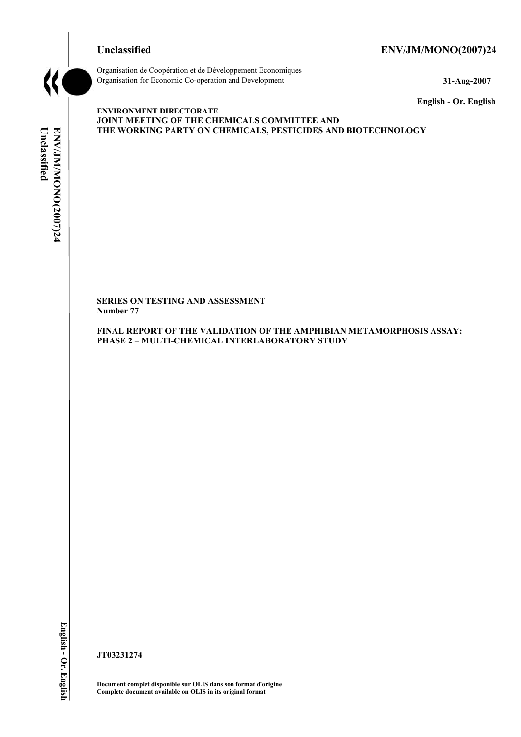# **Unclassified ENV/JM/MONO(2007)24**



Organisation de Coopération et de Développement Economiques Organisation for Economic Co-operation and Development **31-Aug-2007** 

**English - Or. English** 

# Unclassified ENV/JM/MONO(2007)24 **Unclassified ENV/JM/MONO(2007)24 English - Or. English**

**ENVIRONMENT DIRECTORATE JOINT MEETING OF THE CHEMICALS COMMITTEE AND THE WORKING PARTY ON CHEMICALS, PESTICIDES AND BIOTECHNOLOGY** 

**SERIES ON TESTING AND ASSESSMENT Number 77** 

**FINAL REPORT OF THE VALIDATION OF THE AMPHIBIAN METAMORPHOSIS ASSAY: PHASE 2 – MULTI-CHEMICAL INTERLABORATORY STUDY** 

**JT03231274** 

**Document complet disponible sur OLIS dans son format d'origine Complete document available on OLIS in its original format**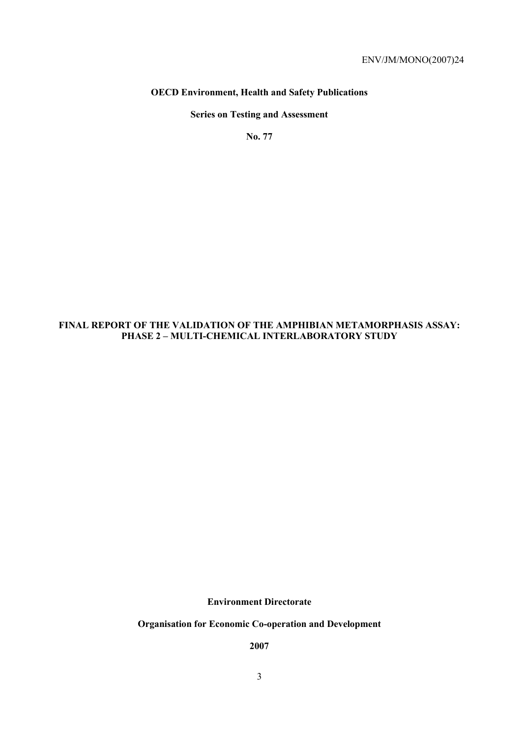# **OECD Environment, Health and Safety Publications**

**Series on Testing and Assessment** 

**No. 77** 

### **FINAL REPORT OF THE VALIDATION OF THE AMPHIBIAN METAMORPHASIS ASSAY: PHASE 2 – MULTI-CHEMICAL INTERLABORATORY STUDY**

**Environment Directorate** 

**Organisation for Economic Co-operation and Development** 

**2007**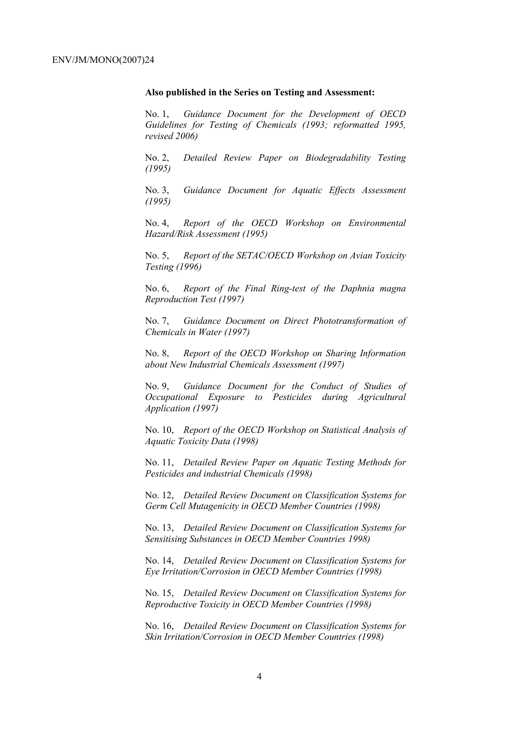#### **Also published in the Series on Testing and Assessment:**

No. 1, *Guidance Document for the Development of OECD Guidelines for Testing of Chemicals (1993; reformatted 1995, revised 2006)*

No. 2, *Detailed Review Paper on Biodegradability Testing (1995)*

No. 3, *Guidance Document for Aquatic Effects Assessment (1995)* 

No. 4, *Report of the OECD Workshop on Environmental Hazard/Risk Assessment (1995)*

No. 5, *Report of the SETAC/OECD Workshop on Avian Toxicity Testing (1996)*

No. 6, *Report of the Final Ring-test of the Daphnia magna Reproduction Test (1997)*

No. 7, *Guidance Document on Direct Phototransformation of Chemicals in Water (1997)* 

No. 8, *Report of the OECD Workshop on Sharing Information about New Industrial Chemicals Assessment (1997)*

No. 9, *Guidance Document for the Conduct of Studies of Occupational Exposure to Pesticides during Agricultural Application (1997)*

No. 10, *Report of the OECD Workshop on Statistical Analysis of Aquatic Toxicity Data (1998)*

No. 11, *Detailed Review Paper on Aquatic Testing Methods for Pesticides and industrial Chemicals (1998)*

No. 12, *Detailed Review Document on Classification Systems for Germ Cell Mutagenicity in OECD Member Countries (1998)*

No. 13, *Detailed Review Document on Classification Systems for Sensitising Substances in OECD Member Countries 1998)*

No. 14, *Detailed Review Document on Classification Systems for Eye Irritation/Corrosion in OECD Member Countries (1998)*

No. 15, *Detailed Review Document on Classification Systems for Reproductive Toxicity in OECD Member Countries (1998)*

No. 16, *Detailed Review Document on Classification Systems for Skin Irritation/Corrosion in OECD Member Countries (1998)*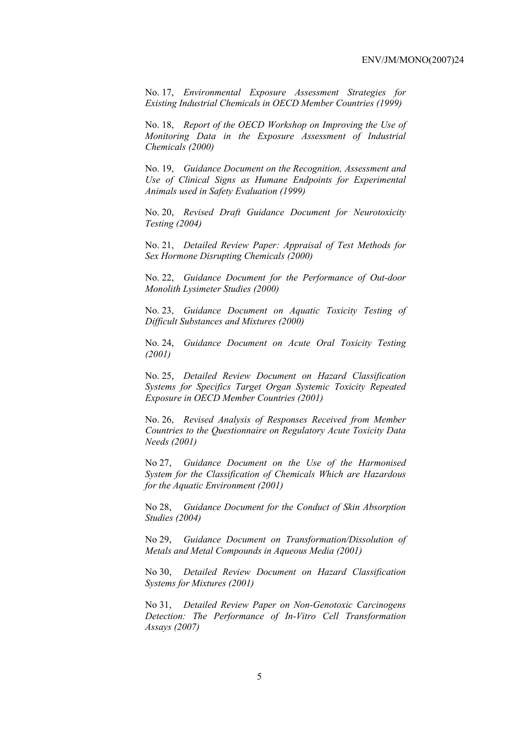No. 17, *Environmental Exposure Assessment Strategies for Existing Industrial Chemicals in OECD Member Countries (1999)*

No. 18, *Report of the OECD Workshop on Improving the Use of Monitoring Data in the Exposure Assessment of Industrial Chemicals (2000)*

No. 19, *Guidance Document on the Recognition, Assessment and Use of Clinical Signs as Humane Endpoints for Experimental Animals used in Safety Evaluation (1999)*

No. 20, *Revised Draft Guidance Document for Neurotoxicity Testing (2004)*

No. 21, *Detailed Review Paper: Appraisal of Test Methods for Sex Hormone Disrupting Chemicals (2000)*

No. 22, *Guidance Document for the Performance of Out-door Monolith Lysimeter Studies (2000)*

No. 23, *Guidance Document on Aquatic Toxicity Testing of Difficult Substances and Mixtures (2000)*

No. 24, *Guidance Document on Acute Oral Toxicity Testing (2001)*

No. 25, *Detailed Review Document on Hazard Classification Systems for Specifics Target Organ Systemic Toxicity Repeated Exposure in OECD Member Countries (2001)*

No. 26, *Revised Analysis of Responses Received from Member Countries to the Questionnaire on Regulatory Acute Toxicity Data Needs (2001)*

No 27, *Guidance Document on the Use of the Harmonised System for the Classification of Chemicals Which are Hazardous for the Aquatic Environment (2001)*

No 28, *Guidance Document for the Conduct of Skin Absorption Studies (2004)*

No 29, *Guidance Document on Transformation/Dissolution of Metals and Metal Compounds in Aqueous Media (2001)*

No 30, *Detailed Review Document on Hazard Classification Systems for Mixtures (2001)*

No 31, *Detailed Review Paper on Non-Genotoxic Carcinogens Detection: The Performance of In-Vitro Cell Transformation Assays (2007)*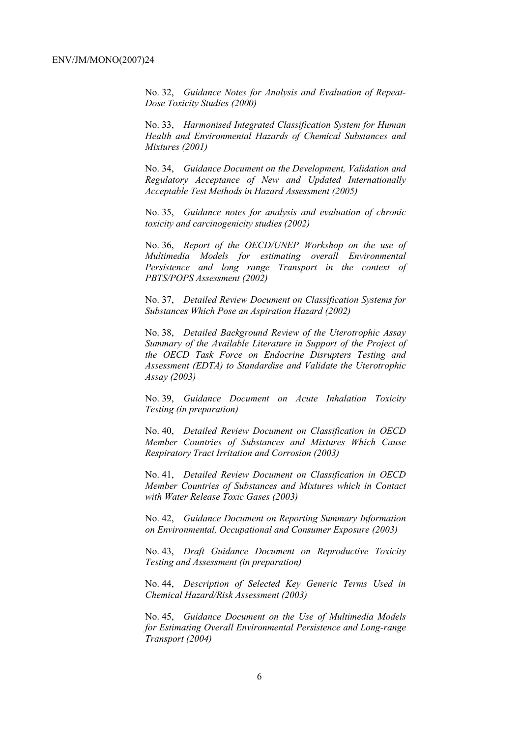No. 32, *Guidance Notes for Analysis and Evaluation of Repeat-Dose Toxicity Studies (2000)*

No. 33, *Harmonised Integrated Classification System for Human Health and Environmental Hazards of Chemical Substances and Mixtures (2001)*

No. 34, *Guidance Document on the Development, Validation and Regulatory Acceptance of New and Updated Internationally Acceptable Test Methods in Hazard Assessment (2005)*

No. 35, *Guidance notes for analysis and evaluation of chronic toxicity and carcinogenicity studies (2002)*

No. 36, *Report of the OECD/UNEP Workshop on the use of Multimedia Models for estimating overall Environmental Persistence and long range Transport in the context of PBTS/POPS Assessment (2002)*

No. 37, *Detailed Review Document on Classification Systems for Substances Which Pose an Aspiration Hazard (2002)*

No. 38, *Detailed Background Review of the Uterotrophic Assay Summary of the Available Literature in Support of the Project of the OECD Task Force on Endocrine Disrupters Testing and Assessment (EDTA) to Standardise and Validate the Uterotrophic Assay (2003)*

No. 39, *Guidance Document on Acute Inhalation Toxicity Testing (in preparation)*

No. 40, *Detailed Review Document on Classification in OECD Member Countries of Substances and Mixtures Which Cause Respiratory Tract Irritation and Corrosion (2003)*

No. 41, *Detailed Review Document on Classification in OECD Member Countries of Substances and Mixtures which in Contact with Water Release Toxic Gases (2003)*

No. 42, *Guidance Document on Reporting Summary Information on Environmental, Occupational and Consumer Exposure (2003)*

No. 43, *Draft Guidance Document on Reproductive Toxicity Testing and Assessment (in preparation)*

No. 44, *Description of Selected Key Generic Terms Used in Chemical Hazard/Risk Assessment (2003)* 

No. 45, *Guidance Document on the Use of Multimedia Models for Estimating Overall Environmental Persistence and Long-range Transport (2004)*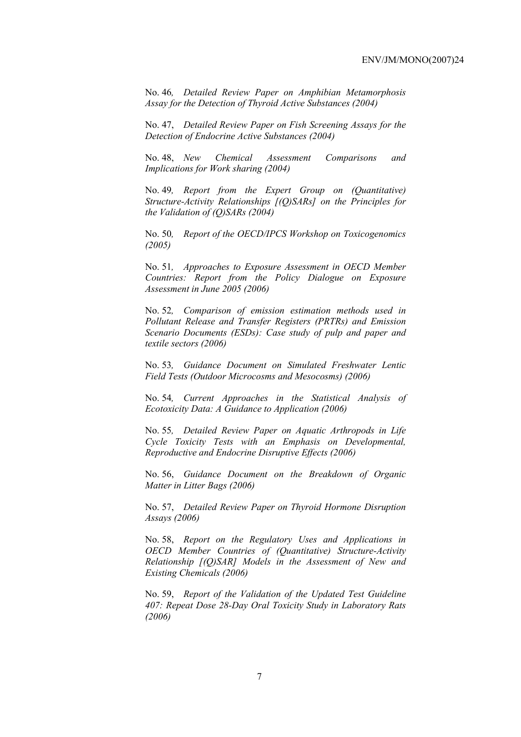No. 46*, Detailed Review Paper on Amphibian Metamorphosis Assay for the Detection of Thyroid Active Substances (2004)* 

No. 47, *Detailed Review Paper on Fish Screening Assays for the Detection of Endocrine Active Substances (2004)* 

No. 48, *New Chemical Assessment Comparisons and Implications for Work sharing (2004)* 

No. 49*, Report from the Expert Group on (Quantitative) Structure-Activity Relationships [(Q)SARs] on the Principles for the Validation of (Q)SARs (2004)* 

No. 50*, Report of the OECD/IPCS Workshop on Toxicogenomics (2005)* 

No. 51*, Approaches to Exposure Assessment in OECD Member Countries: Report from the Policy Dialogue on Exposure Assessment in June 2005 (2006)* 

No. 52*, Comparison of emission estimation methods used in Pollutant Release and Transfer Registers (PRTRs) and Emission Scenario Documents (ESDs): Case study of pulp and paper and textile sectors (2006)* 

No. 53*, Guidance Document on Simulated Freshwater Lentic Field Tests (Outdoor Microcosms and Mesocosms) (2006)* 

No. 54*, Current Approaches in the Statistical Analysis of Ecotoxicity Data: A Guidance to Application (2006)* 

No. 55*, Detailed Review Paper on Aquatic Arthropods in Life Cycle Toxicity Tests with an Emphasis on Developmental, Reproductive and Endocrine Disruptive Effects (2006)* 

No. 56, *Guidance Document on the Breakdown of Organic Matter in Litter Bags (2006)* 

No. 57, *Detailed Review Paper on Thyroid Hormone Disruption Assays (2006)* 

No. 58, *Report on the Regulatory Uses and Applications in OECD Member Countries of (Quantitative) Structure-Activity Relationship [(Q)SAR] Models in the Assessment of New and Existing Chemicals (2006)* 

No. 59, *Report of the Validation of the Updated Test Guideline 407: Repeat Dose 28-Day Oral Toxicity Study in Laboratory Rats (2006)*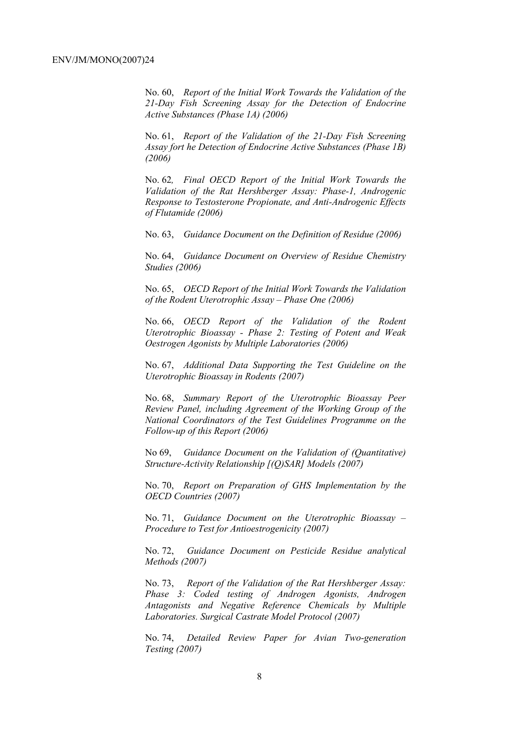No. 60, *Report of the Initial Work Towards the Validation of the 21-Day Fish Screening Assay for the Detection of Endocrine Active Substances (Phase 1A) (2006)* 

No. 61, *Report of the Validation of the 21-Day Fish Screening Assay fort he Detection of Endocrine Active Substances (Phase 1B) (2006)* 

No. 62*, Final OECD Report of the Initial Work Towards the Validation of the Rat Hershberger Assay: Phase-1, Androgenic Response to Testosterone Propionate, and Anti-Androgenic Effects of Flutamide (2006)* 

No. 63, *Guidance Document on the Definition of Residue (2006)* 

No. 64, *Guidance Document on Overview of Residue Chemistry Studies (2006)* 

No. 65, *OECD Report of the Initial Work Towards the Validation of the Rodent Uterotrophic Assay – Phase One (2006)* 

No. 66, *OECD Report of the Validation of the Rodent Uterotrophic Bioassay - Phase 2: Testing of Potent and Weak Oestrogen Agonists by Multiple Laboratories (2006)* 

No. 67, *Additional Data Supporting the Test Guideline on the Uterotrophic Bioassay in Rodents (2007)* 

No. 68, *Summary Report of the Uterotrophic Bioassay Peer Review Panel, including Agreement of the Working Group of the National Coordinators of the Test Guidelines Programme on the Follow-up of this Report (2006)*

No 69, *Guidance Document on the Validation of (Quantitative) Structure-Activity Relationship [(Q)SAR] Models (2007)* 

No. 70, *Report on Preparation of GHS Implementation by the OECD Countries (2007)* 

No. 71, *Guidance Document on the Uterotrophic Bioassay – Procedure to Test for Antioestrogenicity (2007)* 

No. 72, *Guidance Document on Pesticide Residue analytical Methods (2007)* 

No. 73, *Report of the Validation of the Rat Hershberger Assay: Phase 3: Coded testing of Androgen Agonists, Androgen Antagonists and Negative Reference Chemicals by Multiple Laboratories. Surgical Castrate Model Protocol (2007)* 

No. 74, *Detailed Review Paper for Avian Two-generation Testing (2007)*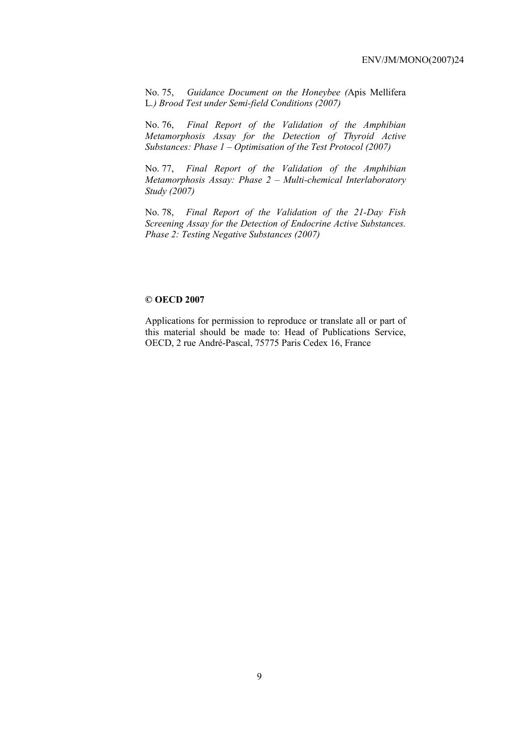No. 75, *Guidance Document on the Honeybee (*Apis Mellifera L*.) Brood Test under Semi-field Conditions (2007)* 

No. 76, *Final Report of the Validation of the Amphibian Metamorphosis Assay for the Detection of Thyroid Active Substances: Phase 1 – Optimisation of the Test Protocol (2007)* 

No. 77, *Final Report of the Validation of the Amphibian Metamorphosis Assay: Phase 2 – Multi-chemical Interlaboratory Study (2007)*

No. 78, *Final Report of the Validation of the 21-Day Fish Screening Assay for the Detection of Endocrine Active Substances. Phase 2: Testing Negative Substances (2007)* 

#### **© OECD 2007**

Applications for permission to reproduce or translate all or part of this material should be made to: Head of Publications Service, OECD, 2 rue André-Pascal, 75775 Paris Cedex 16, France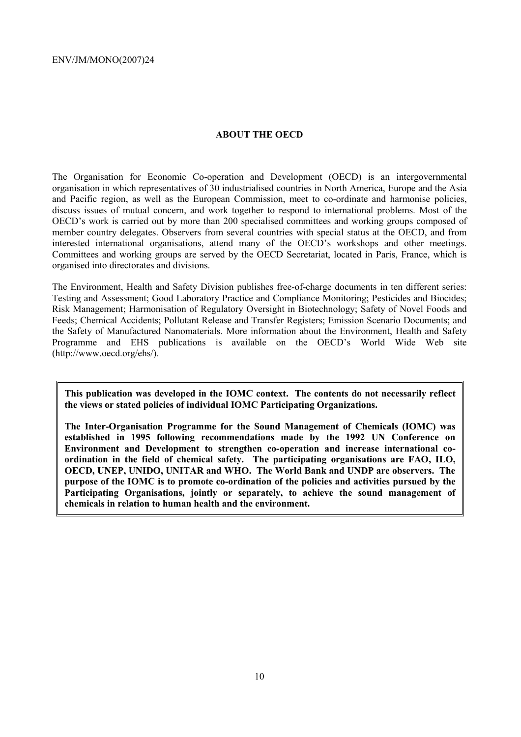#### **ABOUT THE OECD**

The Organisation for Economic Co-operation and Development (OECD) is an intergovernmental organisation in which representatives of 30 industrialised countries in North America, Europe and the Asia and Pacific region, as well as the European Commission, meet to co-ordinate and harmonise policies, discuss issues of mutual concern, and work together to respond to international problems. Most of the OECD's work is carried out by more than 200 specialised committees and working groups composed of member country delegates. Observers from several countries with special status at the OECD, and from interested international organisations, attend many of the OECD's workshops and other meetings. Committees and working groups are served by the OECD Secretariat, located in Paris, France, which is organised into directorates and divisions.

The Environment, Health and Safety Division publishes free-of-charge documents in ten different series: Testing and Assessment; Good Laboratory Practice and Compliance Monitoring; Pesticides and Biocides; Risk Management; Harmonisation of Regulatory Oversight in Biotechnology; Safety of Novel Foods and Feeds; Chemical Accidents; Pollutant Release and Transfer Registers; Emission Scenario Documents; and the Safety of Manufactured Nanomaterials. More information about the Environment, Health and Safety Programme and EHS publications is available on the OECD's World Wide Web site (http://www.oecd.org/ehs/).

**This publication was developed in the IOMC context. The contents do not necessarily reflect the views or stated policies of individual IOMC Participating Organizations.** 

**The Inter-Organisation Programme for the Sound Management of Chemicals (IOMC) was established in 1995 following recommendations made by the 1992 UN Conference on Environment and Development to strengthen co-operation and increase international coordination in the field of chemical safety. The participating organisations are FAO, ILO, OECD, UNEP, UNIDO, UNITAR and WHO. The World Bank and UNDP are observers. The purpose of the IOMC is to promote co-ordination of the policies and activities pursued by the Participating Organisations, jointly or separately, to achieve the sound management of chemicals in relation to human health and the environment.**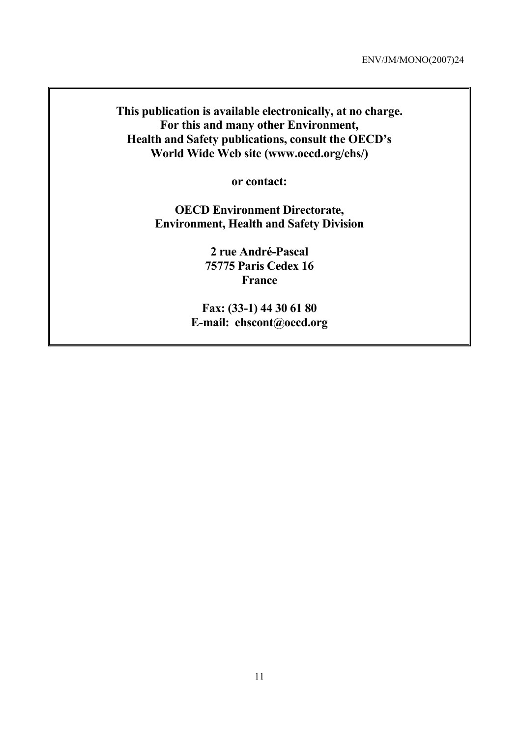**This publication is available electronically, at no charge. For this and many other Environment, Health and Safety publications, consult the OECD's World Wide Web site (www.oecd.org/ehs/)** 

**or contact:** 

**OECD Environment Directorate, Environment, Health and Safety Division** 

> **2 rue André-Pascal 75775 Paris Cedex 16 France**

**Fax: (33-1) 44 30 61 80 E-mail: ehscont@oecd.org**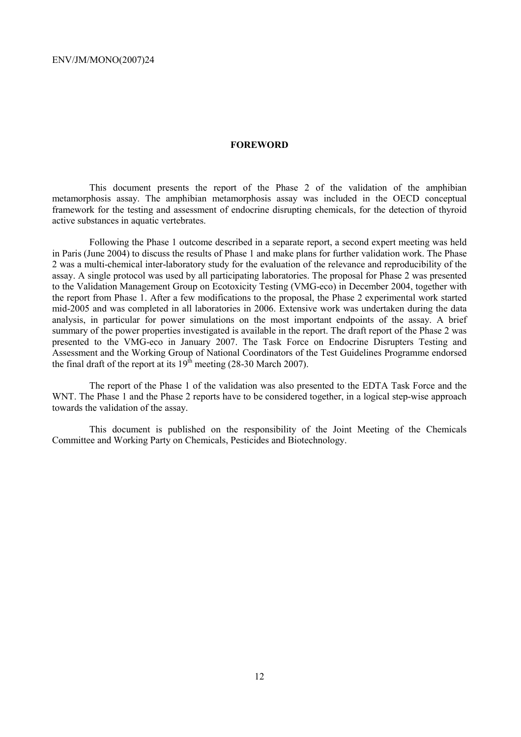#### **FOREWORD**

 This document presents the report of the Phase 2 of the validation of the amphibian metamorphosis assay. The amphibian metamorphosis assay was included in the OECD conceptual framework for the testing and assessment of endocrine disrupting chemicals, for the detection of thyroid active substances in aquatic vertebrates.

 Following the Phase 1 outcome described in a separate report, a second expert meeting was held in Paris (June 2004) to discuss the results of Phase 1 and make plans for further validation work. The Phase 2 was a multi-chemical inter-laboratory study for the evaluation of the relevance and reproducibility of the assay. A single protocol was used by all participating laboratories. The proposal for Phase 2 was presented to the Validation Management Group on Ecotoxicity Testing (VMG-eco) in December 2004, together with the report from Phase 1. After a few modifications to the proposal, the Phase 2 experimental work started mid-2005 and was completed in all laboratories in 2006. Extensive work was undertaken during the data analysis, in particular for power simulations on the most important endpoints of the assay. A brief summary of the power properties investigated is available in the report. The draft report of the Phase 2 was presented to the VMG-eco in January 2007. The Task Force on Endocrine Disrupters Testing and Assessment and the Working Group of National Coordinators of the Test Guidelines Programme endorsed the final draft of the report at its  $19<sup>th</sup>$  meeting (28-30 March 2007).

 The report of the Phase 1 of the validation was also presented to the EDTA Task Force and the WNT. The Phase 1 and the Phase 2 reports have to be considered together, in a logical step-wise approach towards the validation of the assay.

 This document is published on the responsibility of the Joint Meeting of the Chemicals Committee and Working Party on Chemicals, Pesticides and Biotechnology.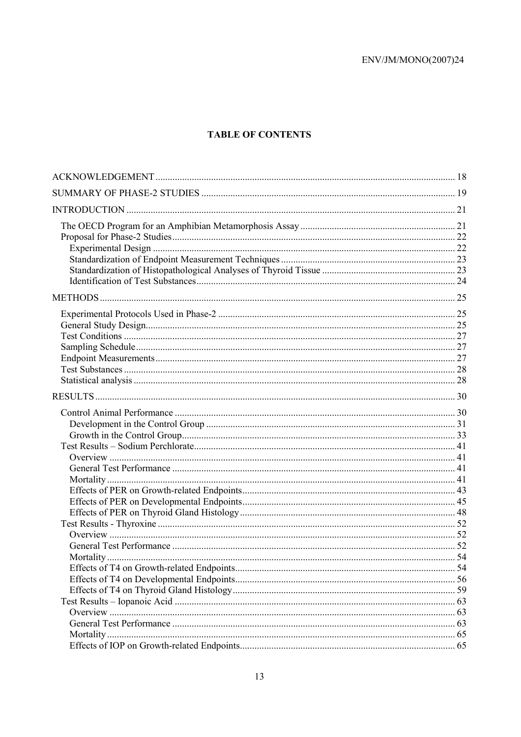# **TABLE OF CONTENTS**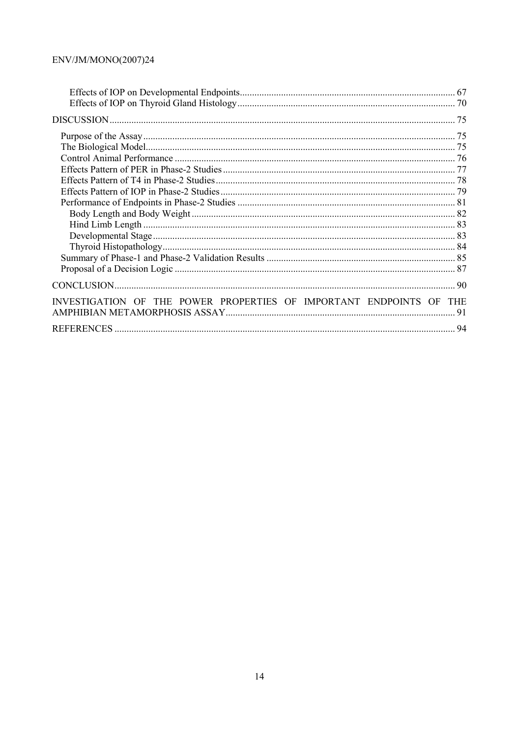| INVESTIGATION OF THE POWER PROPERTIES OF IMPORTANT ENDPOINTS OF THE |  |
|---------------------------------------------------------------------|--|
|                                                                     |  |
|                                                                     |  |
|                                                                     |  |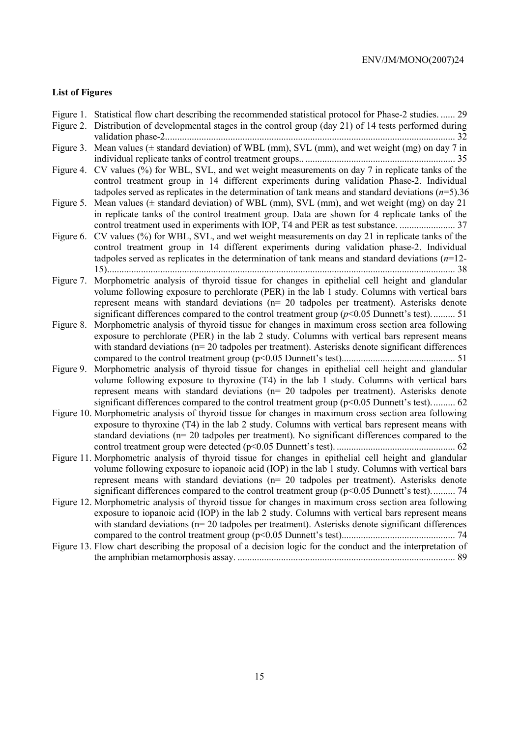#### **List of Figures**

| Figure 1. | Statistical flow chart describing the recommended statistical protocol for Phase-2 studies.  29                                                                                                                                                                                                                                                                                           |
|-----------|-------------------------------------------------------------------------------------------------------------------------------------------------------------------------------------------------------------------------------------------------------------------------------------------------------------------------------------------------------------------------------------------|
| Figure 2. | Distribution of developmental stages in the control group (day 21) of 14 tests performed during                                                                                                                                                                                                                                                                                           |
| Figure 3. | Mean values ( $\pm$ standard deviation) of WBL (mm), SVL (mm), and wet weight (mg) on day 7 in                                                                                                                                                                                                                                                                                            |
| Figure 4. | CV values (%) for WBL, SVL, and wet weight measurements on day 7 in replicate tanks of the<br>control treatment group in 14 different experiments during validation Phase-2. Individual<br>tadpoles served as replicates in the determination of tank means and standard deviations $(n=5)$ .36                                                                                           |
| Figure 5. | Mean values ( $\pm$ standard deviation) of WBL (mm), SVL (mm), and wet weight (mg) on day 21<br>in replicate tanks of the control treatment group. Data are shown for 4 replicate tanks of the<br>control treatment used in experiments with IOP, T4 and PER as test substance 37                                                                                                         |
| Figure 6. | CV values (%) for WBL, SVL, and wet weight measurements on day 21 in replicate tanks of the<br>control treatment group in 14 different experiments during validation phase-2. Individual<br>tadpoles served as replicates in the determination of tank means and standard deviations $(n=12-$                                                                                             |
| Figure 7. | Morphometric analysis of thyroid tissue for changes in epithelial cell height and glandular<br>volume following exposure to perchlorate (PER) in the lab 1 study. Columns with vertical bars<br>represent means with standard deviations (n= 20 tadpoles per treatment). Asterisks denote<br>significant differences compared to the control treatment group $(p<0.05$ Dunnett's test) 51 |
| Figure 8. | Morphometric analysis of thyroid tissue for changes in maximum cross section area following<br>exposure to perchlorate (PER) in the lab 2 study. Columns with vertical bars represent means<br>with standard deviations ( $n = 20$ tadpoles per treatment). Asterisks denote significant differences                                                                                      |

Figure 9. Morphometric analysis of thyroid tissue for changes in epithelial cell height and glandular volume following exposure to thyroxine (T4) in the lab 1 study. Columns with vertical bars represent means with standard deviations (n= 20 tadpoles per treatment). Asterisks denote significant differences compared to the control treatment group (p<0.05 Dunnett's test)........... 62

Figure 10. Morphometric analysis of thyroid tissue for changes in maximum cross section area following exposure to thyroxine (T4) in the lab 2 study. Columns with vertical bars represent means with standard deviations (n= 20 tadpoles per treatment). No significant differences compared to the control treatment group were detected (p<0.05 Dunnett's test). ................................................. 62

Figure 11. Morphometric analysis of thyroid tissue for changes in epithelial cell height and glandular volume following exposure to iopanoic acid (IOP) in the lab 1 study. Columns with vertical bars represent means with standard deviations (n= 20 tadpoles per treatment). Asterisks denote significant differences compared to the control treatment group (p<0.05 Dunnett's test)........... 74

Figure 12. Morphometric analysis of thyroid tissue for changes in maximum cross section area following exposure to iopanoic acid (IOP) in the lab 2 study. Columns with vertical bars represent means with standard deviations (n= 20 tadpoles per treatment). Asterisks denote significant differences compared to the control treatment group (p<0.05 Dunnett's test)............................................... 74

Figure 13. Flow chart describing the proposal of a decision logic for the conduct and the interpretation of the amphibian metamorphosis assay. .......................................................................................... 89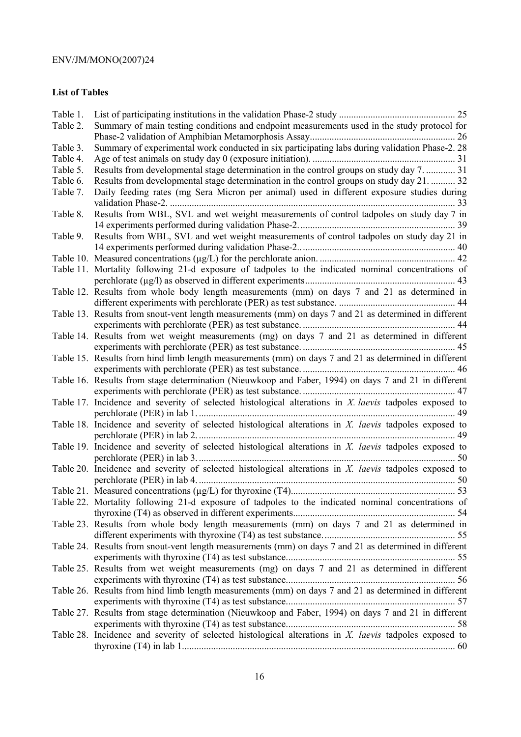# **List of Tables**

| Table 1. |                                                                                                           |
|----------|-----------------------------------------------------------------------------------------------------------|
| Table 2. | Summary of main testing conditions and endpoint measurements used in the study protocol for               |
|          |                                                                                                           |
| Table 3. | Summary of experimental work conducted in six participating labs during validation Phase-2. 28            |
| Table 4. |                                                                                                           |
| Table 5. | Results from developmental stage determination in the control groups on study day 7.  31                  |
| Table 6. | Results from developmental stage determination in the control groups on study day 21.  32                 |
| Table 7. | Daily feeding rates (mg Sera Micron per animal) used in different exposure studies during                 |
|          |                                                                                                           |
| Table 8. | Results from WBL, SVL and wet weight measurements of control tadpoles on study day 7 in                   |
|          |                                                                                                           |
| Table 9. | Results from WBL, SVL and wet weight measurements of control tadpoles on study day 21 in                  |
|          |                                                                                                           |
|          |                                                                                                           |
|          | Table 11. Mortality following 21-d exposure of tadpoles to the indicated nominal concentrations of        |
|          |                                                                                                           |
|          | Table 12. Results from whole body length measurements (mm) on days 7 and 21 as determined in              |
|          |                                                                                                           |
|          | Table 13. Results from snout-vent length measurements (mm) on days 7 and 21 as determined in different    |
|          |                                                                                                           |
|          | Table 14. Results from wet weight measurements (mg) on days 7 and 21 as determined in different           |
|          |                                                                                                           |
|          | Table 15. Results from hind limb length measurements (mm) on days 7 and 21 as determined in different     |
|          |                                                                                                           |
|          | Table 16. Results from stage determination (Nieuwkoop and Faber, 1994) on days 7 and 21 in different      |
|          |                                                                                                           |
|          | Table 17. Incidence and severity of selected histological alterations in $X$ . laevis tadpoles exposed to |
|          |                                                                                                           |
|          | Table 18. Incidence and severity of selected histological alterations in X. laevis tadpoles exposed to    |
|          |                                                                                                           |
|          | Table 19. Incidence and severity of selected histological alterations in X. laevis tadpoles exposed to    |
|          |                                                                                                           |
|          | Table 20. Incidence and severity of selected histological alterations in $X$ . laevis tadpoles exposed to |
|          |                                                                                                           |
|          |                                                                                                           |
|          | Table 22. Mortality following 21-d exposure of tadpoles to the indicated nominal concentrations of        |
|          |                                                                                                           |
|          | Table 23. Results from whole body length measurements (mm) on days 7 and 21 as determined in              |
|          |                                                                                                           |
|          | Table 24. Results from snout-vent length measurements (mm) on days 7 and 21 as determined in different    |
|          |                                                                                                           |
|          | Table 25. Results from wet weight measurements (mg) on days 7 and 21 as determined in different           |
|          |                                                                                                           |
|          | Table 26. Results from hind limb length measurements (mm) on days 7 and 21 as determined in different     |
|          |                                                                                                           |
|          | Table 27. Results from stage determination (Nieuwkoop and Faber, 1994) on days 7 and 21 in different      |
|          | Table 28. Incidence and severity of selected histological alterations in $X$ . laevis tadpoles exposed to |
|          |                                                                                                           |
|          |                                                                                                           |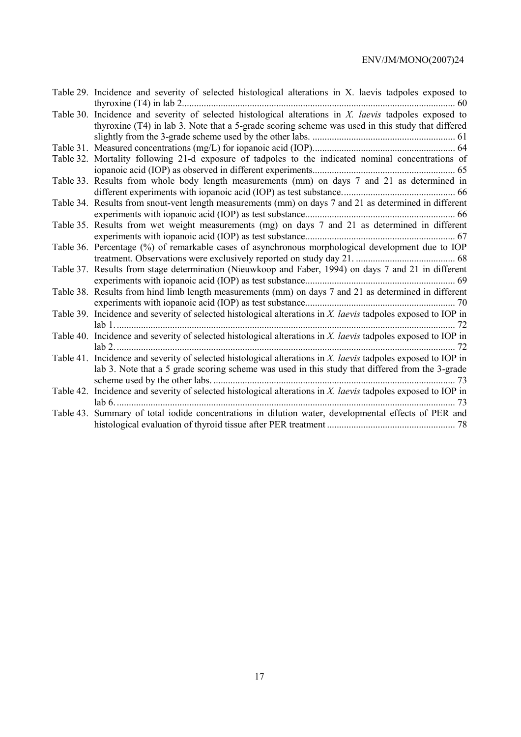|           | Table 29. Incidence and severity of selected histological alterations in X. laevis tadpoles exposed to           |
|-----------|------------------------------------------------------------------------------------------------------------------|
|           |                                                                                                                  |
|           | Table 30. Incidence and severity of selected histological alterations in $X$ . laevis tadpoles exposed to        |
|           | thyroxine (T4) in lab 3. Note that a 5-grade scoring scheme was used in this study that differed                 |
|           |                                                                                                                  |
|           |                                                                                                                  |
|           | Table 32. Mortality following 21-d exposure of tadpoles to the indicated nominal concentrations of               |
|           |                                                                                                                  |
|           | Table 33. Results from whole body length measurements (mm) on days 7 and 21 as determined in                     |
|           |                                                                                                                  |
|           | Table 34. Results from snout-vent length measurements (mm) on days 7 and 21 as determined in different           |
|           |                                                                                                                  |
|           | Table 35. Results from wet weight measurements (mg) on days 7 and 21 as determined in different                  |
|           |                                                                                                                  |
|           | Table 36. Percentage (%) of remarkable cases of asynchronous morphological development due to IOP                |
|           |                                                                                                                  |
|           | Table 37. Results from stage determination (Nieuwkoop and Faber, 1994) on days 7 and 21 in different             |
|           |                                                                                                                  |
|           | Table 38. Results from hind limb length measurements (mm) on days 7 and 21 as determined in different            |
|           |                                                                                                                  |
|           | Table 39. Incidence and severity of selected histological alterations in X. laevis tadpoles exposed to IOP in    |
|           |                                                                                                                  |
|           | Table 40. Incidence and severity of selected histological alterations in $X$ . laevis tadpoles exposed to IOP in |
|           |                                                                                                                  |
|           | Table 41. Incidence and severity of selected histological alterations in $X$ . laevis tadpoles exposed to IOP in |
|           | lab 3. Note that a 5 grade scoring scheme was used in this study that differed from the 3-grade                  |
|           |                                                                                                                  |
| Table 42. | Incidence and severity of selected histological alterations in $X$ . laevis tadpoles exposed to IOP in           |
|           |                                                                                                                  |
| Table 43. | Summary of total iodide concentrations in dilution water, developmental effects of PER and                       |
|           |                                                                                                                  |
|           |                                                                                                                  |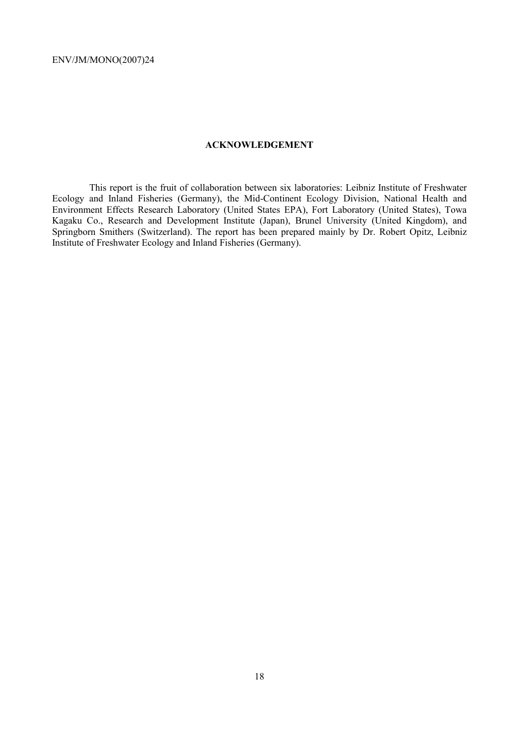#### **ACKNOWLEDGEMENT**

 This report is the fruit of collaboration between six laboratories: Leibniz Institute of Freshwater Ecology and Inland Fisheries (Germany), the Mid-Continent Ecology Division, National Health and Environment Effects Research Laboratory (United States EPA), Fort Laboratory (United States), Towa Kagaku Co., Research and Development Institute (Japan), Brunel University (United Kingdom), and Springborn Smithers (Switzerland). The report has been prepared mainly by Dr. Robert Opitz, Leibniz Institute of Freshwater Ecology and Inland Fisheries (Germany).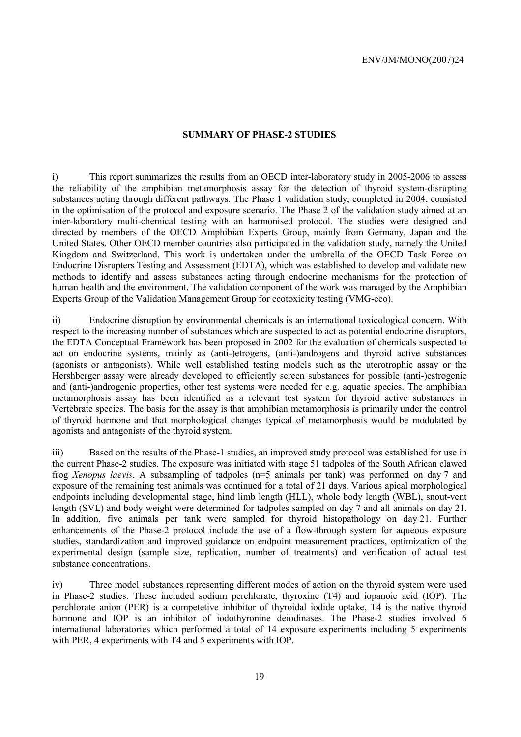#### **SUMMARY OF PHASE-2 STUDIES**

i) This report summarizes the results from an OECD inter-laboratory study in 2005-2006 to assess the reliability of the amphibian metamorphosis assay for the detection of thyroid system-disrupting substances acting through different pathways. The Phase 1 validation study, completed in 2004, consisted in the optimisation of the protocol and exposure scenario. The Phase 2 of the validation study aimed at an inter-laboratory multi-chemical testing with an harmonised protocol. The studies were designed and directed by members of the OECD Amphibian Experts Group, mainly from Germany, Japan and the United States. Other OECD member countries also participated in the validation study, namely the United Kingdom and Switzerland. This work is undertaken under the umbrella of the OECD Task Force on Endocrine Disrupters Testing and Assessment (EDTA), which was established to develop and validate new methods to identify and assess substances acting through endocrine mechanisms for the protection of human health and the environment. The validation component of the work was managed by the Amphibian Experts Group of the Validation Management Group for ecotoxicity testing (VMG-eco).

ii) Endocrine disruption by environmental chemicals is an international toxicological concern. With respect to the increasing number of substances which are suspected to act as potential endocrine disruptors, the EDTA Conceptual Framework has been proposed in 2002 for the evaluation of chemicals suspected to act on endocrine systems, mainly as (anti-)etrogens, (anti-)androgens and thyroid active substances (agonists or antagonists). While well established testing models such as the uterotrophic assay or the Hershberger assay were already developed to efficiently screen substances for possible (anti-)estrogenic and (anti-)androgenic properties, other test systems were needed for e.g. aquatic species. The amphibian metamorphosis assay has been identified as a relevant test system for thyroid active substances in Vertebrate species. The basis for the assay is that amphibian metamorphosis is primarily under the control of thyroid hormone and that morphological changes typical of metamorphosis would be modulated by agonists and antagonists of the thyroid system.

iii) Based on the results of the Phase-1 studies, an improved study protocol was established for use in the current Phase-2 studies. The exposure was initiated with stage 51 tadpoles of the South African clawed frog *Xenopus laevis*. A subsampling of tadpoles (n=5 animals per tank) was performed on day 7 and exposure of the remaining test animals was continued for a total of 21 days. Various apical morphological endpoints including developmental stage, hind limb length (HLL), whole body length (WBL), snout-vent length (SVL) and body weight were determined for tadpoles sampled on day 7 and all animals on day 21. In addition, five animals per tank were sampled for thyroid histopathology on day 21. Further enhancements of the Phase-2 protocol include the use of a flow-through system for aqueous exposure studies, standardization and improved guidance on endpoint measurement practices, optimization of the experimental design (sample size, replication, number of treatments) and verification of actual test substance concentrations.

iv) Three model substances representing different modes of action on the thyroid system were used in Phase-2 studies. These included sodium perchlorate, thyroxine (T4) and iopanoic acid (IOP). The perchlorate anion (PER) is a competetive inhibitor of thyroidal iodide uptake, T4 is the native thyroid hormone and IOP is an inhibitor of iodothyronine deiodinases. The Phase-2 studies involved 6 international laboratories which performed a total of 14 exposure experiments including 5 experiments with PER, 4 experiments with T4 and 5 experiments with IOP.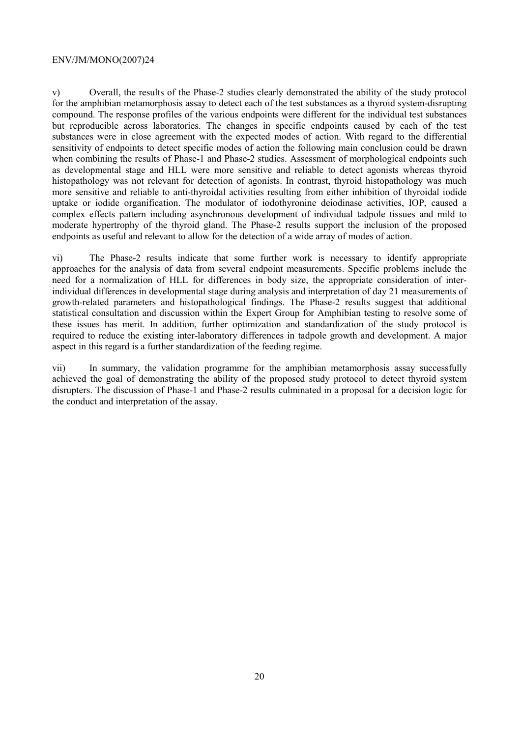v) Overall, the results of the Phase-2 studies clearly demonstrated the ability of the study protocol for the amphibian metamorphosis assay to detect each of the test substances as a thyroid system-disrupting compound. The response profiles of the various endpoints were different for the individual test substances but reproducible across laboratories. The changes in specific endpoints caused by each of the test substances were in close agreement with the expected modes of action. With regard to the differential sensitivity of endpoints to detect specific modes of action the following main conclusion could be drawn when combining the results of Phase-1 and Phase-2 studies. Assessment of morphological endpoints such as developmental stage and HLL were more sensitive and reliable to detect agonists whereas thyroid histopathology was not relevant for detection of agonists. In contrast, thyroid histopathology was much more sensitive and reliable to anti-thyroidal activities resulting from either inhibition of thyroidal iodide uptake or iodide organification. The modulator of iodothyronine deiodinase activities, IOP, caused a complex effects pattern including asynchronous development of individual tadpole tissues and mild to moderate hypertrophy of the thyroid gland. The Phase-2 results support the inclusion of the proposed endpoints as useful and relevant to allow for the detection of a wide array of modes of action.

vi) The Phase-2 results indicate that some further work is necessary to identify appropriate approaches for the analysis of data from several endpoint measurements. Specific problems include the need for a normalization of HLL for differences in body size, the appropriate consideration of interindividual differences in developmental stage during analysis and interpretation of day 21 measurements of growth-related parameters and histopathological findings. The Phase-2 results suggest that additional statistical consultation and discussion within the Expert Group for Amphibian testing to resolve some of these issues has merit. In addition, further optimization and standardization of the study protocol is required to reduce the existing inter-laboratory differences in tadpole growth and development. A major aspect in this regard is a further standardization of the feeding regime.

vii) In summary, the validation programme for the amphibian metamorphosis assay successfully achieved the goal of demonstrating the ability of the proposed study protocol to detect thyroid system disrupters. The discussion of Phase-1 and Phase-2 results culminated in a proposal for a decision logic for the conduct and interpretation of the assay.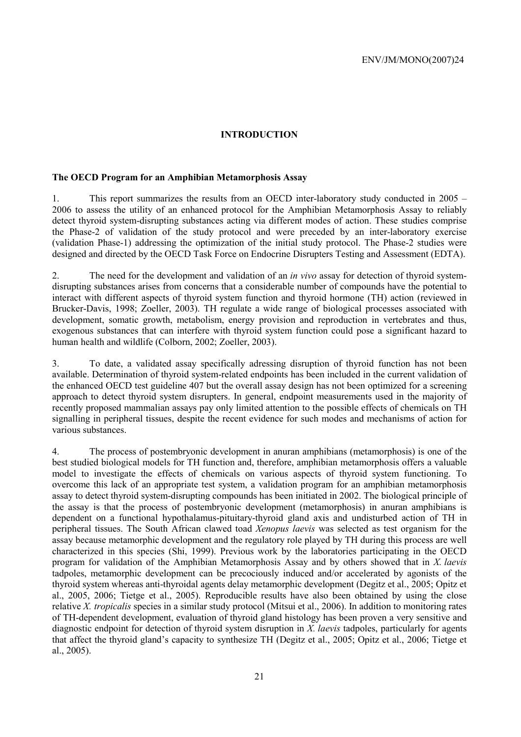#### **INTRODUCTION**

#### **The OECD Program for an Amphibian Metamorphosis Assay**

1. This report summarizes the results from an OECD inter-laboratory study conducted in 2005 – 2006 to assess the utility of an enhanced protocol for the Amphibian Metamorphosis Assay to reliably detect thyroid system-disrupting substances acting via different modes of action. These studies comprise the Phase-2 of validation of the study protocol and were preceded by an inter-laboratory exercise (validation Phase-1) addressing the optimization of the initial study protocol. The Phase-2 studies were designed and directed by the OECD Task Force on Endocrine Disrupters Testing and Assessment (EDTA).

2. The need for the development and validation of an *in vivo* assay for detection of thyroid systemdisrupting substances arises from concerns that a considerable number of compounds have the potential to interact with different aspects of thyroid system function and thyroid hormone (TH) action (reviewed in Brucker-Davis, 1998; Zoeller, 2003). TH regulate a wide range of biological processes associated with development, somatic growth, metabolism, energy provision and reproduction in vertebrates and thus, exogenous substances that can interfere with thyroid system function could pose a significant hazard to human health and wildlife (Colborn, 2002; Zoeller, 2003).

3. To date, a validated assay specifically adressing disruption of thyroid function has not been available. Determination of thyroid system-related endpoints has been included in the current validation of the enhanced OECD test guideline 407 but the overall assay design has not been optimized for a screening approach to detect thyroid system disrupters. In general, endpoint measurements used in the majority of recently proposed mammalian assays pay only limited attention to the possible effects of chemicals on TH signalling in peripheral tissues, despite the recent evidence for such modes and mechanisms of action for various substances.

4. The process of postembryonic development in anuran amphibians (metamorphosis) is one of the best studied biological models for TH function and, therefore, amphibian metamorphosis offers a valuable model to investigate the effects of chemicals on various aspects of thyroid system functioning. To overcome this lack of an appropriate test system, a validation program for an amphibian metamorphosis assay to detect thyroid system-disrupting compounds has been initiated in 2002. The biological principle of the assay is that the process of postembryonic development (metamorphosis) in anuran amphibians is dependent on a functional hypothalamus-pituitary-thyroid gland axis and undisturbed action of TH in peripheral tissues. The South African clawed toad *Xenopus laevis* was selected as test organism for the assay because metamorphic development and the regulatory role played by TH during this process are well characterized in this species (Shi, 1999). Previous work by the laboratories participating in the OECD program for validation of the Amphibian Metamorphosis Assay and by others showed that in *X. laevis*  tadpoles, metamorphic development can be precociously induced and/or accelerated by agonists of the thyroid system whereas anti-thyroidal agents delay metamorphic development (Degitz et al., 2005; Opitz et al., 2005, 2006; Tietge et al., 2005). Reproducible results have also been obtained by using the close relative *X. tropicalis* species in a similar study protocol (Mitsui et al., 2006). In addition to monitoring rates of TH-dependent development, evaluation of thyroid gland histology has been proven a very sensitive and diagnostic endpoint for detection of thyroid system disruption in *X. laevis* tadpoles, particularly for agents that affect the thyroid gland's capacity to synthesize TH (Degitz et al., 2005; Opitz et al., 2006; Tietge et al., 2005).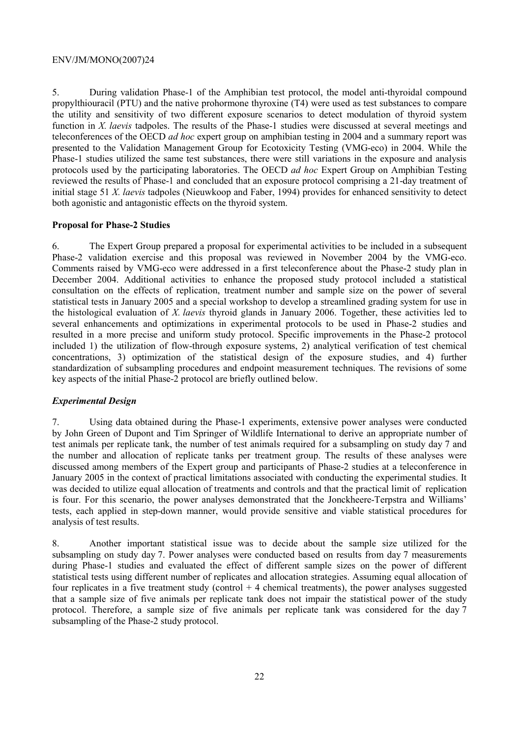5. During validation Phase-1 of the Amphibian test protocol, the model anti-thyroidal compound propylthiouracil (PTU) and the native prohormone thyroxine (T4) were used as test substances to compare the utility and sensitivity of two different exposure scenarios to detect modulation of thyroid system function in *X. laevis* tadpoles. The results of the Phase-1 studies were discussed at several meetings and teleconferences of the OECD *ad hoc* expert group on amphibian testing in 2004 and a summary report was presented to the Validation Management Group for Ecotoxicity Testing (VMG-eco) in 2004. While the Phase-1 studies utilized the same test substances, there were still variations in the exposure and analysis protocols used by the participating laboratories. The OECD *ad hoc* Expert Group on Amphibian Testing reviewed the results of Phase-1 and concluded that an exposure protocol comprising a 21-day treatment of initial stage 51 *X. laevis* tadpoles (Nieuwkoop and Faber, 1994) provides for enhanced sensitivity to detect both agonistic and antagonistic effects on the thyroid system.

#### **Proposal for Phase-2 Studies**

6. The Expert Group prepared a proposal for experimental activities to be included in a subsequent Phase-2 validation exercise and this proposal was reviewed in November 2004 by the VMG-eco. Comments raised by VMG-eco were addressed in a first teleconference about the Phase-2 study plan in December 2004. Additional activities to enhance the proposed study protocol included a statistical consultation on the effects of replication, treatment number and sample size on the power of several statistical tests in January 2005 and a special workshop to develop a streamlined grading system for use in the histological evaluation of *X. laevis* thyroid glands in January 2006. Together, these activities led to several enhancements and optimizations in experimental protocols to be used in Phase-2 studies and resulted in a more precise and uniform study protocol. Specific improvements in the Phase-2 protocol included 1) the utilization of flow-through exposure systems, 2) analytical verification of test chemical concentrations, 3) optimization of the statistical design of the exposure studies, and 4) further standardization of subsampling procedures and endpoint measurement techniques. The revisions of some key aspects of the initial Phase-2 protocol are briefly outlined below.

#### *Experimental Design*

7. Using data obtained during the Phase-1 experiments, extensive power analyses were conducted by John Green of Dupont and Tim Springer of Wildlife International to derive an appropriate number of test animals per replicate tank, the number of test animals required for a subsampling on study day 7 and the number and allocation of replicate tanks per treatment group. The results of these analyses were discussed among members of the Expert group and participants of Phase-2 studies at a teleconference in January 2005 in the context of practical limitations associated with conducting the experimental studies. It was decided to utilize equal allocation of treatments and controls and that the practical limit of replication is four. For this scenario, the power analyses demonstrated that the Jonckheere-Terpstra and Williams' tests, each applied in step-down manner, would provide sensitive and viable statistical procedures for analysis of test results.

8. Another important statistical issue was to decide about the sample size utilized for the subsampling on study day 7. Power analyses were conducted based on results from day 7 measurements during Phase-1 studies and evaluated the effect of different sample sizes on the power of different statistical tests using different number of replicates and allocation strategies. Assuming equal allocation of four replicates in a five treatment study (control  $+4$  chemical treatments), the power analyses suggested that a sample size of five animals per replicate tank does not impair the statistical power of the study protocol. Therefore, a sample size of five animals per replicate tank was considered for the day 7 subsampling of the Phase-2 study protocol.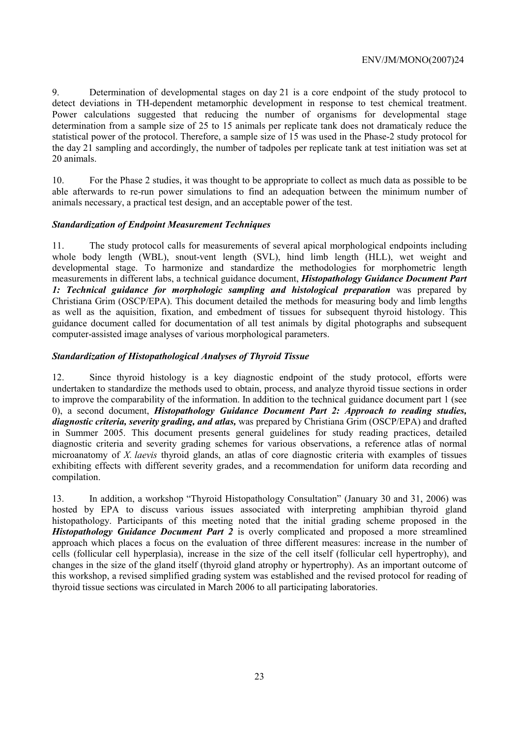9. Determination of developmental stages on day 21 is a core endpoint of the study protocol to detect deviations in TH-dependent metamorphic development in response to test chemical treatment. Power calculations suggested that reducing the number of organisms for developmental stage determination from a sample size of 25 to 15 animals per replicate tank does not dramaticaly reduce the statistical power of the protocol. Therefore, a sample size of 15 was used in the Phase-2 study protocol for the day 21 sampling and accordingly, the number of tadpoles per replicate tank at test initiation was set at 20 animals.

10. For the Phase 2 studies, it was thought to be appropriate to collect as much data as possible to be able afterwards to re-run power simulations to find an adequation between the minimum number of animals necessary, a practical test design, and an acceptable power of the test.

#### *Standardization of Endpoint Measurement Techniques*

11. The study protocol calls for measurements of several apical morphological endpoints including whole body length (WBL), snout-vent length (SVL), hind limb length (HLL), wet weight and developmental stage. To harmonize and standardize the methodologies for morphometric length measurements in different labs, a technical guidance document, *Histopathology Guidance Document Part 1: Technical guidance for morphologic sampling and histological preparation* was prepared by Christiana Grim (OSCP/EPA). This document detailed the methods for measuring body and limb lengths as well as the aquisition, fixation, and embedment of tissues for subsequent thyroid histology. This guidance document called for documentation of all test animals by digital photographs and subsequent computer-assisted image analyses of various morphological parameters.

### *Standardization of Histopathological Analyses of Thyroid Tissue*

12. Since thyroid histology is a key diagnostic endpoint of the study protocol, efforts were undertaken to standardize the methods used to obtain, process, and analyze thyroid tissue sections in order to improve the comparability of the information. In addition to the technical guidance document part 1 (see 0), a second document, *Histopathology Guidance Document Part 2: Approach to reading studies, diagnostic criteria, severity grading, and atlas,* was prepared by Christiana Grim (OSCP/EPA) and drafted in Summer 2005. This document presents general guidelines for study reading practices, detailed diagnostic criteria and severity grading schemes for various observations, a reference atlas of normal microanatomy of *X. laevis* thyroid glands, an atlas of core diagnostic criteria with examples of tissues exhibiting effects with different severity grades, and a recommendation for uniform data recording and compilation.

13. In addition, a workshop "Thyroid Histopathology Consultation" (January 30 and 31, 2006) was hosted by EPA to discuss various issues associated with interpreting amphibian thyroid gland histopathology. Participants of this meeting noted that the initial grading scheme proposed in the *Histopathology Guidance Document Part 2* is overly complicated and proposed a more streamlined approach which places a focus on the evaluation of three different measures: increase in the number of cells (follicular cell hyperplasia), increase in the size of the cell itself (follicular cell hypertrophy), and changes in the size of the gland itself (thyroid gland atrophy or hypertrophy). As an important outcome of this workshop, a revised simplified grading system was established and the revised protocol for reading of thyroid tissue sections was circulated in March 2006 to all participating laboratories.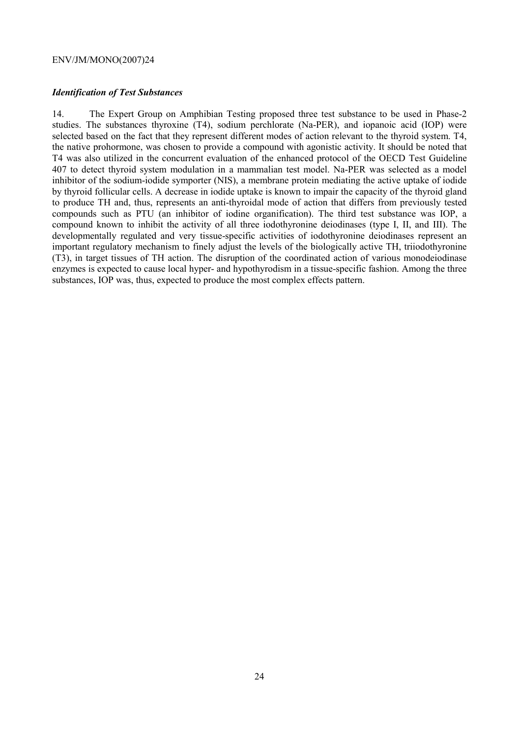#### *Identification of Test Substances*

14. The Expert Group on Amphibian Testing proposed three test substance to be used in Phase-2 studies. The substances thyroxine (T4), sodium perchlorate (Na-PER), and iopanoic acid (IOP) were selected based on the fact that they represent different modes of action relevant to the thyroid system. T4, the native prohormone, was chosen to provide a compound with agonistic activity. It should be noted that T4 was also utilized in the concurrent evaluation of the enhanced protocol of the OECD Test Guideline 407 to detect thyroid system modulation in a mammalian test model. Na-PER was selected as a model inhibitor of the sodium-iodide symporter (NIS), a membrane protein mediating the active uptake of iodide by thyroid follicular cells. A decrease in iodide uptake is known to impair the capacity of the thyroid gland to produce TH and, thus, represents an anti-thyroidal mode of action that differs from previously tested compounds such as PTU (an inhibitor of iodine organification). The third test substance was IOP, a compound known to inhibit the activity of all three iodothyronine deiodinases (type I, II, and III). The developmentally regulated and very tissue-specific activities of iodothyronine deiodinases represent an important regulatory mechanism to finely adjust the levels of the biologically active TH, triiodothyronine (T3), in target tissues of TH action. The disruption of the coordinated action of various monodeiodinase enzymes is expected to cause local hyper- and hypothyrodism in a tissue-specific fashion. Among the three substances, IOP was, thus, expected to produce the most complex effects pattern.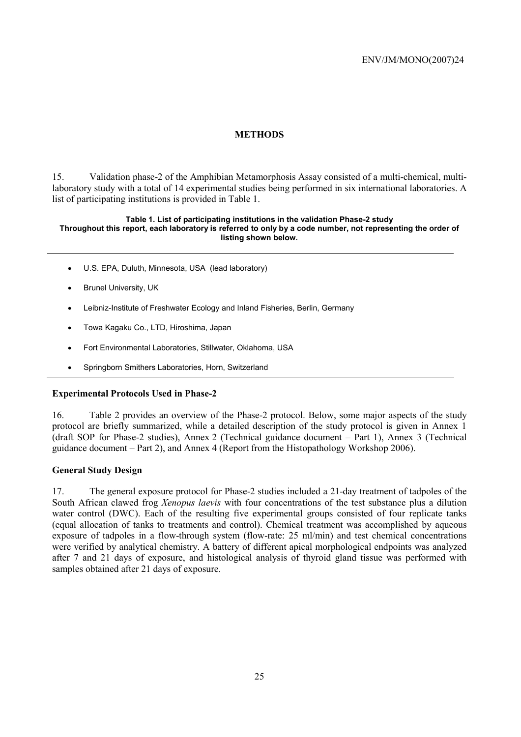#### **METHODS**

15. Validation phase-2 of the Amphibian Metamorphosis Assay consisted of a multi-chemical, multilaboratory study with a total of 14 experimental studies being performed in six international laboratories. A list of participating institutions is provided in Table 1.

#### **Table 1. List of participating institutions in the validation Phase-2 study Throughout this report, each laboratory is referred to only by a code number, not representing the order of listing shown below.**

- U.S. EPA, Duluth, Minnesota, USA (lead laboratory)
- Brunel University, UK
- Leibniz-Institute of Freshwater Ecology and Inland Fisheries, Berlin, Germany
- Towa Kagaku Co., LTD, Hiroshima, Japan
- Fort Environmental Laboratories, Stillwater, Oklahoma, USA
- Springborn Smithers Laboratories, Horn, Switzerland

#### **Experimental Protocols Used in Phase-2**

16. Table 2 provides an overview of the Phase-2 protocol. Below, some major aspects of the study protocol are briefly summarized, while a detailed description of the study protocol is given in Annex 1 (draft SOP for Phase-2 studies), Annex 2 (Technical guidance document – Part 1), Annex 3 (Technical guidance document – Part 2), and Annex 4 (Report from the Histopathology Workshop 2006).

#### **General Study Design**

17. The general exposure protocol for Phase-2 studies included a 21-day treatment of tadpoles of the South African clawed frog *Xenopus laevis* with four concentrations of the test substance plus a dilution water control (DWC). Each of the resulting five experimental groups consisted of four replicate tanks (equal allocation of tanks to treatments and control). Chemical treatment was accomplished by aqueous exposure of tadpoles in a flow-through system (flow-rate: 25 ml/min) and test chemical concentrations were verified by analytical chemistry. A battery of different apical morphological endpoints was analyzed after 7 and 21 days of exposure, and histological analysis of thyroid gland tissue was performed with samples obtained after 21 days of exposure.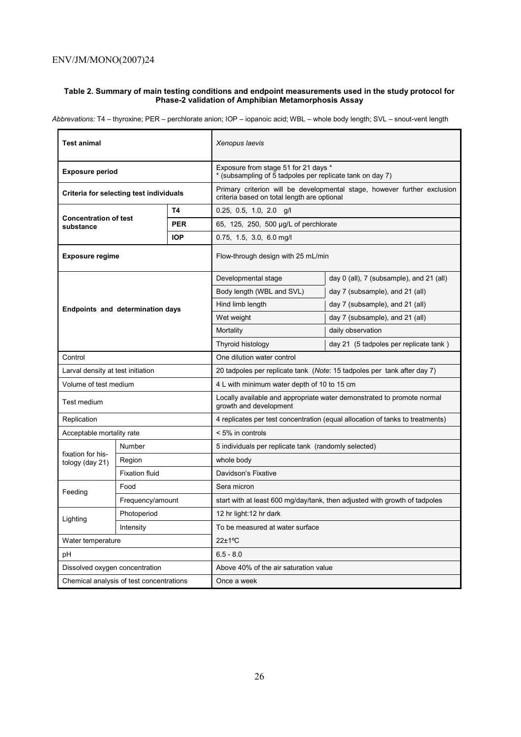#### **Table 2. Summary of main testing conditions and endpoint measurements used in the study protocol for Phase-2 validation of Amphibian Metamorphosis Assay**

*Abbrevations:* T4 – thyroxine; PER – perchlorate anion; IOP – iopanoic acid; WBL – whole body length; SVL – snout-vent length

| <b>Test animal</b>                        |                       |            | Xenopus laevis                                                                                                          |                                                                            |  |  |  |  |  |
|-------------------------------------------|-----------------------|------------|-------------------------------------------------------------------------------------------------------------------------|----------------------------------------------------------------------------|--|--|--|--|--|
| <b>Exposure period</b>                    |                       |            | Exposure from stage 51 for 21 days *<br>(subsampling of 5 tadpoles per replicate tank on day 7)                         |                                                                            |  |  |  |  |  |
| Criteria for selecting test individuals   |                       |            | Primary criterion will be developmental stage, however further exclusion<br>criteria based on total length are optional |                                                                            |  |  |  |  |  |
| <b>T4</b>                                 |                       |            | $0.25, 0.5, 1.0, 2.0$ g/l                                                                                               |                                                                            |  |  |  |  |  |
| <b>Concentration of test</b><br>substance |                       | <b>PER</b> | 65, 125, 250, 500 µg/L of perchlorate                                                                                   |                                                                            |  |  |  |  |  |
| <b>IOP</b>                                |                       |            | $0.75, 1.5, 3.0, 6.0$ mg/l                                                                                              |                                                                            |  |  |  |  |  |
| <b>Exposure regime</b>                    |                       |            | Flow-through design with 25 mL/min                                                                                      |                                                                            |  |  |  |  |  |
|                                           |                       |            | Developmental stage                                                                                                     | day $0$ (all), $7$ (subsample), and $21$ (all)                             |  |  |  |  |  |
|                                           |                       |            | Body length (WBL and SVL)                                                                                               | day 7 (subsample), and 21 (all)                                            |  |  |  |  |  |
| Endpoints and determination days          |                       |            | Hind limb length                                                                                                        | day 7 (subsample), and 21 (all)                                            |  |  |  |  |  |
|                                           |                       |            | Wet weight                                                                                                              | day 7 (subsample), and 21 (all)                                            |  |  |  |  |  |
|                                           |                       |            | Mortality                                                                                                               | daily observation                                                          |  |  |  |  |  |
|                                           |                       |            | Thyroid histology                                                                                                       | day 21 (5 tadpoles per replicate tank)                                     |  |  |  |  |  |
| Control                                   |                       |            | One dilution water control                                                                                              |                                                                            |  |  |  |  |  |
| Larval density at test initiation         |                       |            | 20 tadpoles per replicate tank (Note: 15 tadpoles per tank after day 7)                                                 |                                                                            |  |  |  |  |  |
| Volume of test medium                     |                       |            | 4 L with minimum water depth of 10 to 15 cm                                                                             |                                                                            |  |  |  |  |  |
| Test medium                               |                       |            | Locally available and appropriate water demonstrated to promote normal<br>growth and development                        |                                                                            |  |  |  |  |  |
| Replication                               |                       |            | 4 replicates per test concentration (equal allocation of tanks to treatments)                                           |                                                                            |  |  |  |  |  |
| Acceptable mortality rate                 |                       |            | < 5% in controls                                                                                                        |                                                                            |  |  |  |  |  |
|                                           | Number                |            | 5 individuals per replicate tank (randomly selected)                                                                    |                                                                            |  |  |  |  |  |
| fixation for his-<br>tology (day 21)      | Region                |            | whole body                                                                                                              |                                                                            |  |  |  |  |  |
|                                           | <b>Fixation fluid</b> |            | Davidson's Fixative                                                                                                     |                                                                            |  |  |  |  |  |
| Feeding                                   | Food                  |            | Sera micron                                                                                                             |                                                                            |  |  |  |  |  |
|                                           | Frequency/amount      |            |                                                                                                                         | start with at least 600 mg/day/tank, then adjusted with growth of tadpoles |  |  |  |  |  |
| Lighting                                  | Photoperiod           |            | 12 hr light: 12 hr dark                                                                                                 |                                                                            |  |  |  |  |  |
|                                           | Intensity             |            | To be measured at water surface                                                                                         |                                                                            |  |  |  |  |  |
| Water temperature                         |                       |            | $22 \pm 1$ °C                                                                                                           |                                                                            |  |  |  |  |  |
| рH                                        |                       |            | $6.5 - 8.0$                                                                                                             |                                                                            |  |  |  |  |  |
| Dissolved oxygen concentration            |                       |            | Above 40% of the air saturation value                                                                                   |                                                                            |  |  |  |  |  |
| Chemical analysis of test concentrations  |                       |            | Once a week                                                                                                             |                                                                            |  |  |  |  |  |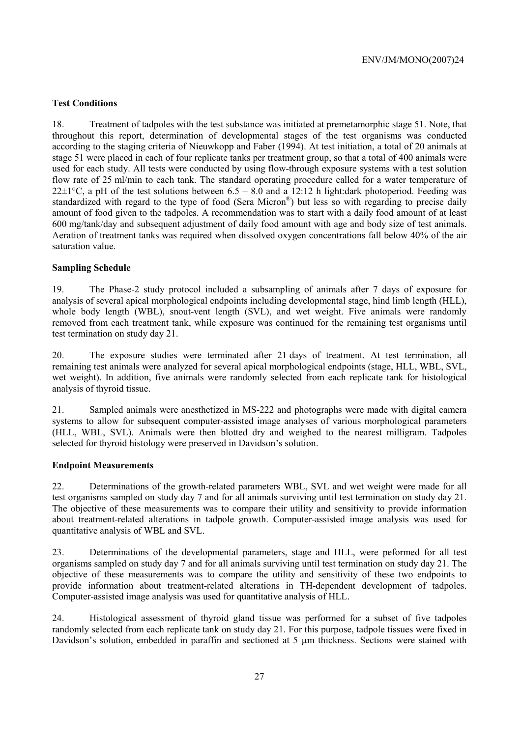#### **Test Conditions**

18. Treatment of tadpoles with the test substance was initiated at premetamorphic stage 51. Note, that throughout this report, determination of developmental stages of the test organisms was conducted according to the staging criteria of Nieuwkopp and Faber (1994). At test initiation, a total of 20 animals at stage 51 were placed in each of four replicate tanks per treatment group, so that a total of 400 animals were used for each study. All tests were conducted by using flow-through exposure systems with a test solution flow rate of 25 ml/min to each tank. The standard operating procedure called for a water temperature of 22 $\pm$ 1°C, a pH of the test solutions between 6.5 – 8.0 and a 12:12 h light:dark photoperiod. Feeding was standardized with regard to the type of food (Sera Micron®) but less so with regarding to precise daily amount of food given to the tadpoles. A recommendation was to start with a daily food amount of at least 600 mg/tank/day and subsequent adjustment of daily food amount with age and body size of test animals. Aeration of treatment tanks was required when dissolved oxygen concentrations fall below 40% of the air saturation value.

#### **Sampling Schedule**

19. The Phase-2 study protocol included a subsampling of animals after 7 days of exposure for analysis of several apical morphological endpoints including developmental stage, hind limb length (HLL), whole body length (WBL), snout-vent length (SVL), and wet weight. Five animals were randomly removed from each treatment tank, while exposure was continued for the remaining test organisms until test termination on study day 21.

20. The exposure studies were terminated after 21 days of treatment. At test termination, all remaining test animals were analyzed for several apical morphological endpoints (stage, HLL, WBL, SVL, wet weight). In addition, five animals were randomly selected from each replicate tank for histological analysis of thyroid tissue.

21. Sampled animals were anesthetized in MS-222 and photographs were made with digital camera systems to allow for subsequent computer-assisted image analyses of various morphological parameters (HLL, WBL, SVL). Animals were then blotted dry and weighed to the nearest milligram. Tadpoles selected for thyroid histology were preserved in Davidson's solution.

#### **Endpoint Measurements**

22. Determinations of the growth-related parameters WBL, SVL and wet weight were made for all test organisms sampled on study day 7 and for all animals surviving until test termination on study day 21. The objective of these measurements was to compare their utility and sensitivity to provide information about treatment-related alterations in tadpole growth. Computer-assisted image analysis was used for quantitative analysis of WBL and SVL.

23. Determinations of the developmental parameters, stage and HLL, were peformed for all test organisms sampled on study day 7 and for all animals surviving until test termination on study day 21. The objective of these measurements was to compare the utility and sensitivity of these two endpoints to provide information about treatment-related alterations in TH-dependent development of tadpoles. Computer-assisted image analysis was used for quantitative analysis of HLL.

24. Histological assessment of thyroid gland tissue was performed for a subset of five tadpoles randomly selected from each replicate tank on study day 21. For this purpose, tadpole tissues were fixed in Davidson's solution, embedded in paraffin and sectioned at 5  $\mu$ m thickness. Sections were stained with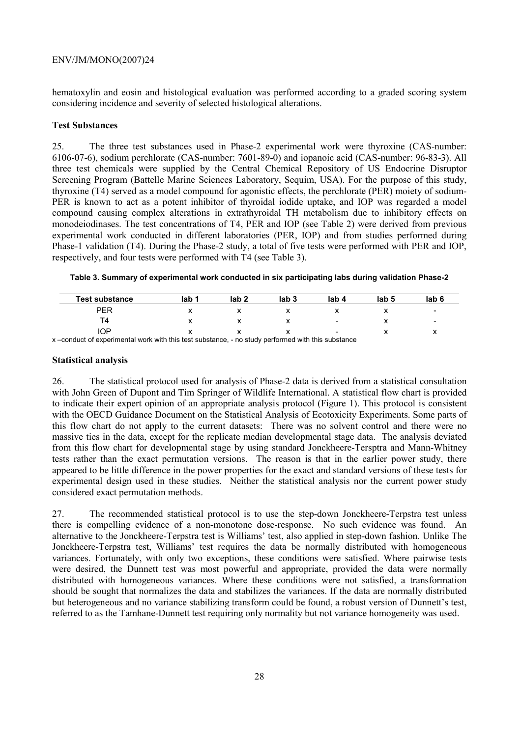hematoxylin and eosin and histological evaluation was performed according to a graded scoring system considering incidence and severity of selected histological alterations.

#### **Test Substances**

25. The three test substances used in Phase-2 experimental work were thyroxine (CAS-number: 6106-07-6), sodium perchlorate (CAS-number: 7601-89-0) and iopanoic acid (CAS-number: 96-83-3). All three test chemicals were supplied by the Central Chemical Repository of US Endocrine Disruptor Screening Program (Battelle Marine Sciences Laboratory, Sequim, USA). For the purpose of this study, thyroxine (T4) served as a model compound for agonistic effects, the perchlorate (PER) moiety of sodium-PER is known to act as a potent inhibitor of thyroidal iodide uptake, and IOP was regarded a model compound causing complex alterations in extrathyroidal TH metabolism due to inhibitory effects on monodeiodinases. The test concentrations of T4, PER and IOP (see Table 2) were derived from previous experimental work conducted in different laboratories (PER, IOP) and from studies performed during Phase-1 validation (T4). During the Phase-2 study, a total of five tests were performed with PER and IOP, respectively, and four tests were performed with T4 (see Table 3).

**Table 3. Summary of experimental work conducted in six participating labs during validation Phase-2** 

| <b>Test substance</b> | lab 1 | lab <sub>2</sub> | lab 3 | lab 4                    | lab 5 | lab 6     |
|-----------------------|-------|------------------|-------|--------------------------|-------|-----------|
| <b>PER</b>            |       |                  |       |                          |       | $\sim$    |
| T4                    |       |                  |       | $\overline{\phantom{a}}$ |       | $\sim$    |
| <b>IOP</b>            |       |                  |       | $\overline{\phantom{0}}$ |       | $\lambda$ |

x –conduct of experimental work with this test substance, - no study performed with this substance

#### **Statistical analysis**

26. The statistical protocol used for analysis of Phase-2 data is derived from a statistical consultation with John Green of Dupont and Tim Springer of Wildlife International. A statistical flow chart is provided to indicate their expert opinion of an appropriate analysis protocol (Figure 1). This protocol is consistent with the OECD Guidance Document on the Statistical Analysis of Ecotoxicity Experiments. Some parts of this flow chart do not apply to the current datasets: There was no solvent control and there were no massive ties in the data, except for the replicate median developmental stage data. The analysis deviated from this flow chart for developmental stage by using standard Jonckheere-Tersptra and Mann-Whitney tests rather than the exact permutation versions. The reason is that in the earlier power study, there appeared to be little difference in the power properties for the exact and standard versions of these tests for experimental design used in these studies. Neither the statistical analysis nor the current power study considered exact permutation methods.

27. The recommended statistical protocol is to use the step-down Jonckheere-Terpstra test unless there is compelling evidence of a non-monotone dose-response. No such evidence was found. An alternative to the Jonckheere-Terpstra test is Williams' test, also applied in step-down fashion. Unlike The Jonckheere-Terpstra test, Williams' test requires the data be normally distributed with homogeneous variances. Fortunately, with only two exceptions, these conditions were satisfied. Where pairwise tests were desired, the Dunnett test was most powerful and appropriate, provided the data were normally distributed with homogeneous variances. Where these conditions were not satisfied, a transformation should be sought that normalizes the data and stabilizes the variances. If the data are normally distributed but heterogeneous and no variance stabilizing transform could be found, a robust version of Dunnett's test, referred to as the Tamhane-Dunnett test requiring only normality but not variance homogeneity was used.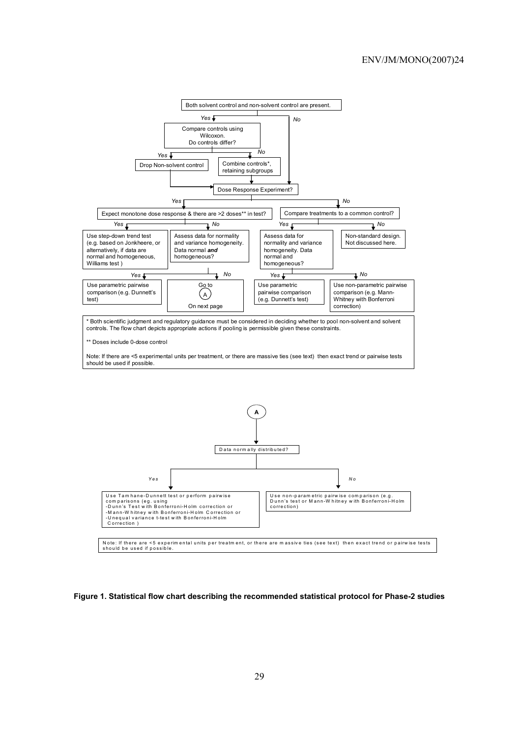

**Figure 1. Statistical flow chart describing the recommended statistical protocol for Phase-2 studies**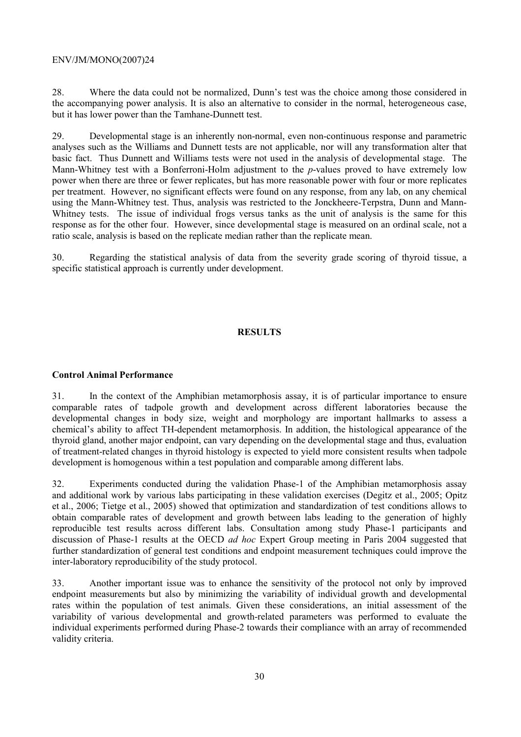28. Where the data could not be normalized, Dunn's test was the choice among those considered in the accompanying power analysis. It is also an alternative to consider in the normal, heterogeneous case, but it has lower power than the Tamhane-Dunnett test.

29. Developmental stage is an inherently non-normal, even non-continuous response and parametric analyses such as the Williams and Dunnett tests are not applicable, nor will any transformation alter that basic fact. Thus Dunnett and Williams tests were not used in the analysis of developmental stage. The Mann-Whitney test with a Bonferroni-Holm adjustment to the *p*-values proved to have extremely low power when there are three or fewer replicates, but has more reasonable power with four or more replicates per treatment. However, no significant effects were found on any response, from any lab, on any chemical using the Mann-Whitney test. Thus, analysis was restricted to the Jonckheere-Terpstra, Dunn and Mann-Whitney tests. The issue of individual frogs versus tanks as the unit of analysis is the same for this response as for the other four. However, since developmental stage is measured on an ordinal scale, not a ratio scale, analysis is based on the replicate median rather than the replicate mean.

30. Regarding the statistical analysis of data from the severity grade scoring of thyroid tissue, a specific statistical approach is currently under development.

#### **RESULTS**

#### **Control Animal Performance**

31. In the context of the Amphibian metamorphosis assay, it is of particular importance to ensure comparable rates of tadpole growth and development across different laboratories because the developmental changes in body size, weight and morphology are important hallmarks to assess a chemical's ability to affect TH-dependent metamorphosis. In addition, the histological appearance of the thyroid gland, another major endpoint, can vary depending on the developmental stage and thus, evaluation of treatment-related changes in thyroid histology is expected to yield more consistent results when tadpole development is homogenous within a test population and comparable among different labs.

32. Experiments conducted during the validation Phase-1 of the Amphibian metamorphosis assay and additional work by various labs participating in these validation exercises (Degitz et al., 2005; Opitz et al., 2006; Tietge et al., 2005) showed that optimization and standardization of test conditions allows to obtain comparable rates of development and growth between labs leading to the generation of highly reproducible test results across different labs. Consultation among study Phase-1 participants and discussion of Phase-1 results at the OECD *ad hoc* Expert Group meeting in Paris 2004 suggested that further standardization of general test conditions and endpoint measurement techniques could improve the inter-laboratory reproducibility of the study protocol.

33. Another important issue was to enhance the sensitivity of the protocol not only by improved endpoint measurements but also by minimizing the variability of individual growth and developmental rates within the population of test animals. Given these considerations, an initial assessment of the variability of various developmental and growth-related parameters was performed to evaluate the individual experiments performed during Phase-2 towards their compliance with an array of recommended validity criteria.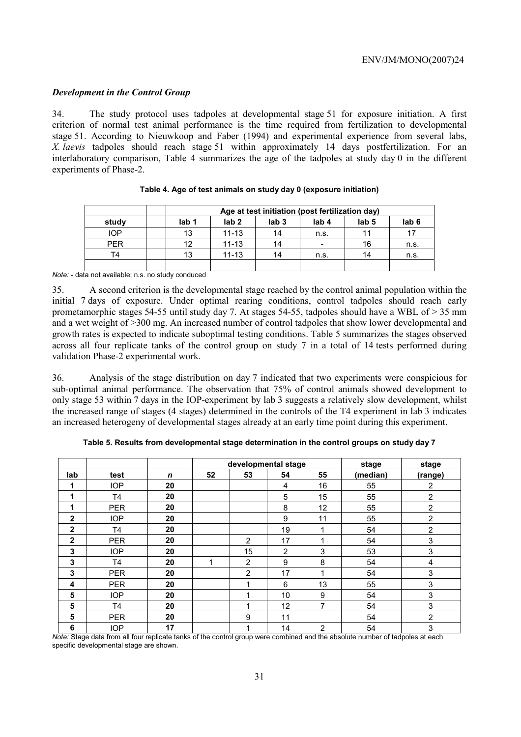#### *Development in the Control Group*

34. The study protocol uses tadpoles at developmental stage 51 for exposure initiation. A first criterion of normal test animal performance is the time required from fertilization to developmental stage 51. According to Nieuwkoop and Faber (1994) and experimental experience from several labs, *X. laevis* tadpoles should reach stage 51 within approximately 14 days postfertilization. For an interlaboratory comparison, Table 4 summarizes the age of the tadpoles at study day 0 in the different experiments of Phase-2.

|            | Age at test initiation (post fertilization day) |                  |                  |       |                  |                  |  |  |  |  |
|------------|-------------------------------------------------|------------------|------------------|-------|------------------|------------------|--|--|--|--|
| study      | lab 1                                           | lab <sub>2</sub> | lab <sub>3</sub> | lab 4 | lab <sub>5</sub> | lab <sub>6</sub> |  |  |  |  |
| <b>IOP</b> | 13                                              | $11 - 13$        | 14               | n.s.  | 11               | 17               |  |  |  |  |
| <b>PER</b> | 12                                              | $11 - 13$        | 14               |       | 16               | n.s.             |  |  |  |  |
| T4         | 13                                              | $11 - 13$        | 14               | n.s.  | 14               | n.s.             |  |  |  |  |
|            |                                                 |                  |                  |       |                  |                  |  |  |  |  |

| Table 4. Age of test animals on study day 0 (exposure initiation) |  |  |
|-------------------------------------------------------------------|--|--|
|-------------------------------------------------------------------|--|--|

*Note:* - data not available; n.s. no study conduced

35. A second criterion is the developmental stage reached by the control animal population within the initial 7 days of exposure. Under optimal rearing conditions, control tadpoles should reach early prometamorphic stages 54-55 until study day 7. At stages 54-55, tadpoles should have a WBL of  $> 35$  mm and a wet weight of >300 mg. An increased number of control tadpoles that show lower developmental and growth rates is expected to indicate suboptimal testing conditions. Table 5 summarizes the stages observed across all four replicate tanks of the control group on study 7 in a total of 14 tests performed during validation Phase-2 experimental work.

36. Analysis of the stage distribution on day 7 indicated that two experiments were conspicious for sub-optimal animal performance. The observation that 75% of control animals showed development to only stage 53 within 7 days in the IOP-experiment by lab 3 suggests a relatively slow development, whilst the increased range of stages (4 stages) determined in the controls of the T4 experiment in lab 3 indicates an increased heterogeny of developmental stages already at an early time point during this experiment.

|              |                |             | developmental stage |                |                | stage          | stage    |                |
|--------------|----------------|-------------|---------------------|----------------|----------------|----------------|----------|----------------|
| lab          | test           | $\mathbf n$ | 52                  | 53             | 54             | 55             | (median) | (range)        |
| 1            | <b>IOP</b>     | 20          |                     |                | 4              | 16             | 55       | 2              |
| 1            | <b>T4</b>      | 20          |                     |                | 5              | 15             | 55       | 2              |
| 1            | <b>PER</b>     | 20          |                     |                | 8              | 12             | 55       | $\overline{2}$ |
| $\mathbf{2}$ | <b>IOP</b>     | 20          |                     |                | 9              | 11             | 55       | 2              |
| $\mathbf{2}$ | <b>T4</b>      | 20          |                     |                | 19             | 4              | 54       | 2              |
| $\mathbf{2}$ | <b>PER</b>     | 20          |                     | 2              | 17             |                | 54       | 3              |
| 3            | <b>IOP</b>     | 20          |                     | 15             | $\overline{2}$ | 3              | 53       | 3              |
| 3            | T4             | 20          |                     | $\overline{2}$ | 9              | 8              | 54       | 4              |
| 3            | <b>PER</b>     | 20          |                     | $\overline{2}$ | 17             |                | 54       | 3              |
| 4            | <b>PER</b>     | 20          |                     |                | 6              | 13             | 55       | 3              |
| 5            | <b>IOP</b>     | 20          |                     |                | 10             | 9              | 54       | 3              |
| 5            | T <sub>4</sub> | 20          |                     |                | 12             | 7              | 54       | 3              |
| 5            | <b>PER</b>     | 20          |                     | 9              | 11             |                | 54       | 2              |
| 6            | <b>IOP</b>     | 17          |                     | ◢              | 14             | $\overline{2}$ | 54       | 3              |

**Table 5. Results from developmental stage determination in the control groups on study day 7** 

*Note:* Stage data from all four replicate tanks of the control group were combined and the absolute number of tadpoles at each specific developmental stage are shown.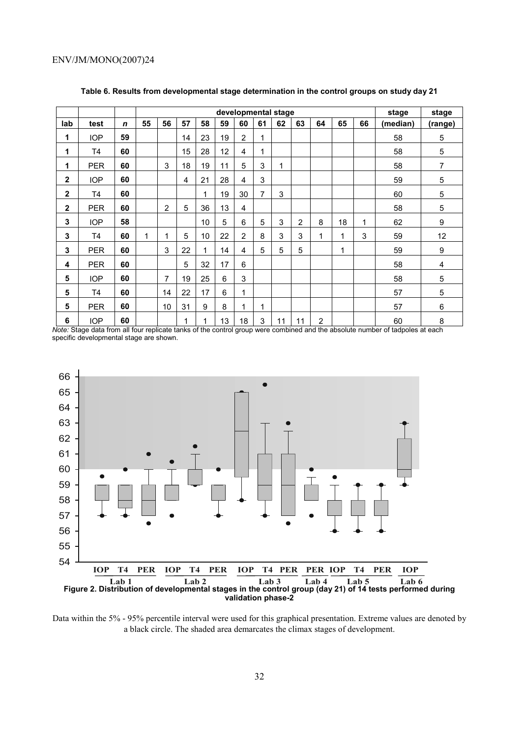|                |                |             |              |                |    |    |    | developmental stage |    |    |    |                |    |    | stage    | stage   |
|----------------|----------------|-------------|--------------|----------------|----|----|----|---------------------|----|----|----|----------------|----|----|----------|---------|
| lab            | test           | $\mathbf n$ | 55           | 56             | 57 | 58 | 59 | 60                  | 61 | 62 | 63 | 64             | 65 | 66 | (median) | (range) |
| 1              | <b>IOP</b>     | 59          |              |                | 14 | 23 | 19 | 2                   | 1  |    |    |                |    |    | 58       | 5       |
| 1              | T4             | 60          |              |                | 15 | 28 | 12 | 4                   | 1  |    |    |                |    |    | 58       | 5       |
| 1              | <b>PER</b>     | 60          |              | 3              | 18 | 19 | 11 | 5                   | 3  | 1  |    |                |    |    | 58       | 7       |
| $\overline{2}$ | <b>IOP</b>     | 60          |              |                | 4  | 21 | 28 | 4                   | 3  |    |    |                |    |    | 59       | 5       |
| 2              | Τ4             | 60          |              |                |    | 1  | 19 | 30                  | 7  | 3  |    |                |    |    | 60       | 5       |
| $\overline{2}$ | <b>PER</b>     | 60          |              | $\overline{2}$ | 5  | 36 | 13 | 4                   |    |    |    |                |    |    | 58       | 5       |
| 3              | <b>IOP</b>     | 58          |              |                |    | 10 | 5  | 6                   | 5  | 3  | 2  | 8              | 18 | 1  | 62       | 9       |
| 3              | T4             | 60          | $\mathbf{1}$ | 1              | 5  | 10 | 22 | $\overline{2}$      | 8  | 3  | 3  | 1              | 1  | 3  | 59       | 12      |
| 3              | <b>PER</b>     | 60          |              | 3              | 22 | 1  | 14 | 4                   | 5  | 5  | 5  |                | 1  |    | 59       | 9       |
| 4              | <b>PER</b>     | 60          |              |                | 5  | 32 | 17 | 6                   |    |    |    |                |    |    | 58       | 4       |
| 5              | <b>IOP</b>     | 60          |              | 7              | 19 | 25 | 6  | $\mathbf{3}$        |    |    |    |                |    |    | 58       | 5       |
| 5              | T <sub>4</sub> | 60          |              | 14             | 22 | 17 | 6  | 1                   |    |    |    |                |    |    | 57       | 5       |
| 5              | <b>PER</b>     | 60          |              | 10             | 31 | 9  | 8  | 1                   | 1  |    |    |                |    |    | 57       | 6       |
| 6              | <b>IOP</b>     | 60          |              |                | 1  | 1  | 13 | 18                  | 3  | 11 | 11 | $\overline{2}$ |    |    | 60       | 8       |

#### **Table 6. Results from developmental stage determination in the control groups on study day 21**

*Note:* Stage data from all four replicate tanks of the control group were combined and the absolute number of tadpoles at each specific developmental stage are shown.



Data within the 5% - 95% percentile interval were used for this graphical presentation. Extreme values are denoted by a black circle. The shaded area demarcates the climax stages of development.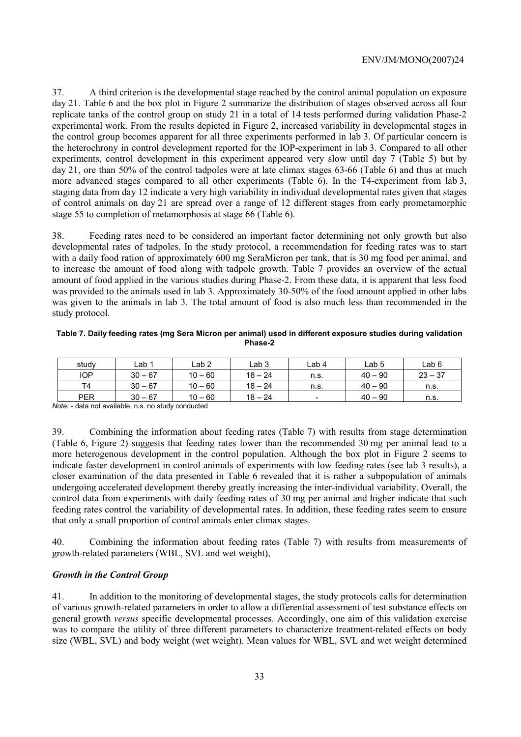37. A third criterion is the developmental stage reached by the control animal population on exposure day 21. Table 6 and the box plot in Figure 2 summarize the distribution of stages observed across all four replicate tanks of the control group on study 21 in a total of 14 tests performed during validation Phase-2 experimental work. From the results depicted in Figure 2, increased variability in developmental stages in the control group becomes apparent for all three experiments performed in lab 3. Of particular concern is the heterochrony in control development reported for the IOP-experiment in lab 3. Compared to all other experiments, control development in this experiment appeared very slow until day 7 (Table 5) but by day 21, ore than 50% of the control tadpoles were at late climax stages 63-66 (Table 6) and thus at much more advanced stages compared to all other experiments (Table 6). In the T4-experiment from lab 3, staging data from day 12 indicate a very high variability in individual developmental rates given that stages of control animals on day 21 are spread over a range of 12 different stages from early prometamorphic stage 55 to completion of metamorphosis at stage 66 (Table 6).

38. Feeding rates need to be considered an important factor determining not only growth but also developmental rates of tadpoles. In the study protocol, a recommendation for feeding rates was to start with a daily food ration of approximately 600 mg SeraMicron per tank, that is 30 mg food per animal, and to increase the amount of food along with tadpole growth. Table 7 provides an overview of the actual amount of food applied in the various studies during Phase-2. From these data, it is apparent that less food was provided to the animals used in lab 3. Approximately 30-50% of the food amount applied in other labs was given to the animals in lab 3. The total amount of food is also much less than recommended in the study protocol.

**Table 7. Daily feeding rates (mg Sera Micron per animal) used in different exposure studies during validation Phase-2** 

| study      | $\mathsf{Lab}$ <sup>1</sup> | Lab 2     | Lab 3     | ∟ab 4                    | Lab <sub>5</sub> | Lab 6     |
|------------|-----------------------------|-----------|-----------|--------------------------|------------------|-----------|
| <b>IOP</b> | $30 - 67$                   | $10 - 60$ | $18 - 24$ | n.s.                     | $40 - 90$        | $23 - 37$ |
| Τ4         | $30 - 67$                   | $10 - 60$ | $18 - 24$ | n.s.                     | $40 - 90$        | n.s.      |
| <b>PER</b> | $30 - 67$                   | $10 - 60$ | $18 - 24$ | $\overline{\phantom{0}}$ | $40 - 90$        | n.s.      |

*Note:* - data not available; n.s. no study conducted

39. Combining the information about feeding rates (Table 7) with results from stage determination (Table 6, Figure 2) suggests that feeding rates lower than the recommended 30 mg per animal lead to a more heterogenous development in the control population. Although the box plot in Figure 2 seems to indicate faster development in control animals of experiments with low feeding rates (see lab 3 results), a closer examination of the data presented in Table 6 revealed that it is rather a subpopulation of animals undergoing accelerated development thereby greatly increasing the inter-individual variability. Overall, the control data from experiments with daily feeding rates of 30 mg per animal and higher indicate that such feeding rates control the variability of developmental rates. In addition, these feeding rates seem to ensure that only a small proportion of control animals enter climax stages.

40. Combining the information about feeding rates (Table 7) with results from measurements of growth-related parameters (WBL, SVL and wet weight),

#### *Growth in the Control Group*

41. In addition to the monitoring of developmental stages, the study protocols calls for determination of various growth-related parameters in order to allow a differential assessment of test substance effects on general growth *versus* specific developmental processes. Accordingly, one aim of this validation exercise was to compare the utility of three different parameters to characterize treatment-related effects on body size (WBL, SVL) and body weight (wet weight). Mean values for WBL, SVL and wet weight determined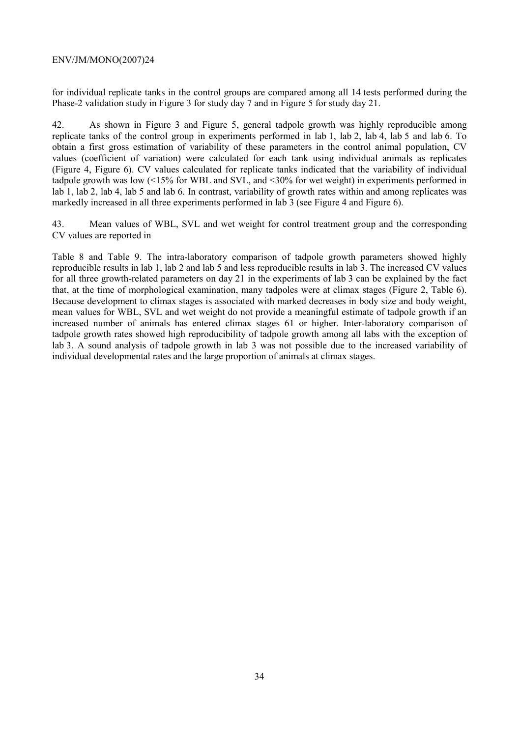for individual replicate tanks in the control groups are compared among all 14 tests performed during the Phase-2 validation study in Figure 3 for study day 7 and in Figure 5 for study day 21.

42. As shown in Figure 3 and Figure 5, general tadpole growth was highly reproducible among replicate tanks of the control group in experiments performed in lab 1, lab 2, lab 4, lab 5 and lab 6. To obtain a first gross estimation of variability of these parameters in the control animal population, CV values (coefficient of variation) were calculated for each tank using individual animals as replicates (Figure 4, Figure 6). CV values calculated for replicate tanks indicated that the variability of individual tadpole growth was low (<15% for WBL and SVL, and <30% for wet weight) in experiments performed in lab 1, lab 2, lab 4, lab 5 and lab 6. In contrast, variability of growth rates within and among replicates was markedly increased in all three experiments performed in lab 3 (see Figure 4 and Figure 6).

43. Mean values of WBL, SVL and wet weight for control treatment group and the corresponding CV values are reported in

Table 8 and Table 9. The intra-laboratory comparison of tadpole growth parameters showed highly reproducible results in lab 1, lab 2 and lab 5 and less reproducible results in lab 3. The increased CV values for all three growth-related parameters on day 21 in the experiments of lab 3 can be explained by the fact that, at the time of morphological examination, many tadpoles were at climax stages (Figure 2, Table 6). Because development to climax stages is associated with marked decreases in body size and body weight, mean values for WBL, SVL and wet weight do not provide a meaningful estimate of tadpole growth if an increased number of animals has entered climax stages 61 or higher. Inter-laboratory comparison of tadpole growth rates showed high reproducibility of tadpole growth among all labs with the exception of lab 3. A sound analysis of tadpole growth in lab 3 was not possible due to the increased variability of individual developmental rates and the large proportion of animals at climax stages.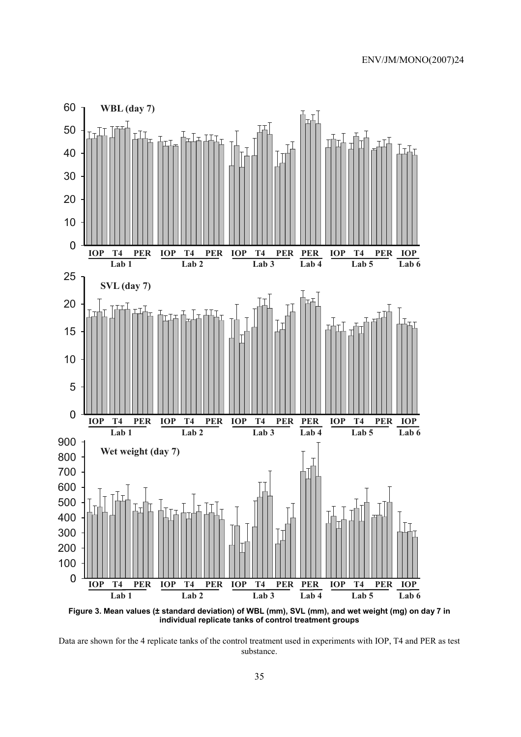

**individual replicate tanks of control treatment groups** 

Data are shown for the 4 replicate tanks of the control treatment used in experiments with IOP, T4 and PER as test substance.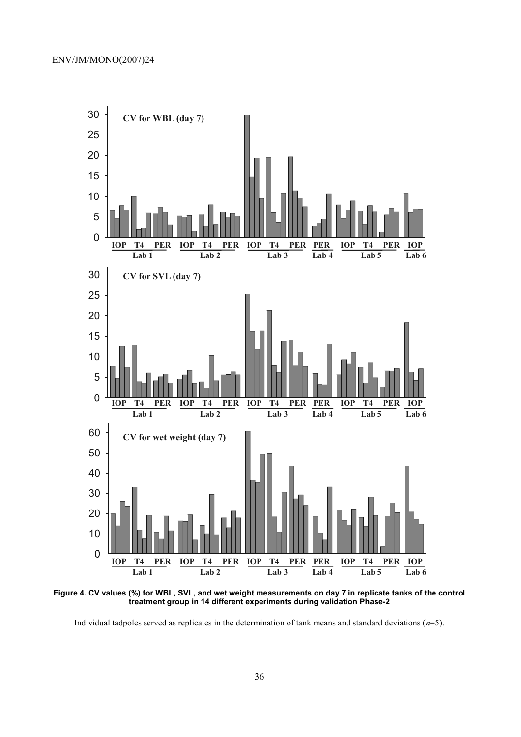

**Figure 4. CV values (%) for WBL, SVL, and wet weight measurements on day 7 in replicate tanks of the control treatment group in 14 different experiments during validation Phase-2** 

Individual tadpoles served as replicates in the determination of tank means and standard deviations (*n*=5).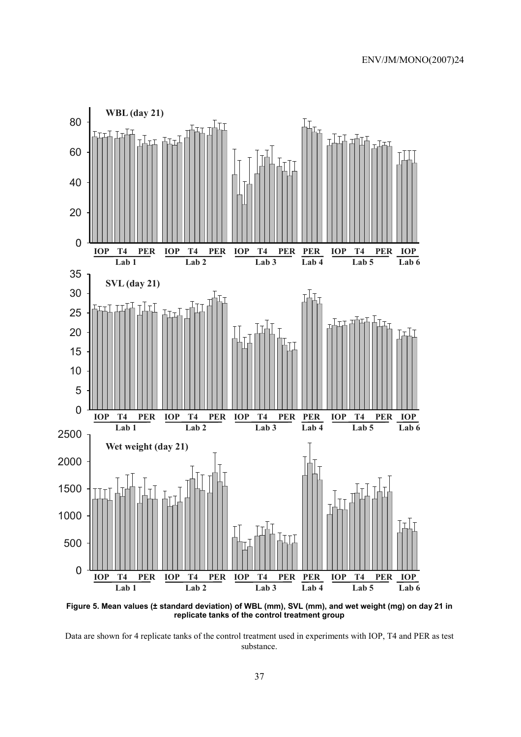

**Figure 5. Mean values (± standard deviation) of WBL (mm), SVL (mm), and wet weight (mg) on day 21 in replicate tanks of the control treatment group** 

Data are shown for 4 replicate tanks of the control treatment used in experiments with IOP, T4 and PER as test substance.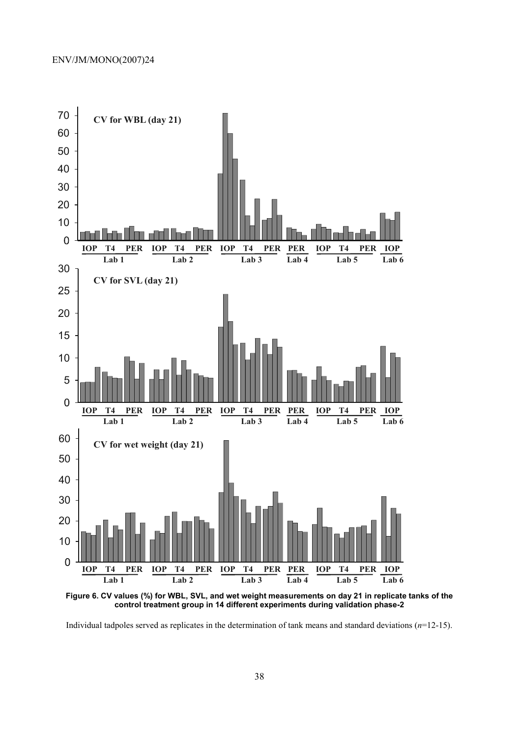

**Figure 6. CV values (%) for WBL, SVL, and wet weight measurements on day 21 in replicate tanks of the control treatment group in 14 different experiments during validation phase-2** 

Individual tadpoles served as replicates in the determination of tank means and standard deviations (*n*=12-15).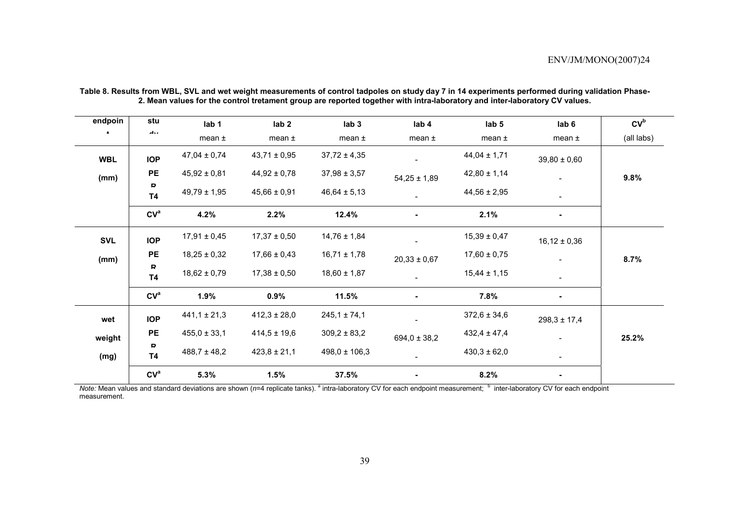| endpoin          | stu             | lab 1            | lab <sub>2</sub> | lab <sub>3</sub>  | lab 4            | lab <sub>5</sub> | lab 6            | CV <sup>b</sup> |
|------------------|-----------------|------------------|------------------|-------------------|------------------|------------------|------------------|-----------------|
| $\blacktriangle$ | $\mathbf{a}$    | mean $\pm$       | mean $\pm$       | mean $\pm$        | mean $\pm$       | mean $\pm$       | mean $\pm$       | (all labs)      |
| <b>WBL</b>       | <b>IOP</b>      | $47,04 \pm 0,74$ | $43,71 \pm 0,95$ | $37,72 \pm 4,35$  |                  | $44,04 \pm 1,71$ | $39,80 \pm 0,60$ |                 |
| (mm)             | PE              | $45,92 \pm 0,81$ | $44,92 \pm 0,78$ | $37,98 \pm 3,57$  | $54,25 \pm 1,89$ | $42,80 \pm 1,14$ |                  | 9.8%            |
|                  | D<br>T4         | $49,79 \pm 1,95$ | $45,66 \pm 0,91$ | $46,64 \pm 5,13$  |                  | $44,56 \pm 2,95$ |                  |                 |
|                  | CV <sup>a</sup> | 4.2%             | 2.2%             | 12.4%             | $\blacksquare$   | 2.1%             | $\blacksquare$   |                 |
| <b>SVL</b>       | <b>IOP</b>      | $17,91 \pm 0,45$ | $17,37 \pm 0,50$ | $14,76 \pm 1,84$  |                  | $15,39 \pm 0,47$ | $16,12 \pm 0,36$ |                 |
| (mm)             | PE              | $18,25 \pm 0,32$ | $17,66 \pm 0,43$ | $16,71 \pm 1,78$  | $20,33 \pm 0,67$ | $17,60 \pm 0,75$ |                  | 8.7%            |
|                  | D<br><b>T4</b>  | $18,62 \pm 0,79$ | $17,38 \pm 0,50$ | $18,60 \pm 1,87$  |                  | $15,44 \pm 1,15$ |                  |                 |
|                  | CV <sup>a</sup> | 1.9%             | 0.9%             | 11.5%             |                  | 7.8%             |                  |                 |
| wet              | <b>IOP</b>      | $441,1 \pm 21,3$ | $412,3 \pm 28,0$ | $245,1 \pm 74,1$  |                  | $372,6 \pm 34,6$ | $298,3 \pm 17,4$ |                 |
| weight           | PE              | $455,0 \pm 33,1$ | $414,5 \pm 19,6$ | $309,2 \pm 83,2$  | $694,0 \pm 38,2$ | $432,4 \pm 47,4$ |                  | 25.2%           |
| (mg)             | D<br>T4         | $488,7 \pm 48,2$ | $423,8 \pm 21,1$ | $498,0 \pm 106,3$ |                  | $430,3 \pm 62,0$ |                  |                 |
|                  | CV <sup>a</sup> | 5.3%             | 1.5%             | 37.5%             |                  | 8.2%             |                  |                 |

**Table 8. Results from WBL, SVL and wet weight measurements of control tadpoles on study day 7 in 14 experiments performed during validation Phase-2. Mean values for the control tretament group are reported together with intra-laboratory and inter-laboratory CV values.** 

*Note:* Mean values and standard deviations are shown (*n*=4 replicate tanks).<sup>a</sup> intra-laboratory CV for each endpoint measurement; <sup>b</sup> inter-laboratory CV for each endpoint measurement.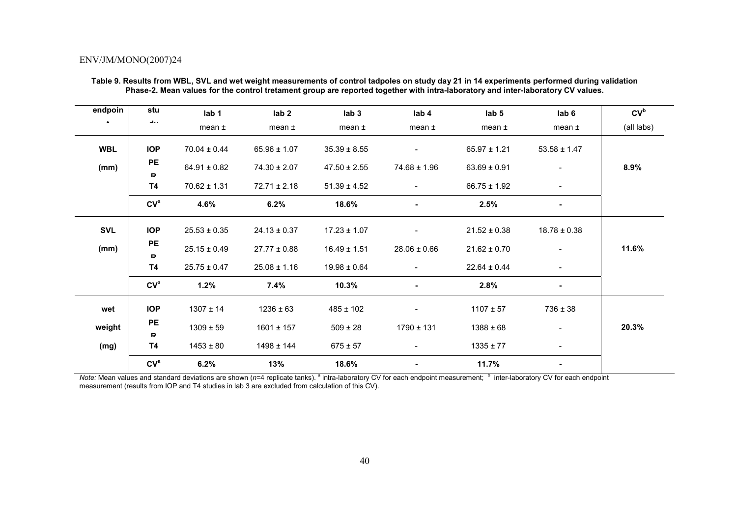| endpoin          | stu                                | lab 1            | lab <sub>2</sub> | lab <sub>3</sub>  | lab 4                    | lab <sub>5</sub> | lab 6                    | CV <sup>b</sup> |
|------------------|------------------------------------|------------------|------------------|-------------------|--------------------------|------------------|--------------------------|-----------------|
| $\blacktriangle$ | $\Delta \mathbf{I}$ . $\mathbf{I}$ | mean $\pm$       | mean $\pm$       | mean <sub>±</sub> | mean $\pm$               | mean $\pm$       | mean $\pm$               | (all labs)      |
| <b>WBL</b>       | <b>IOP</b>                         | $70.04 \pm 0.44$ | $65.96 \pm 1.07$ | $35.39 \pm 8.55$  | $\overline{\phantom{a}}$ | $65.97 \pm 1.21$ | $53.58 \pm 1.47$         |                 |
| (mm)             | PE<br>D                            | $64.91 \pm 0.82$ | $74.30 \pm 2.07$ | $47.50 \pm 2.55$  | $74.68 \pm 1.96$         | $63.69 \pm 0.91$ | $\blacksquare$           | 8.9%            |
|                  | T4                                 | $70.62 \pm 1.31$ | $72.71 \pm 2.18$ | $51.39 \pm 4.52$  | $\blacksquare$           | $66.75 \pm 1.92$ | $\sim$                   |                 |
|                  | CV <sup>a</sup>                    | 4.6%             | 6.2%             | 18.6%             | $\blacksquare$           | 2.5%             | $\blacksquare$           |                 |
| <b>SVL</b>       | <b>IOP</b>                         | $25.53 \pm 0.35$ | $24.13 \pm 0.37$ | $17.23 \pm 1.07$  |                          | $21.52 \pm 0.38$ | $18.78 \pm 0.38$         |                 |
| (mm)             | PE<br>D                            | $25.15 \pm 0.49$ | $27.77 \pm 0.88$ | $16.49 \pm 1.51$  | $28.06 \pm 0.66$         | $21.62 \pm 0.70$ | $\overline{\phantom{a}}$ | 11.6%           |
|                  | T4                                 | $25.75 \pm 0.47$ | $25.08 \pm 1.16$ | $19.98 \pm 0.64$  |                          | $22.64 \pm 0.44$ | $\blacksquare$           |                 |
|                  | CV <sup>a</sup>                    | 1.2%             | 7.4%             | 10.3%             | ٠                        | 2.8%             | ٠                        |                 |
| wet              | <b>IOP</b>                         | $1307 \pm 14$    | $1236 \pm 63$    | $485 \pm 102$     | $\overline{\phantom{a}}$ | $1107 \pm 57$    | $736 \pm 38$             |                 |
| weight           | PE<br>D                            | $1309 \pm 59$    | $1601 \pm 157$   | $509 \pm 28$      | $1790 \pm 131$           | $1388 \pm 68$    | $\blacksquare$           | 20.3%           |
| (mg)             | Τ4                                 | $1453 \pm 80$    | $1498 \pm 144$   | $675 \pm 57$      | $\overline{\phantom{a}}$ | $1335 \pm 77$    | $\sim$                   |                 |
|                  | CV <sup>a</sup>                    | 6.2%             | 13%              | 18.6%             | $\blacksquare$           | 11.7%            | $\blacksquare$           |                 |

**Table 9. Results from WBL, SVL and wet weight measurements of control tadpoles on study day 21 in 14 experiments performed during validation Phase-2. Mean values for the control tretament group are reported together with intra-laboratory and inter-laboratory CV values.** 

Note: Mean values and standard deviations are shown (n=4 replicate tanks). <sup>a</sup> intra-laboratory CV for each endpoint measurement; <sup>b</sup> inter-laboratory CV for each endpoint measurement (results from IOP and T4 studies in lab 3 are excluded from calculation of this CV).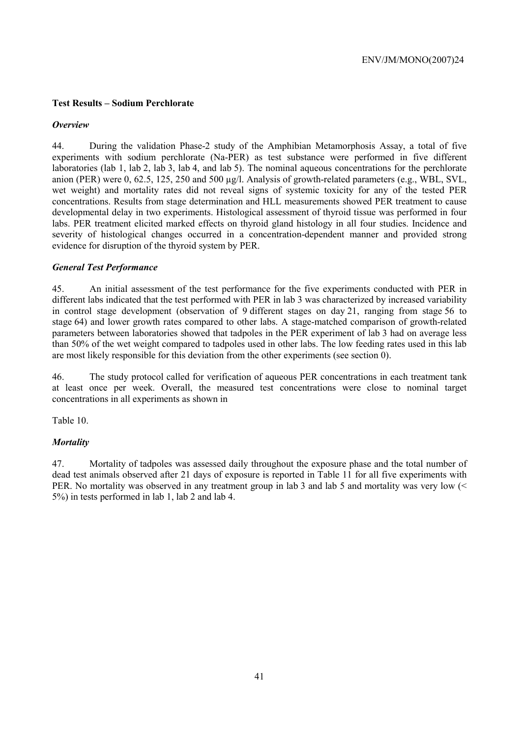## **Test Results – Sodium Perchlorate**

## *Overview*

44. During the validation Phase-2 study of the Amphibian Metamorphosis Assay, a total of five experiments with sodium perchlorate (Na-PER) as test substance were performed in five different laboratories (lab 1, lab 2, lab 3, lab 4, and lab 5). The nominal aqueous concentrations for the perchlorate anion (PER) were 0, 62.5, 125, 250 and 500 µg/l. Analysis of growth-related parameters (e.g., WBL, SVL, wet weight) and mortality rates did not reveal signs of systemic toxicity for any of the tested PER concentrations. Results from stage determination and HLL measurements showed PER treatment to cause developmental delay in two experiments. Histological assessment of thyroid tissue was performed in four labs. PER treatment elicited marked effects on thyroid gland histology in all four studies. Incidence and severity of histological changes occurred in a concentration-dependent manner and provided strong evidence for disruption of the thyroid system by PER.

## *General Test Performance*

45. An initial assessment of the test performance for the five experiments conducted with PER in different labs indicated that the test performed with PER in lab 3 was characterized by increased variability in control stage development (observation of 9 different stages on day 21, ranging from stage 56 to stage 64) and lower growth rates compared to other labs. A stage-matched comparison of growth-related parameters between laboratories showed that tadpoles in the PER experiment of lab 3 had on average less than 50% of the wet weight compared to tadpoles used in other labs. The low feeding rates used in this lab are most likely responsible for this deviation from the other experiments (see section 0).

46. The study protocol called for verification of aqueous PER concentrations in each treatment tank at least once per week. Overall, the measured test concentrations were close to nominal target concentrations in all experiments as shown in

Table 10.

# *Mortality*

47. Mortality of tadpoles was assessed daily throughout the exposure phase and the total number of dead test animals observed after 21 days of exposure is reported in Table 11 for all five experiments with PER. No mortality was observed in any treatment group in lab 3 and lab 5 and mortality was very low (< 5%) in tests performed in lab 1, lab 2 and lab 4.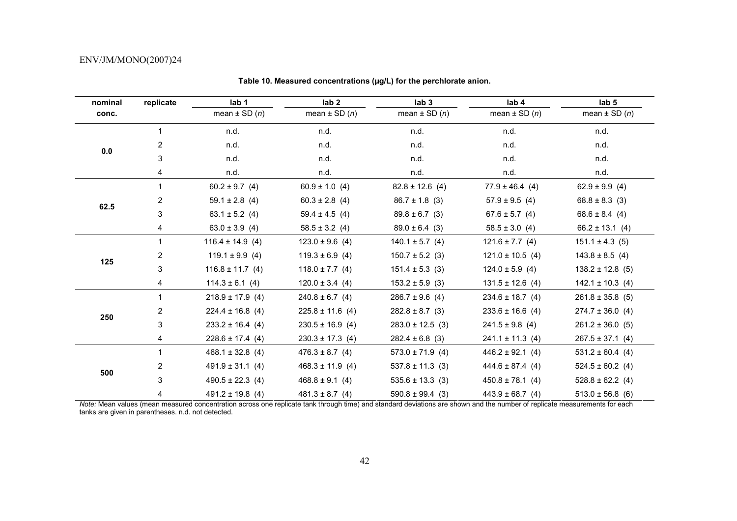| nominal | replicate      | lab 1                | lab <sub>2</sub>     | lab <sub>3</sub>     | lab 4                | lab 5                |
|---------|----------------|----------------------|----------------------|----------------------|----------------------|----------------------|
| conc.   |                | mean $\pm$ SD $(n)$  | mean $\pm$ SD $(n)$  | mean $\pm$ SD $(n)$  | mean $\pm$ SD $(n)$  | mean $\pm$ SD $(n)$  |
|         | $\mathbf{1}$   | n.d.                 | n.d.                 | n.d.                 | n.d.                 | n.d.                 |
| 0.0     | $\overline{2}$ | n.d.                 | n.d.                 | n.d.                 | n.d.                 | n.d.                 |
|         | 3              | n.d.                 | n.d.                 | n.d.                 | n.d.                 | n.d.                 |
|         | 4              | n.d.                 | n.d.                 | n.d.                 | n.d.                 | n.d.                 |
|         | $\mathbf 1$    | $60.2 \pm 9.7$ (4)   | $60.9 \pm 1.0$ (4)   | $82.8 \pm 12.6$ (4)  | $77.9 \pm 46.4$ (4)  | $62.9 \pm 9.9$ (4)   |
|         | $\overline{c}$ | $59.1 \pm 2.8$ (4)   | $60.3 \pm 2.8$ (4)   | $86.7 \pm 1.8$ (3)   | $57.9 \pm 9.5$ (4)   | $68.8 \pm 8.3$ (3)   |
| 62.5    | 3              | 63.1 ± 5.2 (4)       | $59.4 \pm 4.5$ (4)   | $89.8 \pm 6.7$ (3)   | $67.6 \pm 5.7$ (4)   | $68.6 \pm 8.4$ (4)   |
|         | 4              | $63.0 \pm 3.9$ (4)   | $58.5 \pm 3.2$ (4)   | $89.0 \pm 6.4$ (3)   | $58.5 \pm 3.0$ (4)   | $66.2 \pm 13.1$ (4)  |
|         | $\mathbf{1}$   | $116.4 \pm 14.9$ (4) | $123.0 \pm 9.6$ (4)  | $140.1 \pm 5.7$ (4)  | $121.6 \pm 7.7$ (4)  | $151.1 \pm 4.3$ (5)  |
|         | $\overline{2}$ | $119.1 \pm 9.9$ (4)  | $119.3 \pm 6.9$ (4)  | $150.7 \pm 5.2$ (3)  | $121.0 \pm 10.5$ (4) | $143.8 \pm 8.5$ (4)  |
| 125     | 3              | $116.8 \pm 11.7$ (4) | $118.0 \pm 7.7$ (4)  | $151.4 \pm 5.3$ (3)  | $124.0 \pm 5.9$ (4)  | $138.2 \pm 12.8$ (5) |
|         | 4              | $114.3 \pm 6.1$ (4)  | $120.0 \pm 3.4$ (4)  | $153.2 \pm 5.9$ (3)  | $131.5 \pm 12.6$ (4) | $142.1 \pm 10.3$ (4) |
|         | $\mathbf{1}$   | $218.9 \pm 17.9$ (4) | $240.8 \pm 6.7$ (4)  | $286.7 \pm 9.6$ (4)  | $234.6 \pm 18.7$ (4) | $261.8 \pm 35.8$ (5) |
|         | $\overline{2}$ | $224.4 \pm 16.8$ (4) | $225.8 \pm 11.6$ (4) | $282.8 \pm 8.7$ (3)  | $233.6 \pm 16.6$ (4) | $274.7 \pm 36.0$ (4) |
| 250     | 3              | $233.2 \pm 16.4$ (4) | $230.5 \pm 16.9$ (4) | $283.0 \pm 12.5$ (3) | $241.5 \pm 9.8$ (4)  | $261.2 \pm 36.0$ (5) |
|         | 4              | $228.6 \pm 17.4$ (4) | $230.3 \pm 17.3$ (4) | $282.4 \pm 6.8$ (3)  | $241.1 \pm 11.3$ (4) | $267.5 \pm 37.1$ (4) |
|         | 1              | $468.1 \pm 32.8$ (4) | $476.3 \pm 8.7$ (4)  | $573.0 \pm 71.9$ (4) | $446.2 \pm 92.1$ (4) | $531.2 \pm 60.4$ (4) |
|         | $\overline{2}$ | $491.9 \pm 31.1$ (4) | $468.3 \pm 11.9$ (4) | $537.8 \pm 11.3$ (3) | $444.6 \pm 87.4$ (4) | $524.5 \pm 60.2$ (4) |
| 500     | 3              | $490.5 \pm 22.3$ (4) | $468.8 \pm 9.1$ (4)  | $535.6 \pm 13.3$ (3) | $450.8 \pm 78.1$ (4) | $528.8 \pm 62.2$ (4) |
|         | 4              | $491.2 \pm 19.8$ (4) | $481.3 \pm 8.7$ (4)  | $590.8 \pm 99.4$ (3) | $443.9 \pm 68.7$ (4) | $513.0 \pm 56.8$ (6) |

**Table 10. Measured concentrations (µg/L) for the perchlorate anion.** 

*Note:* Mean values (mean measured concentration across one replicate tank through time) and standard deviations are shown and the number of replicate measurements for each tanks are given in parentheses. n.d. not detected.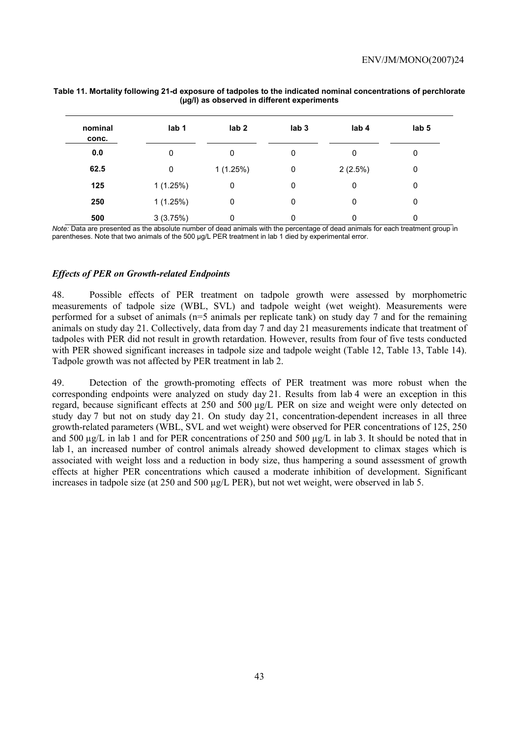| nominal<br>conc. | lab 1    | lab <sub>2</sub> | lab <sub>3</sub> | lab 4   | lab 5 |
|------------------|----------|------------------|------------------|---------|-------|
| 0.0              | 0        | 0                | 0                | 0       | 0     |
| 62.5             | 0        | 1(1.25%)         | 0                | 2(2.5%) | 0     |
| 125              | 1(1.25%) | 0                | 0                | 0       | 0     |
| 250              | 1(1.25%) | 0                | 0                | 0       | 0     |
| 500              | 3(3.75%) | 0                | 0                | 0       | 0     |

### **Table 11. Mortality following 21-d exposure of tadpoles to the indicated nominal concentrations of perchlorate (µg/l) as observed in different experiments**

*Note:* Data are presented as the absolute number of dead animals with the percentage of dead animals for each treatment group in parentheses. Note that two animals of the 500 µg/L PER treatment in lab 1 died by experimental error.

### *Effects of PER on Growth-related Endpoints*

48. Possible effects of PER treatment on tadpole growth were assessed by morphometric measurements of tadpole size (WBL, SVL) and tadpole weight (wet weight). Measurements were performed for a subset of animals (n=5 animals per replicate tank) on study day 7 and for the remaining animals on study day 21. Collectively, data from day 7 and day 21 measurements indicate that treatment of tadpoles with PER did not result in growth retardation. However, results from four of five tests conducted with PER showed significant increases in tadpole size and tadpole weight (Table 12, Table 13, Table 14). Tadpole growth was not affected by PER treatment in lab 2.

49. Detection of the growth-promoting effects of PER treatment was more robust when the corresponding endpoints were analyzed on study day 21. Results from lab 4 were an exception in this regard, because significant effects at 250 and 500 µg/L PER on size and weight were only detected on study day 7 but not on study day 21. On study day 21, concentration-dependent increases in all three growth-related parameters (WBL, SVL and wet weight) were observed for PER concentrations of 125, 250 and 500 µg/L in lab 1 and for PER concentrations of 250 and 500 µg/L in lab 3. It should be noted that in lab 1, an increased number of control animals already showed development to climax stages which is associated with weight loss and a reduction in body size, thus hampering a sound assessment of growth effects at higher PER concentrations which caused a moderate inhibition of development. Significant increases in tadpole size (at 250 and 500 µg/L PER), but not wet weight, were observed in lab 5.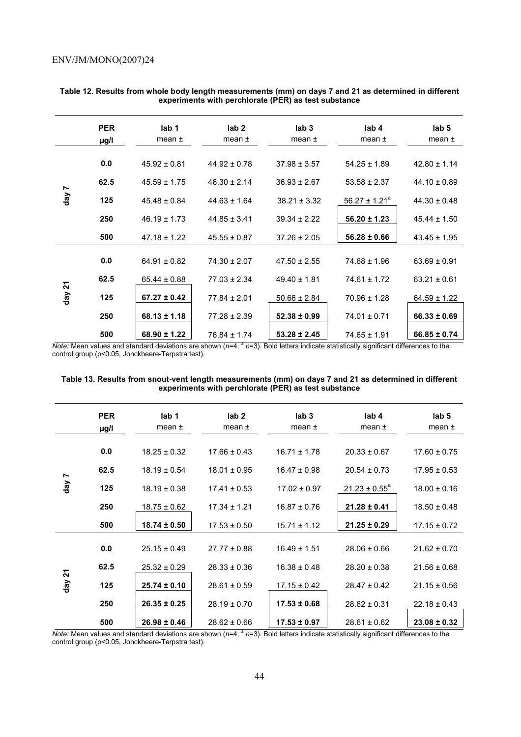|        | <b>PER</b><br>µg/l | lab <sub>1</sub><br>mean $\pm$ | lab <sub>2</sub><br>mean $\pm$ | lab <sub>3</sub><br>mean $\pm$ | lab <sub>4</sub><br>mean $\pm$ | lab <sub>5</sub><br>mean $\pm$ |
|--------|--------------------|--------------------------------|--------------------------------|--------------------------------|--------------------------------|--------------------------------|
|        | 0.0                | $45.92 \pm 0.81$               | $44.92 \pm 0.78$               | $37.98 \pm 3.57$               | $54.25 \pm 1.89$               | $42.80 \pm 1.14$               |
|        | 62.5               | $45.59 \pm 1.75$               | $46.30 \pm 2.14$               | $36.93 \pm 2.67$               | $53.58 \pm 2.37$               | $44.10 \pm 0.89$               |
| day 7  | 125                | $45.48 \pm 0.84$               | $44.63 \pm 1.64$               | $38.21 \pm 3.32$               | $56.27 \pm 1.21^a$             | $44.30 \pm 0.48$               |
|        | 250                | $46.19 \pm 1.73$               | $44.85 \pm 3.41$               | $39.34 \pm 2.22$               | $56.20 \pm 1.23$               | $45.44 \pm 1.50$               |
|        | 500                | $47.18 \pm 1.22$               | $45.55 \pm 0.87$               | $37.26 \pm 2.05$               | $56.28 \pm 0.66$               | $43.45 \pm 1.95$               |
|        | 0.0                | $64.91 \pm 0.82$               | $74.30 \pm 2.07$               | $47.50 \pm 2.55$               | $74.68 \pm 1.96$               | $63.69 \pm 0.91$               |
|        | 62.5               | $65.44 \pm 0.88$               | $77.03 \pm 2.34$               | $49.40 \pm 1.81$               | $74.61 \pm 1.72$               | $63.21 \pm 0.61$               |
| day 21 | 125                | $67.27 \pm 0.42$               | 77.84 ± 2.01                   | $50.66 \pm 2.84$               | $70.96 \pm 1.28$               | $64.59 \pm 1.22$               |
|        | 250                | $68.13 \pm 1.18$               | $77.28 \pm 2.39$               | $52.38 \pm 0.99$               | $74.01 \pm 0.71$               | $66.33 \pm 0.69$               |
|        | 500                | $68.90 \pm 1.22$               | $76.84 \pm 1.74$               | $53.28 \pm 2.45$               | $74.65 \pm 1.91$               | $66.85 \pm 0.74$               |

#### **Table 12. Results from whole body length measurements (mm) on days 7 and 21 as determined in different experiments with perchlorate (PER) as test substance**

*Note:* Mean values and standard deviations are shown ( $n=4$ ;  $n=3$ ). Bold letters indicate statistically significant differences to the control group (p<0.05, Jonckheere-Terpstra test).

| Table 13. Results from snout-vent length measurements (mm) on days 7 and 21 as determined in different |
|--------------------------------------------------------------------------------------------------------|
| experiments with perchlorate (PER) as test substance                                                   |

÷

|        | <b>PER</b><br>µg/l | lab 1<br>mean $\pm$ | lab <sub>2</sub><br>mean $\pm$ | lab <sub>3</sub><br>mean $\pm$ | lab 4<br>mean $\pm$ | lab 5<br>mean $\pm$ |
|--------|--------------------|---------------------|--------------------------------|--------------------------------|---------------------|---------------------|
|        | 0.0                | $18.25 \pm 0.32$    | $17.66 \pm 0.43$               | $16.71 \pm 1.78$               | $20.33 \pm 0.67$    | $17.60 \pm 0.75$    |
|        | 62.5               | $18.19 \pm 0.54$    | $18.01 \pm 0.95$               | $16.47 \pm 0.98$               | $20.54 \pm 0.73$    | $17.95 \pm 0.53$    |
| day 7  | 125                | $18.19 \pm 0.38$    | $17.41 \pm 0.53$               | $17.02 \pm 0.97$               | $21.23 \pm 0.55^a$  | $18.00 \pm 0.16$    |
|        | 250                | $18.75 \pm 0.62$    | $17.34 \pm 1.21$               | $16.87 \pm 0.76$               | $21.28 \pm 0.41$    | $18.50 \pm 0.48$    |
|        | 500                | $18.74 \pm 0.50$    | $17.53 \pm 0.50$               | $15.71 \pm 1.12$               | $21.25 \pm 0.29$    | $17.15 \pm 0.72$    |
|        |                    |                     |                                |                                |                     |                     |
|        | 0.0                | $25.15 \pm 0.49$    | $27.77 \pm 0.88$               | $16.49 \pm 1.51$               | $28.06 \pm 0.66$    | $21.62 \pm 0.70$    |
|        | 62.5               | $25.32 \pm 0.29$    | $28.33 \pm 0.36$               | $16.38 \pm 0.48$               | $28.20 \pm 0.38$    | $21.56 \pm 0.68$    |
| day 21 | 125                | $25.74 \pm 0.10$    | $28.61 \pm 0.59$               | $17.15 \pm 0.42$               | $28.47 \pm 0.42$    | $21.15 \pm 0.56$    |
|        | 250                | $26.35 \pm 0.25$    | $28.19 \pm 0.70$               | $17.53 \pm 0.68$               | $28.62 \pm 0.31$    | $22.18 \pm 0.43$    |
|        | 500                | $26.98 \pm 0.46$    | $28.62 \pm 0.66$               | $17.53 \pm 0.97$               | $28.61 \pm 0.62$    | $23.08 \pm 0.32$    |

*Note:* Mean values and standard deviations are shown ( $n=4$ ;  $n=3$ ). Bold letters indicate statistically significant differences to the control group (p<0.05, Jonckheere-Terpstra test).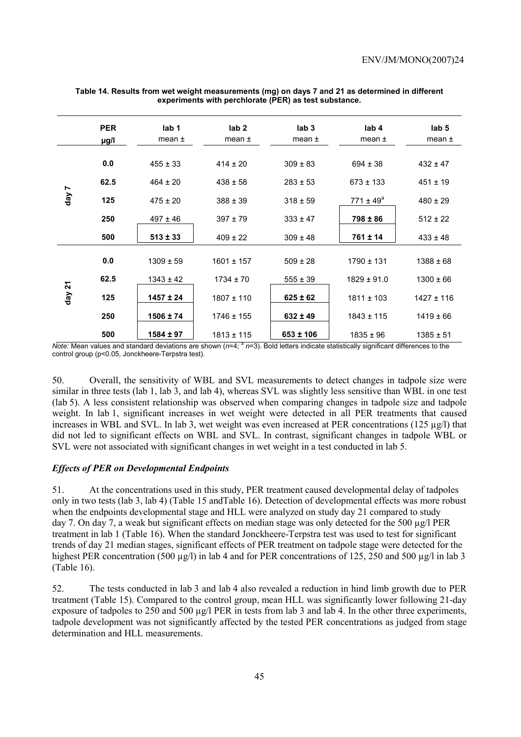|                   | <b>PER</b> | lab 1         | lab <sub>2</sub> | lab <sub>3</sub> | lab 4           | lab 5          |
|-------------------|------------|---------------|------------------|------------------|-----------------|----------------|
|                   | µg/l       | mean $\pm$    | $mean \pm$       | mean $\pm$       | $mean \pm$      | mean $\pm$     |
|                   |            |               |                  |                  |                 |                |
| day 7             | 0.0        | $455 \pm 33$  | $414 \pm 20$     | $309 \pm 83$     | $694 \pm 38$    | $432 \pm 47$   |
|                   | 62.5       | $464 \pm 20$  | $438 \pm 58$     | $283 \pm 53$     | $673 \pm 133$   | $451 \pm 19$   |
|                   | 125        | $475 \pm 20$  | $388 \pm 39$     | $318 \pm 59$     | $771 \pm 49^a$  | $480 \pm 29$   |
|                   | 250        | $497 \pm 46$  | $397 \pm 79$     | $333 \pm 47$     | 798 ± 86        | $512 \pm 22$   |
|                   | 500        | $513 \pm 33$  | $409 \pm 22$     | $309 \pm 48$     | 761 ± 14        | $433 \pm 48$   |
|                   |            |               |                  |                  |                 |                |
|                   | 0.0        | $1309 \pm 59$ | $1601 \pm 157$   | $509 \pm 28$     | $1790 \pm 131$  | $1388 \pm 68$  |
|                   |            |               |                  |                  |                 |                |
|                   | 62.5       | $1343 \pm 42$ | $1734 \pm 70$    | $555 \pm 39$     | $1829 \pm 91.0$ | $1300 \pm 66$  |
| day <sub>21</sub> | 125        | $1457 \pm 24$ | $1807 \pm 110$   | $625 \pm 62$     | $1811 \pm 103$  | $1427 \pm 116$ |
|                   | 250        | $1506 \pm 74$ | $1746 \pm 155$   | $632 \pm 49$     | $1843 \pm 115$  | $1419 \pm 66$  |
|                   | 500        | $1584 \pm 97$ | $1813 \pm 115$   | $653 \pm 106$    | $1835 \pm 96$   | $1385 \pm 51$  |

### **Table 14. Results from wet weight measurements (mg) on days 7 and 21 as determined in different experiments with perchlorate (PER) as test substance.**

*Note:* Mean values and standard deviations are shown ( $n=4$ ;  $n=3$ ). Bold letters indicate statistically significant differences to the control group (p<0.05, Jonckheere-Terpstra test).

50. Overall, the sensitivity of WBL and SVL measurements to detect changes in tadpole size were similar in three tests (lab 1, lab 3, and lab 4), whereas SVL was slightly less sensitive than WBL in one test (lab 5). A less consistent relationship was observed when comparing changes in tadpole size and tadpole weight. In lab 1, significant increases in wet weight were detected in all PER treatments that caused increases in WBL and SVL. In lab 3, wet weight was even increased at PER concentrations ( $125 \mu g/l$ ) that did not led to significant effects on WBL and SVL. In contrast, significant changes in tadpole WBL or SVL were not associated with significant changes in wet weight in a test conducted in lab 5.

# *Effects of PER on Developmental Endpoints*

51. At the concentrations used in this study, PER treatment caused developmental delay of tadpoles only in two tests (lab 3, lab 4) (Table 15 andTable 16). Detection of developmental effects was more robust when the endpoints developmental stage and HLL were analyzed on study day 21 compared to study day 7. On day 7, a weak but significant effects on median stage was only detected for the 500 µg/l PER treatment in lab 1 (Table 16). When the standard Jonckheere-Terpstra test was used to test for significant trends of day 21 median stages, significant effects of PER treatment on tadpole stage were detected for the highest PER concentration (500 µg/l) in lab 4 and for PER concentrations of 125, 250 and 500 µg/l in lab 3 (Table 16).

52. The tests conducted in lab 3 and lab 4 also revealed a reduction in hind limb growth due to PER treatment (Table 15). Compared to the control group, mean HLL was significantly lower following 21-day exposure of tadpoles to 250 and 500  $\mu$ g/l PER in tests from lab 3 and lab 4. In the other three experiments, tadpole development was not significantly affected by the tested PER concentrations as judged from stage determination and HLL measurements.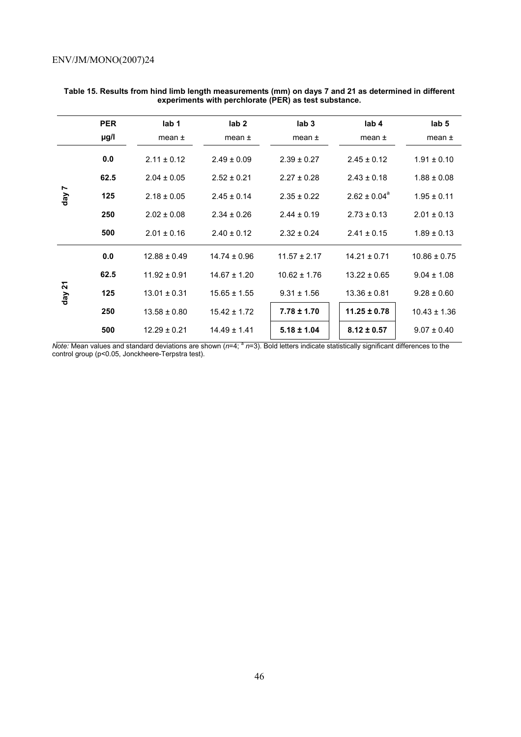|        | <b>PER</b> | lab 1            | lab <sub>2</sub> | lab <sub>3</sub> | lab 4             | lab 5            |
|--------|------------|------------------|------------------|------------------|-------------------|------------------|
|        | µg/l       | mean $\pm$       | mean $\pm$       | mean $\pm$       | mean $\pm$        | mean $\pm$       |
|        | 0.0        | $2.11 \pm 0.12$  | $2.49 \pm 0.09$  | $2.39 \pm 0.27$  | $2.45 \pm 0.12$   | $1.91 \pm 0.10$  |
|        | 62.5       | $2.04 \pm 0.05$  | $2.52 \pm 0.21$  | $2.27 \pm 0.28$  | $2.43 \pm 0.18$   | $1.88 \pm 0.08$  |
| day 7  | 125        | $2.18 \pm 0.05$  | $2.45 \pm 0.14$  | $2.35 \pm 0.22$  | $2.62 \pm 0.04^a$ | $1.95 \pm 0.11$  |
|        | 250        | $2.02 \pm 0.08$  | $2.34 \pm 0.26$  | $2.44 \pm 0.19$  | $2.73 \pm 0.13$   | $2.01 \pm 0.13$  |
|        | 500        | $2.01 \pm 0.16$  | $2.40 \pm 0.12$  | $2.32 \pm 0.24$  | $2.41 \pm 0.15$   | $1.89 \pm 0.13$  |
|        | 0.0        | $12.88 \pm 0.49$ | $14.74 \pm 0.96$ | $11.57 \pm 2.17$ | $14.21 \pm 0.71$  | $10.86 \pm 0.75$ |
|        | 62.5       | $11.92 \pm 0.91$ | $14.67 \pm 1.20$ | $10.62 \pm 1.76$ | $13.22 \pm 0.65$  | $9.04 \pm 1.08$  |
| day 21 | 125        | $13.01 \pm 0.31$ | $15.65 \pm 1.55$ | $9.31 \pm 1.56$  | $13.36 \pm 0.81$  | $9.28 \pm 0.60$  |
|        | 250        | $13.58 \pm 0.80$ | $15.42 \pm 1.72$ | $7.78 \pm 1.70$  | $11.25 \pm 0.78$  | $10.43 \pm 1.36$ |
|        | 500        | $12.29 \pm 0.21$ | $14.49 \pm 1.41$ | $5.18 \pm 1.04$  | $8.12 \pm 0.57$   | $9.07 \pm 0.40$  |

#### **Table 15. Results from hind limb length measurements (mm) on days 7 and 21 as determined in different experiments with perchlorate (PER) as test substance.**

*Note:* Mean values and standard deviations are shown ( $n=4$ ;  $n=3$ ). Bold letters indicate statistically significant differences to the control group (p<0.05, Jonckheere-Terpstra test).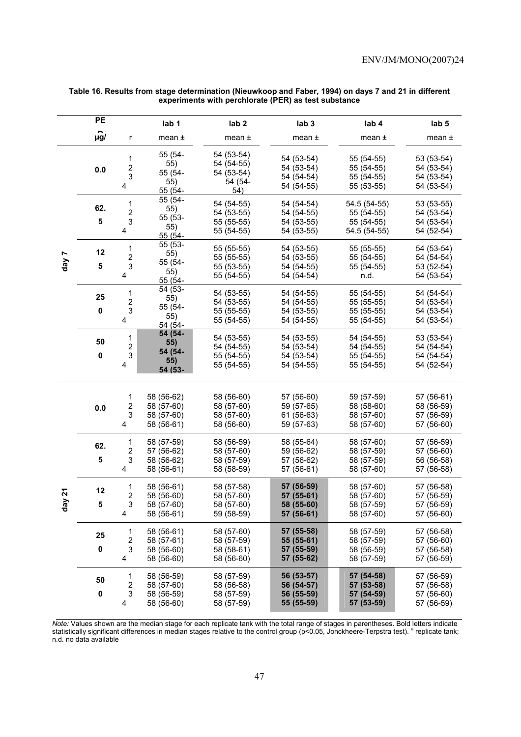|               | PE              |                                        | lab 1                                                | lab <sub>2</sub>                                         | lab <sub>3</sub>                                     | lab 4                                                    | lab <sub>5</sub>                                     |
|---------------|-----------------|----------------------------------------|------------------------------------------------------|----------------------------------------------------------|------------------------------------------------------|----------------------------------------------------------|------------------------------------------------------|
|               | n<br>µg/        | r                                      | $mean \pm$                                           | mean $\pm$                                               | mean $\pm$                                           | mean ±                                                   | mean $\pm$                                           |
|               | 0.0             | 1<br>$\overline{\mathbf{c}}$<br>3<br>4 | 55 (54-<br>55)<br>55 (54-<br>55)<br>55 (54-          | 54 (53-54)<br>54 (54-55)<br>54 (53-54)<br>54 (54-<br>54) | 54 (53-54)<br>54 (53-54)<br>54 (54-54)<br>54 (54-55) | 55 (54-55)<br>55 (54-55)<br>55 (54-55)<br>55 (53-55)     | 53 (53-54)<br>54 (53-54)<br>54 (53-54)<br>54 (53-54) |
| day 7         | 62.<br>5        | 1<br>$\overline{\mathbf{c}}$<br>3<br>4 | 55 (54-<br>55)<br>55 (53-<br>55)<br>55 (54-          | 54 (54-55)<br>54 (53-55)<br>55 (55-55)<br>55 (54-55)     | 54 (54-54)<br>54 (54-55)<br>54 (53-55)<br>54 (53-55) | 54.5 (54-55)<br>55 (54-55)<br>55 (54-55)<br>54.5 (54-55) | 53 (53-55)<br>54 (53-54)<br>54 (53-54)<br>54 (52-54) |
|               | 12<br>5         | 1<br>2<br>3<br>4                       | 55 (53-<br>55)<br>55 (54-<br>55)<br>55 (54-          | 55 (55-55)<br>55 (55-55)<br>55 (53-55)<br>55 (54-55)     | 54 (53-55)<br>54 (53-55)<br>54 (54-55)<br>54 (54-54) | 55 (55-55)<br>55 (54-55)<br>55 (54-55)<br>n.d.           | 54 (53-54)<br>54 (54-54)<br>53 (52-54)<br>54 (53-54) |
|               | 25<br>$\pmb{0}$ | 1<br>$\overline{\mathbf{c}}$<br>3<br>4 | 54 (53-<br>55)<br>55 (54-<br>55)<br>54 (54-          | 54 (53-55)<br>54 (53-55)<br>55 (55-55)<br>55 (54-55)     | 54 (54-55)<br>54 (54-55)<br>54 (53-55)<br>54 (54-55) | 55 (54-55)<br>55 (55-55)<br>55 (55-55)<br>55 (54-55)     | 54 (54-54)<br>54 (53-54)<br>54 (53-54)<br>54 (53-54) |
|               | 50<br>0         | 1<br>$\boldsymbol{2}$<br>3<br>4        | 54 (54-<br>55)<br>54 (54-<br>55)<br>54 (53-          | 54 (53-55)<br>54 (54-55)<br>55 (54-55)<br>55 (54-55)     | 54 (53-55)<br>54 (53-54)<br>54 (53-54)<br>54 (54-55) | 54 (54-55)<br>54 (54-55)<br>55 (54-55)<br>55 (54-55)     | 53 (53-54)<br>54 (54-54)<br>54 (54-54)<br>54 (52-54) |
|               | 0.0             | 1<br>$\overline{\mathbf{c}}$<br>3<br>4 | 58 (56-62)<br>58 (57-60)<br>58 (57-60)<br>58 (56-61) | 58 (56-60)<br>58 (57-60)<br>58 (57-60)<br>58 (56-60)     | 57 (56-60)<br>59 (57-65)<br>61 (56-63)<br>59 (57-63) | 59 (57-59)<br>58 (58-60)<br>58 (57-60)<br>58 (57-60)     | 57 (56-61)<br>58 (56-59)<br>57 (56-59)<br>57 (56-60) |
|               | 62.<br>5        | 1<br>$\mathbf 2$<br>3<br>4             | 58 (57-59)<br>57 (56-62)<br>58 (56-62)<br>58 (56-61) | 58 (56-59)<br>58 (57-60)<br>58 (57-59)<br>58 (58-59)     | 58 (55-64)<br>59 (56-62)<br>57 (56-62)<br>57 (56-61) | 58 (57-60)<br>58 (57-59)<br>58 (57-59)<br>58 (57-60)     | 57 (56-59)<br>57 (56-60)<br>56 (56-58)<br>57 (56-58) |
| 21<br>ζĔ<br>ᄒ | 12<br>5         | 1<br>2<br>3<br>4                       | 58 (56-61)<br>58 (56-60)<br>58 (57-60)<br>58 (56-61) | 58 (57-58)<br>58 (57-60)<br>58 (57-60)<br>59 (58-59)     | 57 (56-59)<br>57 (55-61)<br>58 (55-60)<br>57 (56-61) | 58 (57-60)<br>58 (57-60)<br>58 (57-59)<br>58 (57-60)     | 57 (56-58)<br>57 (56-59)<br>57 (56-59)<br>57 (56-60) |
|               | 25<br>0         | 1<br>$\overline{2}$<br>3<br>4          | 58 (56-61)<br>58 (57-61)<br>58 (56-60)<br>58 (56-60) | 58 (57-60)<br>58 (57-59)<br>58 (58-61)<br>58 (56-60)     | 57 (55-58)<br>55 (55-61)<br>57 (55-59)<br>57 (55-62) | 58 (57-59)<br>58 (57-59)<br>58 (56-59)<br>58 (57-59)     | 57 (56-58)<br>57 (56-60)<br>57 (56-58)<br>57 (56-59) |
|               | 50<br>$\pmb{0}$ | 1<br>$\overline{2}$<br>3<br>4          | 58 (56-59)<br>58 (57-60)<br>58 (56-59)<br>58 (56-60) | 58 (57-59)<br>58 (56-58)<br>58 (57-59)<br>58 (57-59)     | 56 (53-57)<br>56 (54-57)<br>56 (55-59)<br>55 (55-59) | 57 (54-58)<br>57 (53-58)<br>57 (54-59)<br>57 (53-59)     | 57 (56-59)<br>57 (56-58)<br>57 (56-60)<br>57 (56-59) |

#### **Table 16. Results from stage determination (Nieuwkoop and Faber, 1994) on days 7 and 21 in different experiments with perchlorate (PER) as test substance**

*Note:* Values shown are the median stage for each replicate tank with the total range of stages in parentheses. Bold letters indicate statistically significant differences in median stages relative to the control group (p<0.05, Jonckheere-Terpstra test). <sup>a</sup> replicate tank; n.d. no data available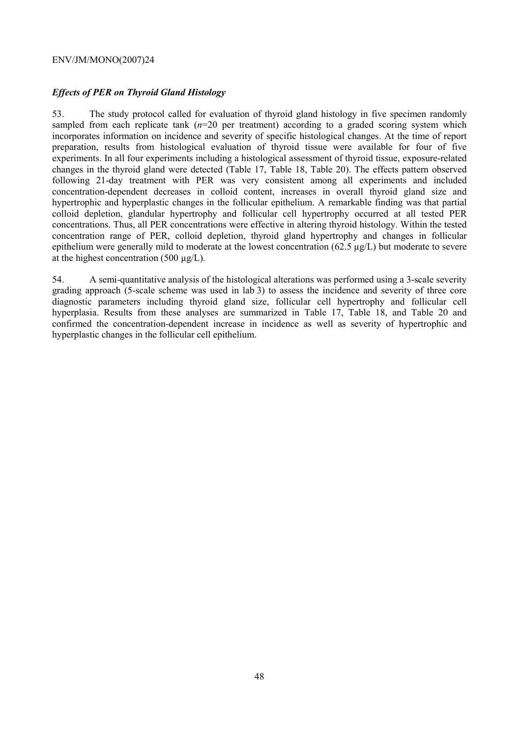# *Effects of PER on Thyroid Gland Histology*

53. The study protocol called for evaluation of thyroid gland histology in five specimen randomly sampled from each replicate tank  $(n=20$  per treatment) according to a graded scoring system which incorporates information on incidence and severity of specific histological changes. At the time of report preparation, results from histological evaluation of thyroid tissue were available for four of five experiments. In all four experiments including a histological assessment of thyroid tissue, exposure-related changes in the thyroid gland were detected (Table 17, Table 18, Table 20). The effects pattern observed following 21-day treatment with PER was very consistent among all experiments and included concentration-dependent decreases in colloid content, increases in overall thyroid gland size and hypertrophic and hyperplastic changes in the follicular epithelium. A remarkable finding was that partial colloid depletion, glandular hypertrophy and follicular cell hypertrophy occurred at all tested PER concentrations. Thus, all PER concentrations were effective in altering thyroid histology. Within the tested concentration range of PER, colloid depletion, thyroid gland hypertrophy and changes in follicular epithelium were generally mild to moderate at the lowest concentration (62.5 µg/L) but moderate to severe at the highest concentration (500  $\mu$ g/L).

54. A semi-quantitative analysis of the histological alterations was performed using a 3-scale severity grading approach (5-scale scheme was used in lab 3) to assess the incidence and severity of three core diagnostic parameters including thyroid gland size, follicular cell hypertrophy and follicular cell hyperplasia. Results from these analyses are summarized in Table 17, Table 18, and Table 20 and confirmed the concentration-dependent increase in incidence as well as severity of hypertrophic and hyperplastic changes in the follicular cell epithelium.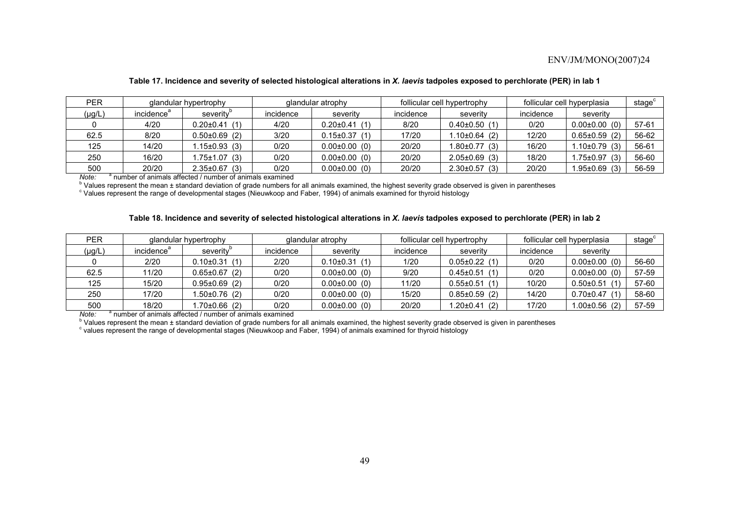| <b>PER</b>  | glandular hypertrophy  |                       | glandular atrophy |                     | follicular cell hypertrophy |                     | follicular cell hyperplasia |                     | stage <sup>'</sup> |
|-------------|------------------------|-----------------------|-------------------|---------------------|-----------------------------|---------------------|-----------------------------|---------------------|--------------------|
| $(\mu g/L)$ | incidence <sup>a</sup> | severity <sup>b</sup> | incidence         | severity            | incidence                   | severity            | incidence                   | severity            |                    |
|             | 4/20                   | $0.20 \pm 0.41$ (1)   | 4/20              | $0.20 \pm 0.41$ (1) | 8/20                        | $0.40\pm0.50$ (1)   | 0/20                        | $0.00 \pm 0.00$ (0) | 57-61              |
| 62.5        | 8/20                   | $0.50 \pm 0.69$ (2)   | 3/20              | $0.15 \pm 0.37$ (1) | 17/20                       | $1.10 \pm 0.64$ (2) | 12/20                       | $0.65 \pm 0.59$ (2) | 56-62              |
| 125         | 14/20                  | 1.15±0.93 (3)         | 0/20              | $0.00 \pm 0.00$ (0) | 20/20                       | $1.80 \pm 0.77$ (3) | 16/20                       | $1.10 \pm 0.79$ (3) | 56-61              |
| 250         | 16/20                  | 1.75±1.07 (3)         | 0/20              | $0.00 \pm 0.00$ (0) | 20/20                       | $2.05 \pm 0.69$ (3) | 18/20                       | $1.75 \pm 0.97$ (3) | 56-60              |
| 500         | 20/20                  | $2.35 \pm 0.67$ (3)   | 0/20              | $0.00 \pm 0.00$ (0) | 20/20                       | $2.30\pm0.57$ (3)   | 20/20                       | $1.95 \pm 0.69$ (3) | 56-59              |

### **Table 17. Incidence and severity of selected histological alterations in** *X. laevis* **tadpoles exposed to perchlorate (PER) in lab 1**

*Note:* <sup>a</sup> number of animals affected / number of animals examined

<sup>b</sup> Values represent the mean ± standard deviation of grade numbers for all animals examined, the highest severity grade observed is given in parentheses

### **Table 18. Incidence and severity of selected histological alterations in** *X. laevis* **tadpoles exposed to perchlorate (PER) in lab 2**

| PER         | glandular hypertrophy  |                        | glandular atrophy |                     | follicular cell hypertrophy |                        | follicular cell hyperplasia | stage <sup>®</sup>  |       |
|-------------|------------------------|------------------------|-------------------|---------------------|-----------------------------|------------------------|-----------------------------|---------------------|-------|
| $(\mu g/L)$ | incidence <sup>ª</sup> | severity <sup>-</sup>  | incidence         | severity            | incidence                   | severity               | incidence                   | severity            |       |
|             | 2/20                   | $0.10+0.31$<br>(1)     | 2/20              | $0.10 \pm 0.31$ (1) | 1/20                        | $0.05 \pm 0.22$ (1)    | 0/20                        | $0.00 \pm 0.00$ (0) | 56-60 |
| 62.5        | 11/20                  | $0.65 \pm 0.67$<br>(2) | 0/20              | $0.00 \pm 0.00$ (0) | 9/20                        | $0.45 \pm 0.51$<br>(1) | 0/20                        | $0.00 \pm 0.00$ (0) | 57-59 |
| 125         | 15/20                  | $0.95 \pm 0.69$ (2)    | 0/20              | $0.00 \pm 0.00$ (0) | 11/20                       | $0.55 + 0.51$<br>(1)   | 10/20                       | $0.50\pm0.51$ (1)   | 57-60 |
| 250         | 17/20                  | 1.50±0.76 (2)          | 0/20              | $0.00 \pm 0.00$ (0) | 15/20                       | $0.85 \pm 0.59$ (2)    | 14/20                       | $0.70 \pm 0.47$     | 58-60 |
| 500         | 18/20                  | $.70\pm0.66$ (2)       | 0/20              | $0.00 \pm 0.00$ (0) | 20/20                       | (2)<br>$.20 \pm 0.41$  | 17/20                       | 1.00±0.56 (2)       | 57-59 |

*Note:* <sup>a</sup> number of animals affected / number of animals examined

<sup>b</sup> Values represent the mean ± standard deviation of grade numbers for all animals examined, the highest severity grade observed is given in parentheses called the mean ± standard deviation of grade numbers for all animal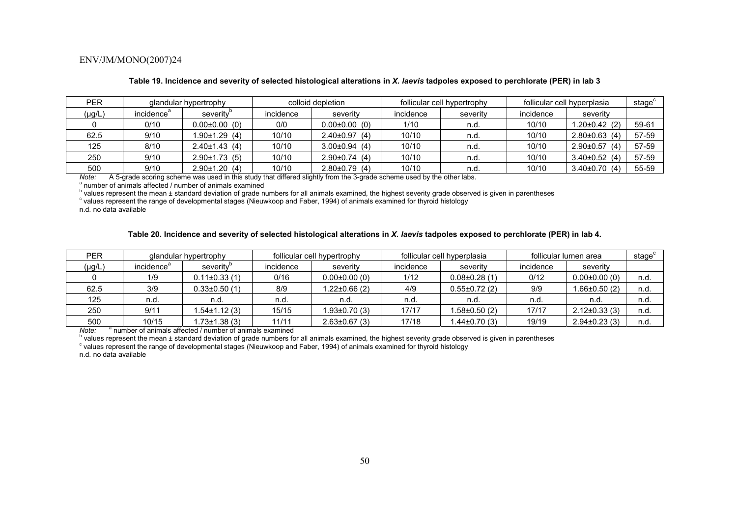#### **Table 19. Incidence and severity of selected histological alterations in** *X. laevis* **tadpoles exposed to perchlorate (PER) in lab 3**

| <b>PER</b>  | glandular hypertrophy  |                       | colloid depletion |                     | follicular cell hypertrophy |          | follicular cell hyperplasia |                     | stage <sup>®</sup> |
|-------------|------------------------|-----------------------|-------------------|---------------------|-----------------------------|----------|-----------------------------|---------------------|--------------------|
| $(\mu g/L)$ | incidence <sup>a</sup> | severity <sup>b</sup> | incidence         | severity            | incidence                   | severity | incidence                   | severity            |                    |
|             | 0/10                   | $0.00 \pm 0.00$ (0)   | 0/0               | $0.00 \pm 0.00$ (0) | 1/10                        | n.d      | 10/10                       | $1.20 \pm 0.42$ (2) | 59-61              |
| 62.5        | 9/10                   | 1.90±1.29 (4)         | 10/10             | $2.40\pm0.97$ (4)   | 10/10                       | n.d      | 10/10                       | $2.80 \pm 0.63$ (4) | 57-59              |
| 125         | 8/10                   | $2.40 \pm 1.43$ (4)   | 10/10             | $3.00 \pm 0.94$ (4) | 10/10                       | n.d      | 10/10                       | $2.90 \pm 0.57$ (4) | 57-59              |
| 250         | 9/10                   | $2.90 \pm 1.73$ (5)   | 10/10             | $2.90 \pm 0.74$ (4) | 10/10                       | n.d      | 10/10                       | $3.40\pm0.52$ (4)   | 57-59              |
| 500         | 9/10                   | $2.90 \pm 1.20$ (4)   | 10/10             | $2.80 \pm 0.79$ (4) | 10/10                       | n.d      | 10/10                       | $3.40\pm0.70$ (4)   | 55-59              |

*Note:* A 5-grade scoring scheme was used in this study that differed slightly from the 3-grade scheme used by the other labs.

a number of animals affected / number of animals examined

<sup>b</sup> values represent the mean ± standard deviation of grade numbers for all animals examined, the highest severity grade observed is given in parentheses

c values represent the range of developmental stages (Nieuwkoop and Faber, 1994) of animals examined for thyroid histology

n.d. no data available

### **Table 20. Incidence and severity of selected histological alterations in** *X. laevis* **tadpoles exposed to perchlorate (PER) in lab 4.**

| <b>PER</b>  | glandular hypertrophy  |                     | follicular cell hypertrophy |                     | follicular cell hyperplasia |                     | follicular lumen area |                    | stage <sup>\</sup> |
|-------------|------------------------|---------------------|-----------------------------|---------------------|-----------------------------|---------------------|-----------------------|--------------------|--------------------|
| $(\mu g/L)$ | incidence <sup>a</sup> | severity            | incidence                   | severity            | incidence                   | severity            | incidence             | severity           |                    |
|             | 1/9                    | $0.11 \pm 0.33(1)$  | 0/16                        | $0.00\pm0.00$ (0)   | 1/12                        | $0.08\pm0.28(1)$    | 0/12                  | $0.00\pm0.00$ (0)  | n.d.               |
| 62.5        | 3/9                    | $0.33\pm0.50(1)$    | 8/9                         | (2) 22±0.66. l      | 4/9                         | $0.55 \pm 0.72$ (2) | 9/9                   | $1.66 \pm 0.50(2)$ | n.d.               |
| 125         | n.d.                   | n.d.                | n.d.                        | n.d.                | n.d.                        | n.d.                | n.d.                  | n.d.               | n.d.               |
| 250         | 9/11                   | .54±1.12 (3)        | 15/15                       | 1.93±0.70 (3)       | 17/17                       | l.58±0.50 (2)       | 17/17                 | $2.12\pm0.33(3)$   | n.d.               |
| 500         | 10/15                  | $1.73 \pm 1.38$ (3) | 11/11                       | $2.63 \pm 0.67$ (3) | 17/18                       | 1.44±0.70 (3)       | 19/19                 | $2.94\pm0.23(3)$   | n.d.               |

*Note:* a number of animals affected / number of animals examined

 $<sup>b</sup>$  values represent the mean  $\pm$  standard deviation of grade numbers for all animals examined, the highest severity grade observed is given in parentheses</sup>

 $c$  values represent the range of developmental stages (Nieuwkoop and Faber, 1994) of animals examined for thyroid histology

n.d. no data available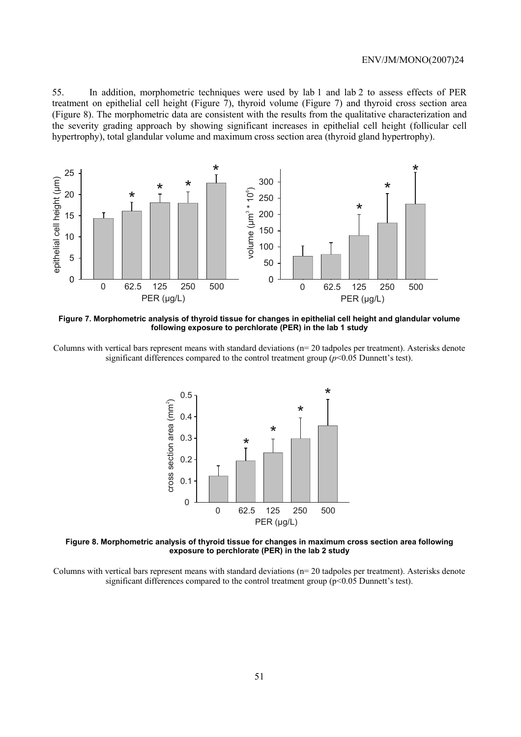55. In addition, morphometric techniques were used by lab 1 and lab 2 to assess effects of PER treatment on epithelial cell height (Figure 7), thyroid volume (Figure 7) and thyroid cross section area (Figure 8). The morphometric data are consistent with the results from the qualitative characterization and the severity grading approach by showing significant increases in epithelial cell height (follicular cell hypertrophy), total glandular volume and maximum cross section area (thyroid gland hypertrophy).



**Figure 7. Morphometric analysis of thyroid tissue for changes in epithelial cell height and glandular volume following exposure to perchlorate (PER) in the lab 1 study** 

Columns with vertical bars represent means with standard deviations (n= 20 tadpoles per treatment). Asterisks denote significant differences compared to the control treatment group ( $p$ <0.05 Dunnett's test).



**Figure 8. Morphometric analysis of thyroid tissue for changes in maximum cross section area following exposure to perchlorate (PER) in the lab 2 study** 

Columns with vertical bars represent means with standard deviations (n= 20 tadpoles per treatment). Asterisks denote significant differences compared to the control treatment group ( $p<0.05$  Dunnett's test).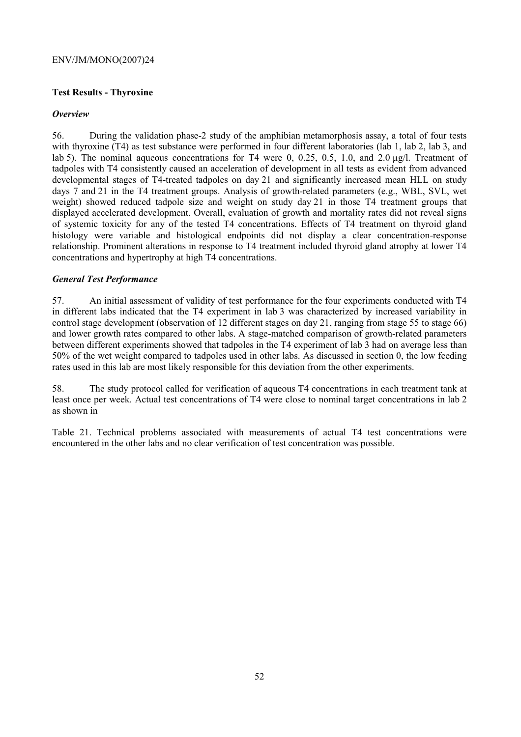# **Test Results - Thyroxine**

# *Overview*

56. During the validation phase-2 study of the amphibian metamorphosis assay, a total of four tests with thyroxine (T4) as test substance were performed in four different laboratories (lab 1, lab 2, lab 3, and lab 5). The nominal aqueous concentrations for T4 were 0, 0.25, 0.5, 1.0, and 2.0 µg/l. Treatment of tadpoles with T4 consistently caused an acceleration of development in all tests as evident from advanced developmental stages of T4-treated tadpoles on day 21 and significantly increased mean HLL on study days 7 and 21 in the T4 treatment groups. Analysis of growth-related parameters (e.g., WBL, SVL, wet weight) showed reduced tadpole size and weight on study day 21 in those T4 treatment groups that displayed accelerated development. Overall, evaluation of growth and mortality rates did not reveal signs of systemic toxicity for any of the tested T4 concentrations. Effects of T4 treatment on thyroid gland histology were variable and histological endpoints did not display a clear concentration-response relationship. Prominent alterations in response to T4 treatment included thyroid gland atrophy at lower T4 concentrations and hypertrophy at high T4 concentrations.

# *General Test Performance*

57. An initial assessment of validity of test performance for the four experiments conducted with T4 in different labs indicated that the T4 experiment in lab 3 was characterized by increased variability in control stage development (observation of 12 different stages on day 21, ranging from stage 55 to stage 66) and lower growth rates compared to other labs. A stage-matched comparison of growth-related parameters between different experiments showed that tadpoles in the T4 experiment of lab 3 had on average less than 50% of the wet weight compared to tadpoles used in other labs. As discussed in section 0, the low feeding rates used in this lab are most likely responsible for this deviation from the other experiments.

58. The study protocol called for verification of aqueous T4 concentrations in each treatment tank at least once per week. Actual test concentrations of T4 were close to nominal target concentrations in lab 2 as shown in

Table 21. Technical problems associated with measurements of actual T4 test concentrations were encountered in the other labs and no clear verification of test concentration was possible.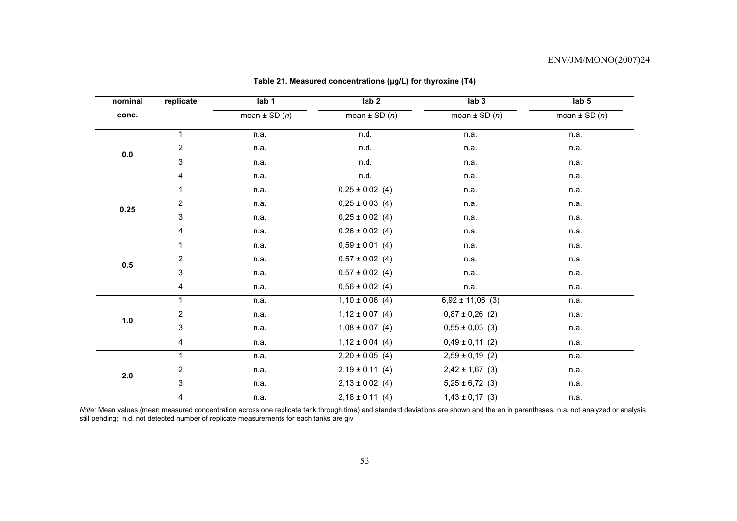| nominal | replicate                 | lab 1               | lab <sub>2</sub>    | lab <sub>3</sub>     | lab <sub>5</sub>    |
|---------|---------------------------|---------------------|---------------------|----------------------|---------------------|
| conc.   |                           | mean $\pm$ SD $(n)$ | mean $\pm$ SD $(n)$ | mean $\pm$ SD $(n)$  | mean $\pm$ SD $(n)$ |
|         | 1                         | n.a.                | n.d.                | n.a.                 | n.a.                |
| $0.0\,$ | $\overline{c}$            | n.a.                | n.d.                | n.a.                 | n.a.                |
|         | $\ensuremath{\mathsf{3}}$ | n.a.                | n.d.                | n.a.                 | n.a.                |
|         | 4                         | n.a.                | n.d.                | n.a.                 | n.a.                |
|         | $\mathbf{1}$              | n.a.                | $0,25 \pm 0,02$ (4) | n.a.                 | n.a.                |
| 0.25    | $\boldsymbol{2}$          | n.a.                | $0,25 \pm 0,03$ (4) | n.a.                 | n.a.                |
|         | 3                         | n.a.                | $0,25 \pm 0,02$ (4) | n.a.                 | n.a.                |
|         | 4                         | n.a.                | $0,26 \pm 0,02$ (4) | n.a.                 | n.a.                |
|         | $\mathbf 1$               | n.a.                | $0,59 \pm 0,01$ (4) | n.a.                 | n.a.                |
| $0.5\,$ | $\overline{\mathbf{c}}$   | n.a.                | $0,57 \pm 0,02$ (4) | n.a.                 | n.a.                |
|         | $\ensuremath{\mathsf{3}}$ | n.a.                | $0,57 \pm 0,02$ (4) | n.a.                 | n.a.                |
|         | 4                         | n.a.                | $0,56 \pm 0,02$ (4) | n.a.                 | n.a.                |
|         | $\mathbf{1}$              | n.a.                | $1,10 \pm 0,06$ (4) | $6,92 \pm 11,06$ (3) | n.a.                |
| $1.0$   | $\overline{c}$            | n.a.                | $1,12 \pm 0,07$ (4) | $0,87 \pm 0,26$ (2)  | n.a.                |
|         | $\ensuremath{\mathsf{3}}$ | n.a.                | $1,08 \pm 0,07$ (4) | $0,55 \pm 0,03$ (3)  | n.a.                |
|         | 4                         | n.a.                | $1,12 \pm 0,04$ (4) | $0,49 \pm 0,11$ (2)  | n.a.                |
|         | 1                         | n.a.                | $2,20 \pm 0,05$ (4) | $2,59 \pm 0,19$ (2)  | n.a.                |
| 2.0     | $\overline{c}$            | n.a.                | $2,19 \pm 0,11$ (4) | $2,42 \pm 1,67$ (3)  | n.a.                |
|         | $\ensuremath{\mathsf{3}}$ | n.a.                | $2,13 \pm 0,02$ (4) | $5,25 \pm 6,72$ (3)  | n.a.                |
|         | 4                         | n.a.                | $2,18 \pm 0,11$ (4) | $1,43 \pm 0,17$ (3)  | n.a.                |

## **Table 21. Measured concentrations (µg/L) for thyroxine (T4)**

*Note:* Mean values (mean measured concentration across one replicate tank through time) and standard deviations are shown and the en in parentheses. n.a. not analyzed or analysis still pending; n.d. not detected number of replicate measurements for each tanks are giv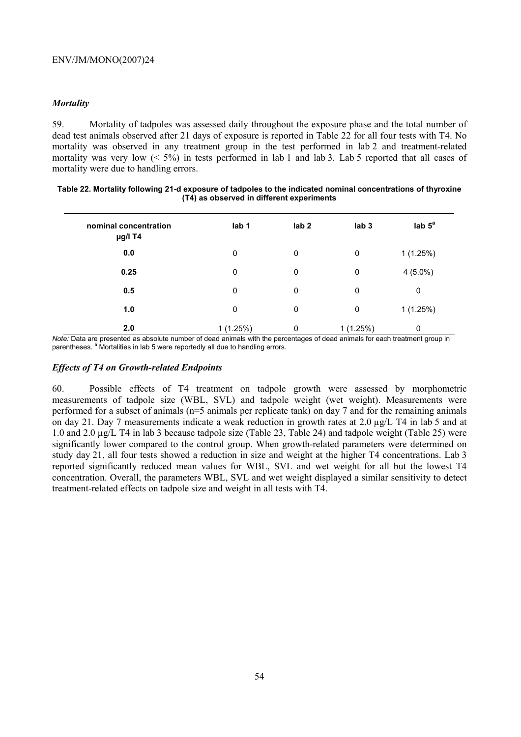# *Mortality*

59. Mortality of tadpoles was assessed daily throughout the exposure phase and the total number of dead test animals observed after 21 days of exposure is reported in Table 22 for all four tests with T4. No mortality was observed in any treatment group in the test performed in lab 2 and treatment-related mortality was very low  $(5\%)$  in tests performed in lab 1 and lab 3. Lab 5 reported that all cases of mortality were due to handling errors.

| nominal concentration<br><u>µg/l T4</u> | lab 1    | lab <sub>2</sub> | lab <sub>3</sub> | lab $5^a$  |
|-----------------------------------------|----------|------------------|------------------|------------|
| 0.0                                     | 0        | 0                | 0                | 1(1.25%)   |
| 0.25                                    | 0        | 0                | 0                | $4(5.0\%)$ |
| 0.5                                     | 0        | 0                | $\mathbf{0}$     | 0          |
| 1.0                                     | 0        | 0                | 0                | 1(1.25%)   |
| 2.0                                     | 1(1.25%) | 0                | 1(1.25%)         | 0          |

| Table 22. Mortality following 21-d exposure of tadpoles to the indicated nominal concentrations of thyroxine |
|--------------------------------------------------------------------------------------------------------------|
| (T4) as observed in different experiments                                                                    |

*Note:* Data are presented as absolute number of dead animals with the percentages of dead animals for each treatment group in parentheses. <sup>a</sup> Mortalities in lab 5 were reportedly all due to handling errors.

## *Effects of T4 on Growth-related Endpoints*

60. Possible effects of T4 treatment on tadpole growth were assessed by morphometric measurements of tadpole size (WBL, SVL) and tadpole weight (wet weight). Measurements were performed for a subset of animals (n=5 animals per replicate tank) on day 7 and for the remaining animals on day 21. Day 7 measurements indicate a weak reduction in growth rates at 2.0  $\mu$ g/L T4 in lab 5 and at 1.0 and 2.0 µg/L T4 in lab 3 because tadpole size (Table 23, Table 24) and tadpole weight (Table 25) were significantly lower compared to the control group. When growth-related parameters were determined on study day 21, all four tests showed a reduction in size and weight at the higher T4 concentrations. Lab 3 reported significantly reduced mean values for WBL, SVL and wet weight for all but the lowest T4 concentration. Overall, the parameters WBL, SVL and wet weight displayed a similar sensitivity to detect treatment-related effects on tadpole size and weight in all tests with T4.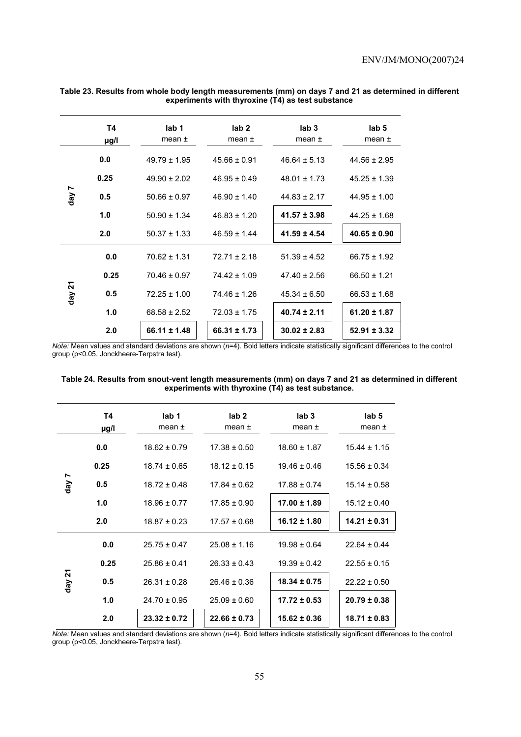|          | T4   | lab 1            | lab <sub>2</sub> | lab <sub>3</sub> | lab 5            |
|----------|------|------------------|------------------|------------------|------------------|
|          | µg/l | mean $\pm$       | mean $\pm$       | mean $\pm$       | mean ±           |
|          | 0.0  | $49.79 \pm 1.95$ | $45.66 \pm 0.91$ | $46.64 \pm 5.13$ | $44.56 \pm 2.95$ |
|          | 0.25 | $49.90 \pm 2.02$ |                  | $48.01 \pm 1.73$ | $45.25 \pm 1.39$ |
| day 7    | 0.5  | $50.66 \pm 0.97$ | $46.90 \pm 1.40$ | $44.83 \pm 2.17$ | $44.95 \pm 1.00$ |
|          | 1.0  | $50.90 \pm 1.34$ | $46.83 \pm 1.20$ | $41.57 \pm 3.98$ | $44.25 \pm 1.68$ |
|          | 2.0  | $50.37 \pm 1.33$ | $46.59 \pm 1.44$ | $41.59 \pm 4.54$ | $40.65 \pm 0.90$ |
|          | 0.0  | $70.62 \pm 1.31$ | $72.71 \pm 2.18$ | $51.39 \pm 4.52$ | $66.75 \pm 1.92$ |
|          | 0.25 | $70.46 \pm 0.97$ | $74.42 \pm 1.09$ | $47.40 \pm 2.56$ | $66.50 \pm 1.21$ |
| 2<br>day | 0.5  | $72.25 \pm 1.00$ | $74.46 \pm 1.26$ | $45.34 \pm 6.50$ | $66.53 \pm 1.68$ |
|          | 1.0  | $68.58 \pm 2.52$ | $72.03 \pm 1.75$ | $40.74 \pm 2.11$ | $61.20 \pm 1.87$ |
|          | 2.0  | $66.11 \pm 1.48$ | $66.31 \pm 1.73$ | $30.02 \pm 2.83$ | $52.91 \pm 3.32$ |

#### **Table 23. Results from whole body length measurements (mm) on days 7 and 21 as determined in different experiments with thyroxine (T4) as test substance**

*Note:* Mean values and standard deviations are shown (*n*=4). Bold letters indicate statistically significant differences to the control group (p<0.05, Jonckheere-Terpstra test).

| Table 24. Results from snout-vent length measurements (mm) on days 7 and 21 as determined in different |
|--------------------------------------------------------------------------------------------------------|
| experiments with thyroxine (T4) as test substance.                                                     |

|        | T4<br>µg/l | lab 1<br>mean $\pm$ |  | lab <sub>2</sub><br>mean $\pm$ |                  | lab <sub>3</sub><br>mean $\pm$ |  | lab 5<br>mean $\pm$ |
|--------|------------|---------------------|--|--------------------------------|------------------|--------------------------------|--|---------------------|
|        | 0.0        | $18.62 \pm 0.79$    |  | $17.38 \pm 0.50$               | $18.60 \pm 1.87$ |                                |  | $15.44 \pm 1.15$    |
|        | 0.25       | $18.74 \pm 0.65$    |  | $18.12 \pm 0.15$               |                  | $19.46 \pm 0.46$               |  | $15.56 \pm 0.34$    |
| day 7  | 0.5        | $18.72 \pm 0.48$    |  | $17.84 \pm 0.62$               |                  | $17.88 \pm 0.74$               |  | $15.14 \pm 0.58$    |
|        | 1.0        | $18.96 \pm 0.77$    |  | $17.85 \pm 0.90$               |                  | $17.00 \pm 1.89$               |  | $15.12 \pm 0.40$    |
|        | 2.0        | $18.87 \pm 0.23$    |  | $17.57 \pm 0.68$               |                  | $16.12 \pm 1.80$               |  | $14.21 \pm 0.31$    |
|        | 0.0        | $25.75 \pm 0.47$    |  | $25.08 \pm 1.16$               |                  | $19.98 \pm 0.64$               |  | $22.64 \pm 0.44$    |
|        | 0.25       | $25.86 \pm 0.41$    |  | $26.33 \pm 0.43$               |                  | $19.39 \pm 0.42$               |  | $22.55 \pm 0.15$    |
| day 21 | 0.5        | $26.31 \pm 0.28$    |  | $26.46 \pm 0.36$               |                  | $18.34 \pm 0.75$               |  | $22.22 \pm 0.50$    |
|        | 1.0        | $24.70 \pm 0.95$    |  | $25.09 \pm 0.60$               |                  | $17.72 \pm 0.53$               |  | $20.79 \pm 0.38$    |
|        | 2.0        | $23.32 \pm 0.72$    |  | $22.66 \pm 0.73$               |                  | $15.62 \pm 0.36$               |  | $18.71 \pm 0.83$    |

*Note:* Mean values and standard deviations are shown (*n*=4). Bold letters indicate statistically significant differences to the control group (p<0.05, Jonckheere-Terpstra test).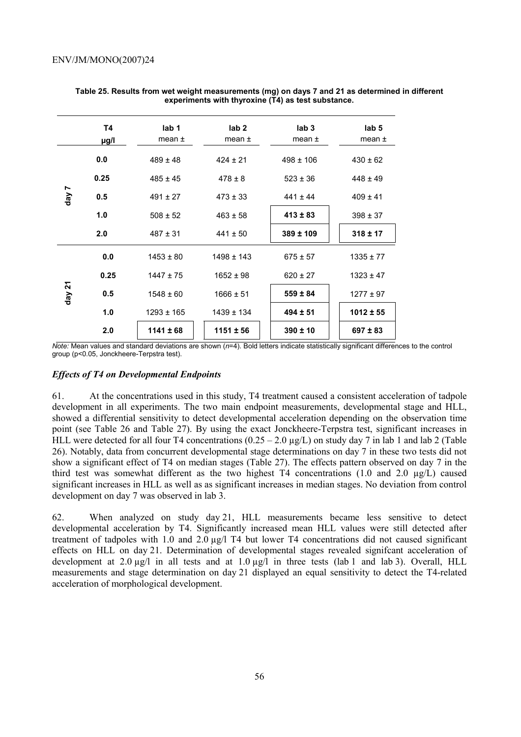|        | T4<br>µg/l | lab 1<br>mean $\pm$          | lab <sub>2</sub><br>mean ± | lab <sub>3</sub><br>mean $\pm$ | lab 5<br>mean $\pm$ |
|--------|------------|------------------------------|----------------------------|--------------------------------|---------------------|
|        | 0.0        | $489 \pm 48$<br>$424 \pm 21$ |                            | $498 \pm 106$                  | $430 \pm 62$        |
|        | 0.25       | $485 \pm 45$                 | $478 \pm 8$                | $523 \pm 36$                   | $448 \pm 49$        |
| day 7  | 0.5        | $491 \pm 27$                 | $473 \pm 33$               | $441 \pm 44$                   | $409 \pm 41$        |
|        | 1.0        | $508 \pm 52$                 | $463 \pm 58$               | $413 \pm 83$                   | $398 \pm 37$        |
|        | 2.0        | $487 \pm 31$                 | $441 \pm 50$               | $389 \pm 109$                  | $318 \pm 17$        |
|        | 0.0        | $1453 \pm 80$                | $1498 \pm 143$             | $675 \pm 57$                   | $1335 \pm 77$       |
|        | 0.25       | $1447 \pm 75$                | $1652 \pm 98$              | $620 \pm 27$                   | $1323 \pm 47$       |
| day 21 | 0.5        | $1548 \pm 60$                | $1666 \pm 51$              | $559 \pm 84$                   | $1277 \pm 97$       |
|        | 1.0        | $1293 \pm 165$               | $1439 \pm 134$             |                                | $1012 \pm 55$       |
|        | 2.0        | $1141 \pm 68$                | $1151 \pm 56$              | $390 \pm 10$                   | $697 \pm 83$        |

### **Table 25. Results from wet weight measurements (mg) on days 7 and 21 as determined in different experiments with thyroxine (T4) as test substance.**

*Note:* Mean values and standard deviations are shown (*n*=4). Bold letters indicate statistically significant differences to the control group (p<0.05, Jonckheere-Terpstra test).

# *Effects of T4 on Developmental Endpoints*

61. At the concentrations used in this study, T4 treatment caused a consistent acceleration of tadpole development in all experiments. The two main endpoint measurements, developmental stage and HLL, showed a differential sensitivity to detect developmental acceleration depending on the observation time point (see Table 26 and Table 27). By using the exact Jonckheere-Terpstra test, significant increases in HLL were detected for all four T4 concentrations  $(0.25 - 2.0 \mu g/L)$  on study day 7 in lab 1 and lab 2 (Table 26). Notably, data from concurrent developmental stage determinations on day 7 in these two tests did not show a significant effect of T4 on median stages (Table 27). The effects pattern observed on day 7 in the third test was somewhat different as the two highest T4 concentrations (1.0 and 2.0 µg/L) caused significant increases in HLL as well as as significant increases in median stages. No deviation from control development on day 7 was observed in lab 3.

62. When analyzed on study day 21, HLL measurements became less sensitive to detect developmental acceleration by T4. Significantly increased mean HLL values were still detected after treatment of tadpoles with 1.0 and 2.0 µg/l T4 but lower T4 concentrations did not caused significant effects on HLL on day 21. Determination of developmental stages revealed signifcant acceleration of development at  $2.0 \text{ ug/l}$  in all tests and at  $1.0 \text{ ug/l}$  in three tests (lab 1 and lab 3). Overall, HLL measurements and stage determination on day 21 displayed an equal sensitivity to detect the T4-related acceleration of morphological development.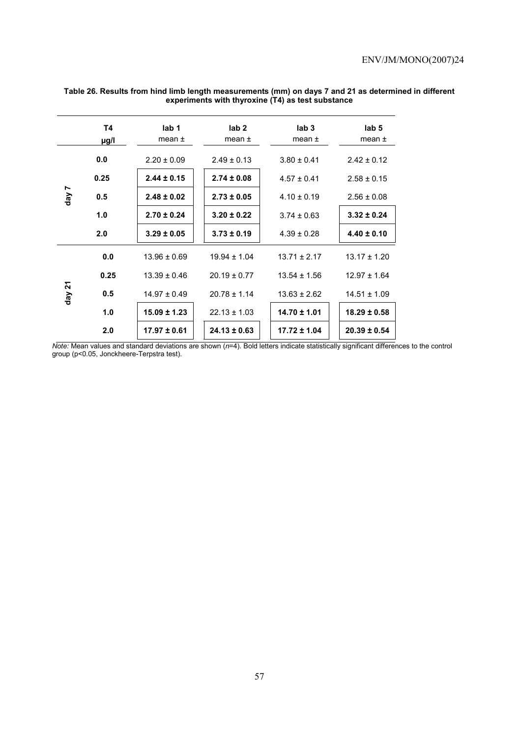|                     | T4<br>µg/l | lab 1<br>mean $\pm$ | lab <sub>2</sub><br>mean $\pm$ | lab <sub>3</sub><br>mean $\pm$ | lab 5<br>mean $\pm$ |  |
|---------------------|------------|---------------------|--------------------------------|--------------------------------|---------------------|--|
|                     | 0.0        | $2.20 \pm 0.09$     | $2.49 \pm 0.13$                | $3.80 \pm 0.41$                | $2.42 \pm 0.12$     |  |
|                     | 0.25       | $2.44 \pm 0.15$     | $2.74 \pm 0.08$                | $4.57 \pm 0.41$                | $2.58 \pm 0.15$     |  |
| day 7               | 0.5        | $2.48 \pm 0.02$     | $2.73 \pm 0.05$                | $4.10 \pm 0.19$                | $2.56 \pm 0.08$     |  |
|                     | 1.0        | $2.70 \pm 0.24$     | $3.20 \pm 0.22$                | $3.74 \pm 0.63$                | $3.32 \pm 0.24$     |  |
|                     | 2.0        | $3.29 \pm 0.05$     | $3.73 \pm 0.19$                | $4.39 \pm 0.28$                | $4.40 \pm 0.10$     |  |
|                     | 0.0        | $13.96 \pm 0.69$    | $19.94 \pm 1.04$               | $13.71 \pm 2.17$               | $13.17 \pm 1.20$    |  |
|                     | 0.25       | $13.39 \pm 0.46$    | $20.19 \pm 0.77$               | $13.54 \pm 1.56$               | $12.97 \pm 1.64$    |  |
| $\mathbf{z}$<br>day | 0.5        | $14.97 \pm 0.49$    | $20.78 \pm 1.14$               | $13.63 \pm 2.62$               | $14.51 \pm 1.09$    |  |
|                     | 1.0        | $15.09 \pm 1.23$    | $22.13 \pm 1.03$               | $14.70 \pm 1.01$               | $18.29 \pm 0.58$    |  |
|                     | 2.0        | $17.97 \pm 0.61$    | $24.13 \pm 0.63$               | $17.72 \pm 1.04$               | $20.39 \pm 0.54$    |  |

#### **Table 26. Results from hind limb length measurements (mm) on days 7 and 21 as determined in different experiments with thyroxine (T4) as test substance**

*Note:* Mean values and standard deviations are shown (*n*=4). Bold letters indicate statistically significant differences to the control group (p<0.05, Jonckheere-Terpstra test).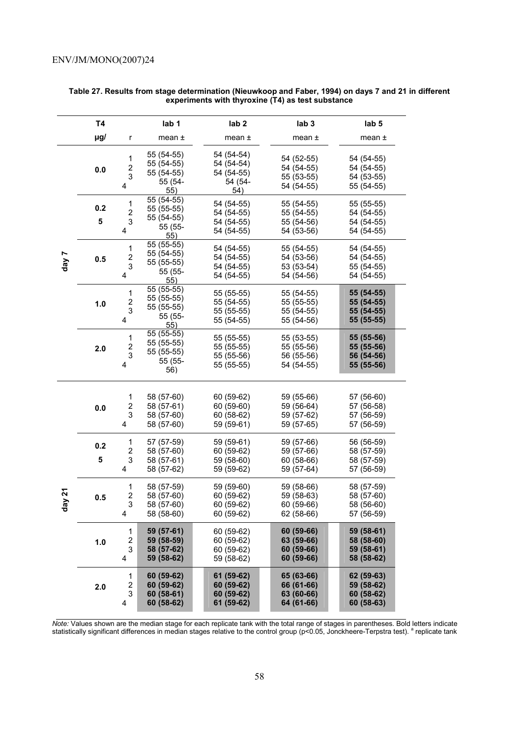|                    | <b>T4</b> |                                        | lab 1                                                    | lab <sub>2</sub>                                         | lab <sub>3</sub>                                     | lab <sub>5</sub>                                      |
|--------------------|-----------|----------------------------------------|----------------------------------------------------------|----------------------------------------------------------|------------------------------------------------------|-------------------------------------------------------|
|                    | $\mu$ g/  | r                                      | mean $\pm$                                               | mean ±                                                   | mean ±                                               | mean $\pm$                                            |
|                    | $0.0\,$   | 1<br>$\overline{\mathbf{c}}$<br>3<br>4 | 55 (54-55)<br>55 (54-55)<br>55 (54-55)<br>55 (54-<br>55) | 54 (54-54)<br>54 (54-54)<br>54 (54-55)<br>54 (54-<br>54) | 54 (52-55)<br>54 (54-55)<br>55 (53-55)<br>54 (54-55) | 54 (54-55)<br>54 (54-55)<br>54 (53-55)<br>55 (54-55)  |
|                    | 0.2<br>5  | 1<br>$\overline{2}$<br>3<br>4          | 55 (54-55)<br>55 (55-55)<br>55 (54-55)<br>55 (55-<br>55) | 54 (54-55)<br>54 (54-55)<br>54 (54-55)<br>54 (54-55)     | 55 (54-55)<br>55 (54-55)<br>55 (54-56)<br>54 (53-56) | 55 (55-55)<br>54 (54-55)<br>54 (54-55)<br>54 (54-55)  |
| day 7              | 0.5       | 1<br>$\overline{\mathbf{c}}$<br>3<br>4 | 55 (55-55)<br>55 (54-55)<br>55 (55-55)<br>55 (55-<br>55) | 54 (54-55)<br>54 (54-55)<br>54 (54-55)<br>54 (54-55)     | 55 (54-55)<br>54 (53-56)<br>53 (53-54)<br>54 (54-56) | 54 (54-55)<br>54 (54-55)<br>55 (54-55)<br>54 (54-55)  |
|                    | 1.0       | 1<br>$\overline{\mathbf{c}}$<br>3<br>4 | 55 (55-55)<br>55 (55-55)<br>55 (55-55)<br>55 (55-<br>55) | 55 (55-55)<br>55 (54-55)<br>55 (55-55)<br>55 (54-55)     | 55 (54-55)<br>55 (55-55)<br>55 (54-55)<br>55 (54-56) | 55 (54-55)<br>55 (54-55)<br>55 (54-55)<br>55 (55-55)  |
|                    | 2.0       | 1<br>$\boldsymbol{2}$<br>3<br>4        | 55 (55-55)<br>55 (55-55)<br>55 (55-55)<br>55 (55-<br>56) | 55 (55-55)<br>55 (55-55)<br>55 (55-56)<br>55 (55-55)     | 55 (53-55)<br>55 (55-56)<br>56 (55-56)<br>54 (54-55) | 55 (55-56)<br>55 (55-56)<br>56 (54-56)<br>55 (55-56)  |
|                    | $0.0\,$   | 1<br>2<br>3<br>4                       | 58 (57-60)<br>58 (57-61)<br>58 (57-60)<br>58 (57-60)     | 60 (59-62)<br>60 (59-60)<br>60 (58-62)<br>59 (59-61)     | 59 (55-66)<br>59 (56-64)<br>59 (57-62)<br>59 (57-65) | 57 (56-60)<br>57 (56-58)<br>57 (56-59)<br>57 (56-59)  |
|                    | 0.2<br>5  | 1<br>2<br>3<br>4                       | 57 (57-59)<br>58 (57-60)<br>58 (57-61)<br>58 (57-62)     | 59 (59-61)<br>60 (59-62)<br>59 (58-60)<br>59 (59-62)     | 59 (57-66)<br>59 (57-66)<br>60 (58-66)<br>59 (57-64) | 56 (56-59)<br>58 (57-59)<br>58 (57-59)<br>57 (56-59)  |
| <u>ম</u><br>⋗<br>용 | 0.5       | 1<br>$\overline{\mathbf{c}}$<br>3<br>4 | 58 (57-59)<br>58 (57-60)<br>58 (57-60)<br>58 (58-60)     | 59 (59-60)<br>60 (59-62)<br>$60(59-62)$<br>60 (59-62)    | 59 (58-66)<br>59 (58-63)<br>60 (59-66)<br>62 (58-66) | 58 (57-59)<br>58 (57-60)<br>58 (56-60)<br>57 (56-59)  |
|                    | 1.0       | 1<br>$\overline{\mathbf{c}}$<br>3<br>4 | 59 (57-61)<br>59 (58-59)<br>58 (57-62)<br>59 (58-62)     | 60 (59-62)<br>60 (59-62)<br>60 (59-62)<br>59 (58-62)     | 60 (59-66)<br>63 (59-66)<br>60 (59-66)<br>60 (59-66) | 59 (58-61)<br>58 (58-60)<br>59 (58-61)<br>58 (58-62)  |
|                    | 2.0       | 1<br>2<br>3<br>4                       | 60 (59-62)<br>60 (59-62)<br>$60(58-61)$<br>$60(58-62)$   | 61 (59-62)<br>60 (59-62)<br>60 (59-62)<br>61 (59-62)     | 65 (63-66)<br>66 (61-66)<br>63 (60-66)<br>64 (61-66) | 62 (59-63)<br>59 (58-62)<br>$60(58-62)$<br>60 (58-63) |

**Table 27. Results from stage determination (Nieuwkoop and Faber, 1994) on days 7 and 21 in different experiments with thyroxine (T4) as test substance** 

*Note:* Values shown are the median stage for each replicate tank with the total range of stages in parentheses. Bold letters indicate statistically significant differences in median stages relative to the control group (p<0.05, Jonckheere-Terpstra test). <sup>a</sup> replicate tank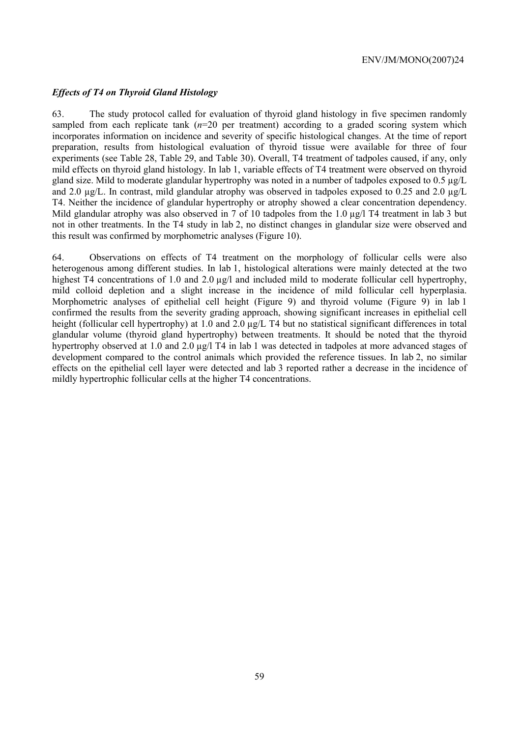## *Effects of T4 on Thyroid Gland Histology*

63. The study protocol called for evaluation of thyroid gland histology in five specimen randomly sampled from each replicate tank  $(n=20$  per treatment) according to a graded scoring system which incorporates information on incidence and severity of specific histological changes. At the time of report preparation, results from histological evaluation of thyroid tissue were available for three of four experiments (see Table 28, Table 29, and Table 30). Overall, T4 treatment of tadpoles caused, if any, only mild effects on thyroid gland histology. In lab 1, variable effects of T4 treatment were observed on thyroid gland size. Mild to moderate glandular hypertrophy was noted in a number of tadpoles exposed to 0.5 µg/L and 2.0  $\mu$ g/L. In contrast, mild glandular atrophy was observed in tadpoles exposed to 0.25 and 2.0  $\mu$ g/L T4. Neither the incidence of glandular hypertrophy or atrophy showed a clear concentration dependency. Mild glandular atrophy was also observed in 7 of 10 tadpoles from the 1.0 ug/l T4 treatment in lab 3 but not in other treatments. In the T4 study in lab 2, no distinct changes in glandular size were observed and this result was confirmed by morphometric analyses (Figure 10).

64. Observations on effects of T4 treatment on the morphology of follicular cells were also heterogenous among different studies. In lab 1, histological alterations were mainly detected at the two highest T4 concentrations of 1.0 and 2.0  $\mu$ g/l and included mild to moderate follicular cell hypertrophy, mild colloid depletion and a slight increase in the incidence of mild follicular cell hyperplasia. Morphometric analyses of epithelial cell height (Figure 9) and thyroid volume (Figure 9) in lab 1 confirmed the results from the severity grading approach, showing significant increases in epithelial cell height (follicular cell hypertrophy) at 1.0 and 2.0  $\mu$ g/L T4 but no statistical significant differences in total glandular volume (thyroid gland hypertrophy) between treatments. It should be noted that the thyroid hypertrophy observed at 1.0 and 2.0  $\mu$ g/l T4 in lab 1 was detected in tadpoles at more advanced stages of development compared to the control animals which provided the reference tissues. In lab 2, no similar effects on the epithelial cell layer were detected and lab 3 reported rather a decrease in the incidence of mildly hypertrophic follicular cells at the higher T4 concentrations.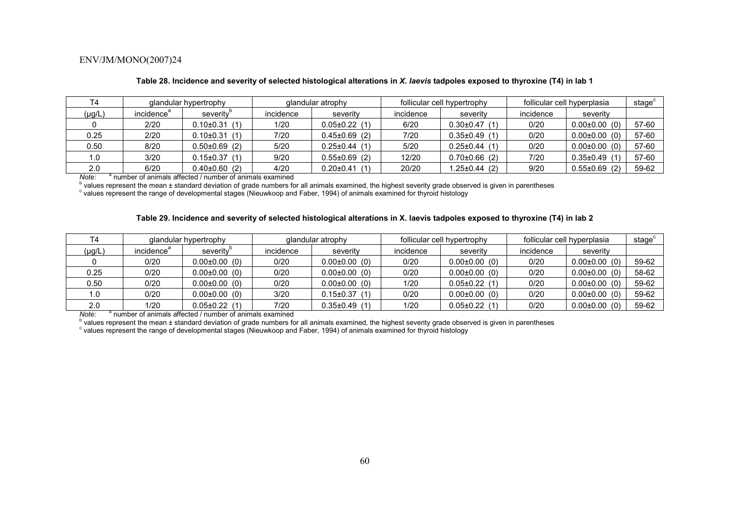### **Table 28. Incidence and severity of selected histological alterations in** *X. laevis* **tadpoles exposed to thyroxine (T4) in lab 1**

|             | glandular hypertrophy  |                       | glandular atrophy |                     | follicular cell hypertrophy |                     | follicular cell hyperplasia |                        | stage <sup>®</sup> |
|-------------|------------------------|-----------------------|-------------------|---------------------|-----------------------------|---------------------|-----------------------------|------------------------|--------------------|
| $(\mu g/L)$ | incidence <sup>a</sup> | severity <sup>o</sup> | incidence         | severity            | incidence                   | severity            | incidence                   | severity               |                    |
|             | 2/20                   | $0.10 \pm 0.31$ (1)   | 1/20              | $0.05 \pm 0.22$ (1) | 6/20                        | $0.30\pm0.47$ (1)   | 0/20                        | $0.00 \pm 0.00$ (0)    | 57-60              |
| 0.25        | 2/20                   | $0.10 \pm 0.31$ (1)   | 7/20              | $0.45 \pm 0.69$ (2) | 7/20                        | $0.35\pm0.49$ (1)   | 0/20                        | $0.00 \pm 0.00$ (0)    | 57-60              |
| 0.50        | 8/20                   | $0.50 \pm 0.69$ (2)   | 5/20              | $0.25 \pm 0.44$ (1) | 5/20                        | $0.25 \pm 0.44$ (1) | 0/20                        | $0.00 \pm 0.00$ (0)    | 57-60              |
| 1.0         | 3/20                   | $0.15 \pm 0.37$ (1)   | 9/20              | $0.55 \pm 0.69$ (2) | 12/20                       | $0.70\pm0.66$ (2)   | 7/20                        | $0.35{\pm}0.49$<br>(1) | 57-60              |
| 2.0         | 6/20                   | $0.40\pm0.60$ (2)     | 4/20              | $0.20 \pm 0.41$ (1) | 20/20                       | $.25 \pm 0.44$ (2)  | 9/20                        | $0.55 \pm 0.69$ (2)    | 59-62              |

*Note:* a number of animals affected / number of animals examined

 $^{\text{b}}$  values represent the mean ± standard deviation of grade numbers for all animals examined, the highest severity grade observed is given in parentheses

 $\degree$  values represent the range of developmental stages (Nieuwkoop and Faber, 1994) of animals examined for thyroid histology

### **Table 29. Incidence and severity of selected histological alterations in X. laevis tadpoles exposed to thyroxine (T4) in lab 2**

| Τ4          |                        | glandular hypertrophy | glandular atrophy |                     | follicular cell hypertrophy |                     | follicular cell hyperplasia |                     | stage <sup>o</sup> |
|-------------|------------------------|-----------------------|-------------------|---------------------|-----------------------------|---------------------|-----------------------------|---------------------|--------------------|
| $(\mu g/L)$ | incidence <sup>a</sup> | severity <sup>-</sup> | incidence         | severity            | incidence                   | severity            | incidence                   | severity            |                    |
|             | 0/20                   | $0.00 \pm 0.00$ (0)   | 0/20              | $0.00 \pm 0.00$ (0) | 0/20                        | $0.00 \pm 0.00$ (0) | 0/20                        | $0.00 \pm 0.00$ (0) | 59-62              |
| 0.25        | 0/20                   | $0.00 \pm 0.00$ (0)   | 0/20              | $0.00 \pm 0.00$ (0) | 0/20                        | $0.00 \pm 0.00$ (0) | 0/20                        | $0.00 \pm 0.00$ (0) | 58-62              |
| 0.50        | 0/20                   | $0.00 \pm 0.00$ (0)   | 0/20              | $0.00 \pm 0.00$ (0) | 1/20                        | $0.05 \pm 0.22$ (1) | 0/20                        | $0.00 \pm 0.00$ (0) | 59-62              |
|             | 0/20                   | $0.00 \pm 0.00$ (0)   | 3/20              | $0.15 \pm 0.37$ (1) | 0/20                        | $0.00 \pm 0.00$ (0) | 0/20                        | $0.00\pm0.00$ (0)   | 59-62              |
| 2.0         | 1/20                   | $0.05 \pm 0.22$ (1)   | 7/20              | $0.35 \pm 0.49$ (1) | 1/20                        | $0.05 \pm 0.22$ (1) | 0/20                        | $0.00 \pm 0.00$ (0) | 59-62              |

*Note:* a number of animals affected / number of animals examined

 $^{\text{b}}$  values represent the mean ± standard deviation of grade numbers for all animals examined, the highest severity grade observed is given in parentheses

 $\textdegree$  values represent the range of developmental stages (Nieuwkoop and Faber, 1994) of animals examined for thyroid histology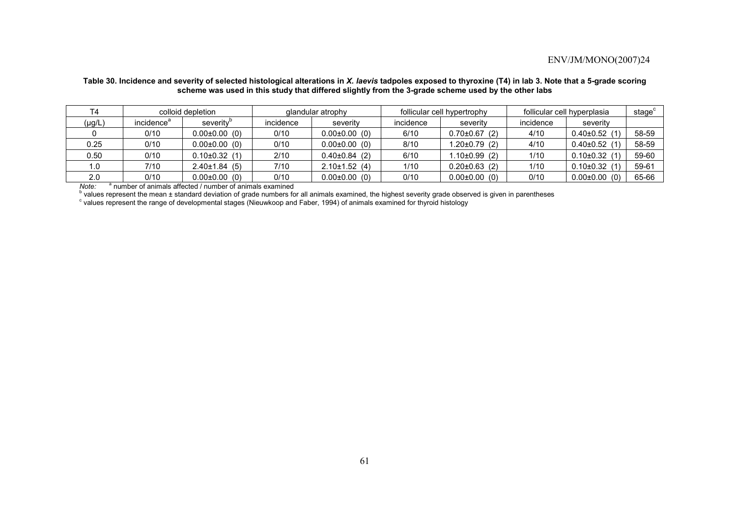### **Table 30. Incidence and severity of selected histological alterations in** *X. laevis* **tadpoles exposed to thyroxine (T4) in lab 3. Note that a 5-grade scoring scheme was used in this study that differed slightly from the 3-grade scheme used by the other labs**

|                                                                                                                                                       |                                                                                                                            | colloid depletion     |           | glandular atrophy   |           | follicular cell hypertrophy |           | follicular cell hyperplasia |       |
|-------------------------------------------------------------------------------------------------------------------------------------------------------|----------------------------------------------------------------------------------------------------------------------------|-----------------------|-----------|---------------------|-----------|-----------------------------|-----------|-----------------------------|-------|
| $(\mu g/L)$                                                                                                                                           | incidence <sup>a</sup>                                                                                                     | severity <sup>o</sup> | incidence | severity            | incidence | severity                    | incidence | severity                    |       |
|                                                                                                                                                       | 0/10                                                                                                                       | $0.00 \pm 0.00$ (0)   | 0/10      | $0.00 \pm 0.00$ (0) | 6/10      | $0.70 \pm 0.67$ (2)         | 4/10      | $0.40\pm0.52$ (1)           | 58-59 |
| 0.25                                                                                                                                                  | 0/10                                                                                                                       | $0.00 \pm 0.00$ (0)   | 0/10      | $0.00 \pm 0.00$ (0) | 8/10      | (2) 20±0.79 (2)             | 4/10      | $0.40\pm0.52$ (1)           | 58-59 |
| 0.50                                                                                                                                                  | 0/10                                                                                                                       | $0.10 \pm 0.32$ (1)   | 2/10      | $0.40 \pm 0.84$ (2) | 6/10      | $1.10 \pm 0.99$ (2)         | 1/10      | $0.10\pm0.32$ (1)           | 59-60 |
| 1.0                                                                                                                                                   | 7/10                                                                                                                       | $2.40 \pm 1.84$ (5)   | 7/10      | $2.10 \pm 1.52$ (4) | 1/10      | $0.20 \pm 0.63$ (2)         | 1/10      | $0.10\pm0.32$ (1)           | 59-61 |
| 2.0                                                                                                                                                   | 0/10                                                                                                                       | $0.00 \pm 0.00$ (0)   | 0/10      | $0.00 \pm 0.00$ (0) | 0/10      | $0.00 \pm 0.00$ (0)         | 0/10      | $0.00 \pm 0.00$ (0)         | 65-66 |
| <sup>1</sup> number of animals affected / number of animals examined<br>Note:                                                                         |                                                                                                                            |                       |           |                     |           |                             |           |                             |       |
| values represent the mean ± standard deviation of grade numbers for all animals examined, the highest severity grade observed is given in parentheses |                                                                                                                            |                       |           |                     |           |                             |           |                             |       |
|                                                                                                                                                       | ° values represent the range of developmental stages (Nieuwkoop and Faber, 1994) of animals examined for thyroid histology |                       |           |                     |           |                             |           |                             |       |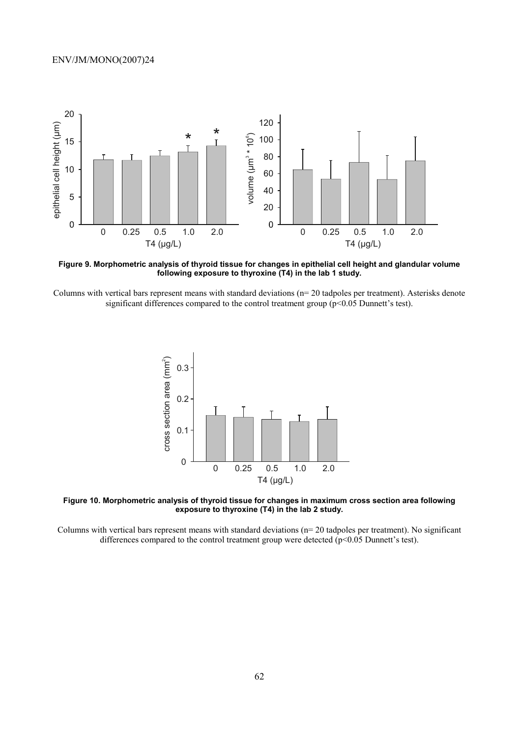

**Figure 9. Morphometric analysis of thyroid tissue for changes in epithelial cell height and glandular volume following exposure to thyroxine (T4) in the lab 1 study.** 

Columns with vertical bars represent means with standard deviations (n= 20 tadpoles per treatment). Asterisks denote significant differences compared to the control treatment group  $(p<0.05$  Dunnett's test).



**Figure 10. Morphometric analysis of thyroid tissue for changes in maximum cross section area following exposure to thyroxine (T4) in the lab 2 study.** 

Columns with vertical bars represent means with standard deviations (n= 20 tadpoles per treatment). No significant differences compared to the control treatment group were detected ( $p$ <0.05 Dunnett's test).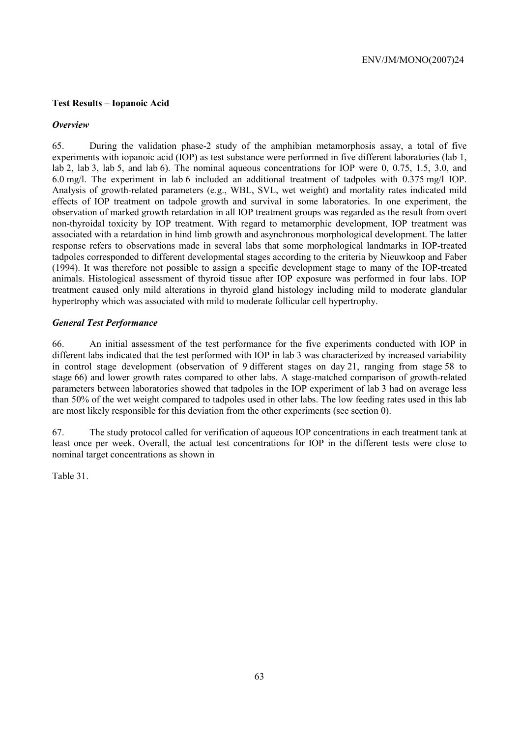## **Test Results – Iopanoic Acid**

## *Overview*

65. During the validation phase-2 study of the amphibian metamorphosis assay, a total of five experiments with iopanoic acid (IOP) as test substance were performed in five different laboratories (lab 1, lab 2, lab 3, lab 5, and lab 6). The nominal aqueous concentrations for IOP were 0, 0.75, 1.5, 3.0, and 6.0 mg/l. The experiment in lab 6 included an additional treatment of tadpoles with 0.375 mg/l IOP. Analysis of growth-related parameters (e.g., WBL, SVL, wet weight) and mortality rates indicated mild effects of IOP treatment on tadpole growth and survival in some laboratories. In one experiment, the observation of marked growth retardation in all IOP treatment groups was regarded as the result from overt non-thyroidal toxicity by IOP treatment. With regard to metamorphic development, IOP treatment was associated with a retardation in hind limb growth and asynchronous morphological development. The latter response refers to observations made in several labs that some morphological landmarks in IOP-treated tadpoles corresponded to different developmental stages according to the criteria by Nieuwkoop and Faber (1994). It was therefore not possible to assign a specific development stage to many of the IOP-treated animals. Histological assessment of thyroid tissue after IOP exposure was performed in four labs. IOP treatment caused only mild alterations in thyroid gland histology including mild to moderate glandular hypertrophy which was associated with mild to moderate follicular cell hypertrophy.

# *General Test Performance*

66. An initial assessment of the test performance for the five experiments conducted with IOP in different labs indicated that the test performed with IOP in lab 3 was characterized by increased variability in control stage development (observation of 9 different stages on day 21, ranging from stage 58 to stage 66) and lower growth rates compared to other labs. A stage-matched comparison of growth-related parameters between laboratories showed that tadpoles in the IOP experiment of lab 3 had on average less than 50% of the wet weight compared to tadpoles used in other labs. The low feeding rates used in this lab are most likely responsible for this deviation from the other experiments (see section 0).

67. The study protocol called for verification of aqueous IOP concentrations in each treatment tank at least once per week. Overall, the actual test concentrations for IOP in the different tests were close to nominal target concentrations as shown in

Table 31.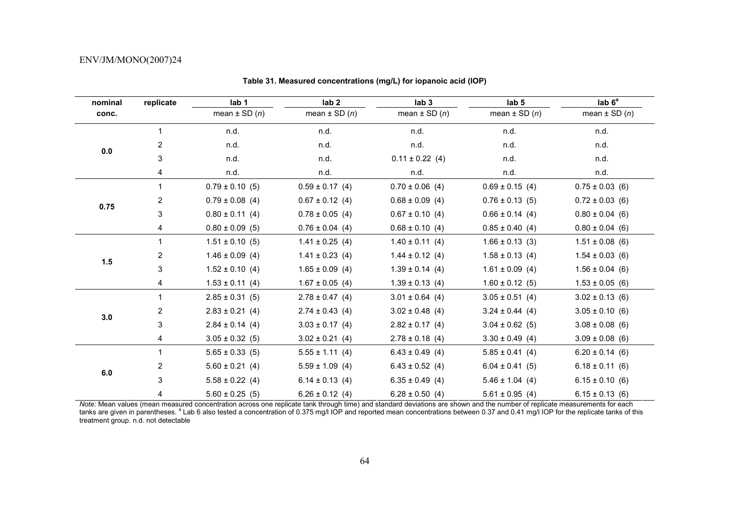| nominal | replicate      | lab 1               | lab <sub>2</sub>    | lab <sub>3</sub>    | lab <sub>5</sub>    | lab <sup>a</sup>    |
|---------|----------------|---------------------|---------------------|---------------------|---------------------|---------------------|
| conc.   |                | mean $\pm$ SD $(n)$ | mean $\pm$ SD $(n)$ | mean $\pm$ SD $(n)$ | mean $\pm$ SD $(n)$ | mean $\pm$ SD $(n)$ |
|         | 1              | n.d.                | n.d.                | n.d.                | n.d.                | n.d.                |
| 0.0     | $\overline{2}$ | n.d.                | n.d.                | n.d.                | n.d.                | n.d.                |
|         | 3              | n.d.                | n.d.                | $0.11 \pm 0.22$ (4) | n.d.                | n.d.                |
|         | 4              | n.d.                | n.d.                | n.d.                | n.d.                | n.d.                |
|         | $\mathbf{1}$   | $0.79 \pm 0.10$ (5) | $0.59 \pm 0.17$ (4) | $0.70 \pm 0.06$ (4) | $0.69 \pm 0.15$ (4) | $0.75 \pm 0.03$ (6) |
|         | $\overline{2}$ | $0.79 \pm 0.08$ (4) | $0.67 \pm 0.12$ (4) | $0.68 \pm 0.09$ (4) | $0.76 \pm 0.13$ (5) | $0.72 \pm 0.03$ (6) |
| 0.75    | 3              | $0.80 \pm 0.11$ (4) | $0.78 \pm 0.05$ (4) | $0.67 \pm 0.10$ (4) | $0.66 \pm 0.14$ (4) | $0.80 \pm 0.04$ (6) |
|         | 4              | $0.80 \pm 0.09$ (5) | $0.76 \pm 0.04$ (4) | $0.68 \pm 0.10$ (4) | $0.85 \pm 0.40$ (4) | $0.80 \pm 0.04$ (6) |
|         | $\mathbf{1}$   | $1.51 \pm 0.10$ (5) | $1.41 \pm 0.25$ (4) | $1.40 \pm 0.11$ (4) | $1.66 \pm 0.13$ (3) | $1.51 \pm 0.08$ (6) |
|         | $\overline{2}$ | $1.46 \pm 0.09$ (4) | $1.41 \pm 0.23$ (4) | $1.44 \pm 0.12$ (4) | $1.58 \pm 0.13$ (4) | $1.54 \pm 0.03$ (6) |
| 1.5     | 3              | $1.52 \pm 0.10$ (4) | $1.65 \pm 0.09$ (4) | $1.39 \pm 0.14$ (4) | $1.61 \pm 0.09$ (4) | $1.56 \pm 0.04$ (6) |
|         | 4              | $1.53 \pm 0.11$ (4) | $1.67 \pm 0.05$ (4) | $1.39 \pm 0.13$ (4) | $1.60 \pm 0.12$ (5) | $1.53 \pm 0.05$ (6) |
|         | $\mathbf{1}$   | $2.85 \pm 0.31$ (5) | $2.78 \pm 0.47$ (4) | $3.01 \pm 0.64$ (4) | $3.05 \pm 0.51$ (4) | $3.02 \pm 0.13$ (6) |
| 3.0     | $\overline{2}$ | $2.83 \pm 0.21$ (4) | $2.74 \pm 0.43$ (4) | $3.02 \pm 0.48$ (4) | $3.24 \pm 0.44$ (4) | $3.05 \pm 0.10$ (6) |
|         | $\mathsf 3$    | $2.84 \pm 0.14$ (4) | $3.03 \pm 0.17$ (4) | $2.82 \pm 0.17$ (4) | $3.04 \pm 0.62$ (5) | $3.08 \pm 0.08$ (6) |
|         | 4              | $3.05 \pm 0.32$ (5) | $3.02 \pm 0.21$ (4) | $2.78 \pm 0.18$ (4) | $3.30 \pm 0.49$ (4) | $3.09 \pm 0.08$ (6) |
|         |                | $5.65 \pm 0.33$ (5) | $5.55 \pm 1.11$ (4) | $6.43 \pm 0.49$ (4) | $5.85 \pm 0.41$ (4) | $6.20 \pm 0.14$ (6) |
|         | $\overline{2}$ | $5.60 \pm 0.21$ (4) | $5.59 \pm 1.09$ (4) | $6.43 \pm 0.52$ (4) | $6.04 \pm 0.41$ (5) | $6.18 \pm 0.11$ (6) |
| 6.0     | 3              | $5.58 \pm 0.22$ (4) | $6.14 \pm 0.13$ (4) | $6.35 \pm 0.49$ (4) | $5.46 \pm 1.04$ (4) | $6.15 \pm 0.10$ (6) |
|         | 4              | $5.60 \pm 0.25$ (5) | $6.26 \pm 0.12$ (4) | $6.28 \pm 0.50$ (4) | $5.61 \pm 0.95$ (4) | $6.15 \pm 0.13$ (6) |

**Table 31. Measured concentrations (mg/L) for iopanoic acid (IOP)** 

*Note:* Mean values (mean measured concentration across one replicate tank through time) and standard deviations are shown and the number of replicate measurements for each tanks are given in parentheses. <sup>a</sup> Lab 6 also tested a concentration of 0.375 mg/l IOP and reported mean concentrations between 0.37 and 0.41 mg/l IOP for the replicate tanks of this treatment group. n.d. not detectable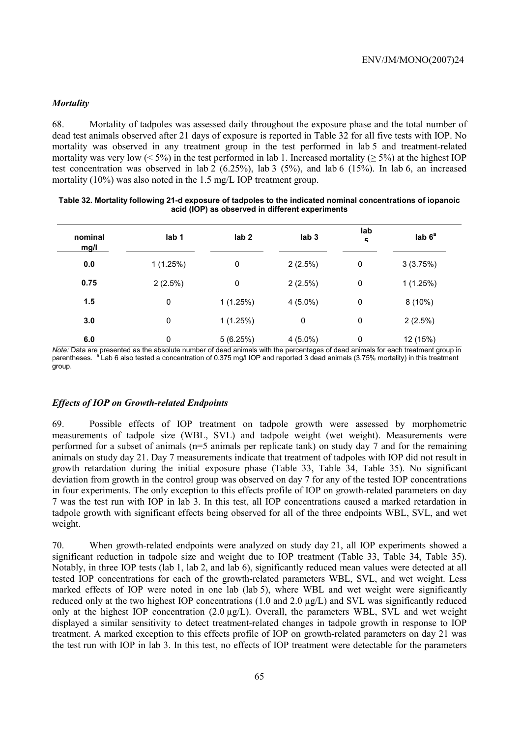## *Mortality*

68. Mortality of tadpoles was assessed daily throughout the exposure phase and the total number of dead test animals observed after 21 days of exposure is reported in Table 32 for all five tests with IOP. No mortality was observed in any treatment group in the test performed in lab 5 and treatment-related mortality was very low (< 5%) in the test performed in lab 1. Increased mortality ( $\geq$  5%) at the highest IOP test concentration was observed in lab  $2(6.25\%)$ , lab 3 (5%), and lab 6 (15%). In lab 6, an increased mortality (10%) was also noted in the 1.5 mg/L IOP treatment group.

| nominal<br>mg/l | lab 1    | lab <sub>2</sub> | lab <sub>3</sub> | lab<br>E. | lab <sub>6</sub> <sup>a</sup> |
|-----------------|----------|------------------|------------------|-----------|-------------------------------|
| 0.0             | 1(1.25%) | 0                | 2(2.5%)          | 0         | 3(3.75%)                      |
| 0.75            | 2(2.5%)  | 0                | 2(2.5%)          | 0         | 1(1.25%)                      |
| 1.5             | 0        | 1(1.25%)         | $4(5.0\%)$       | 0         | $8(10\%)$                     |
| 3.0             | 0        | 1(1.25%)         | 0                | 0         | 2(2.5%)                       |
| 6.0             | 0        | 5(6.25%)         | $4(5.0\%)$       | 0         | 12 (15%)                      |

| Table 32. Mortality following 21-d exposure of tadpoles to the indicated nominal concentrations of iopanoic |  |
|-------------------------------------------------------------------------------------------------------------|--|
| acid (IOP) as observed in different experiments                                                             |  |

*Note:* Data are presented as the absolute number of dead animals with the percentages of dead animals for each treatment group in parentheses. <sup>a</sup> Lab 6 also tested a concentration of 0.375 mg/l IOP and reported 3 dead animals (3.75% mortality) in this treatment group.

### *Effects of IOP on Growth-related Endpoints*

69. Possible effects of IOP treatment on tadpole growth were assessed by morphometric measurements of tadpole size (WBL, SVL) and tadpole weight (wet weight). Measurements were performed for a subset of animals (n=5 animals per replicate tank) on study day 7 and for the remaining animals on study day 21. Day 7 measurements indicate that treatment of tadpoles with IOP did not result in growth retardation during the initial exposure phase (Table 33, Table 34, Table 35). No significant deviation from growth in the control group was observed on day 7 for any of the tested IOP concentrations in four experiments. The only exception to this effects profile of IOP on growth-related parameters on day 7 was the test run with IOP in lab 3. In this test, all IOP concentrations caused a marked retardation in tadpole growth with significant effects being observed for all of the three endpoints WBL, SVL, and wet weight.

70. When growth-related endpoints were analyzed on study day 21, all IOP experiments showed a significant reduction in tadpole size and weight due to IOP treatment (Table 33, Table 34, Table 35). Notably, in three IOP tests (lab 1, lab 2, and lab 6), significantly reduced mean values were detected at all tested IOP concentrations for each of the growth-related parameters WBL, SVL, and wet weight. Less marked effects of IOP were noted in one lab (lab 5), where WBL and wet weight were significantly reduced only at the two highest IOP concentrations (1.0 and 2.0 µg/L) and SVL was significantly reduced only at the highest IOP concentration  $(2.0 \mu g/L)$ . Overall, the parameters WBL, SVL and wet weight displayed a similar sensitivity to detect treatment-related changes in tadpole growth in response to IOP treatment. A marked exception to this effects profile of IOP on growth-related parameters on day 21 was the test run with IOP in lab 3. In this test, no effects of IOP treatment were detectable for the parameters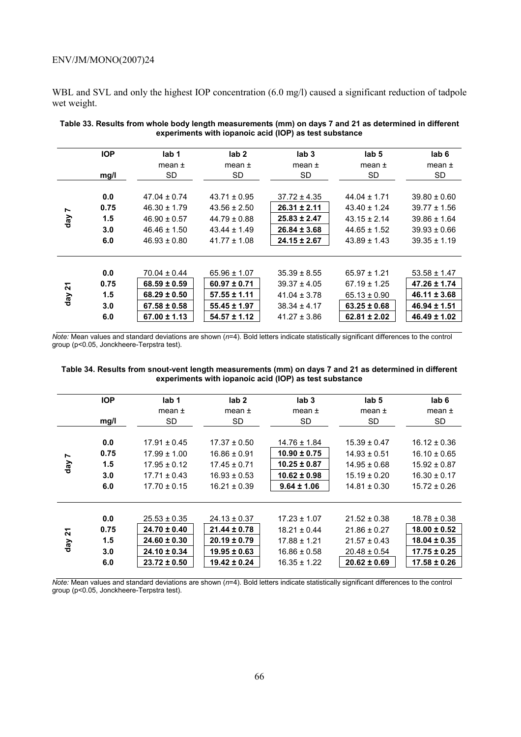WBL and SVL and only the highest IOP concentration (6.0 mg/l) caused a significant reduction of tadpole wet weight.

|        | <b>IOP</b> | lab 1            | lab 2            | lab <sub>3</sub> | lab 5            | lab <sub>6</sub> |
|--------|------------|------------------|------------------|------------------|------------------|------------------|
|        |            | mean $\pm$       | mean $\pm$       | mean $\pm$       | mean $\pm$       | mean $\pm$       |
|        | mg/l       | <b>SD</b>        | <b>SD</b>        | <b>SD</b>        | SD               | <b>SD</b>        |
|        |            |                  |                  |                  |                  |                  |
|        | 0.0        | $47.04 \pm 0.74$ | $43.71 \pm 0.95$ | $37.72 \pm 4.35$ | $44.04 \pm 1.71$ | $39.80 \pm 0.60$ |
| Ľ      | 0.75       | $46.30 \pm 1.79$ | $43.56 \pm 2.50$ | $26.31 \pm 2.11$ | $43.40 \pm 1.24$ | $39.77 \pm 1.56$ |
| day    | 1.5        | $46.90 \pm 0.57$ | $44.79 \pm 0.88$ | $25.83 \pm 2.47$ | $43.15 \pm 2.14$ | $39.86 \pm 1.64$ |
|        | 3.0        | $46.46 \pm 1.50$ | $43.44 \pm 1.49$ | $26.84 \pm 3.68$ | $44.65 \pm 1.52$ | $39.93 \pm 0.66$ |
|        | 6.0        | $46.93 \pm 0.80$ | $41.77 \pm 1.08$ | $24.15 \pm 2.67$ | $43.89 \pm 1.43$ | $39.35 \pm 1.19$ |
|        |            |                  |                  |                  |                  |                  |
|        | 0.0        | $70.04 \pm 0.44$ | $65.96 \pm 1.07$ | $35.39 \pm 8.55$ | $65.97 \pm 1.21$ | $53.58 \pm 1.47$ |
|        | 0.75       | $68.59 \pm 0.59$ | $60.97 \pm 0.71$ | $39.37 \pm 4.05$ | $67.19 \pm 1.25$ | $47.26 \pm 1.74$ |
| day 21 | 1.5        | $68.29 \pm 0.50$ | $57.55 \pm 1.11$ | $41.04 \pm 3.78$ | $65.13 \pm 0.90$ | $46.11 \pm 3.68$ |
|        | 3.0        | $67.58 \pm 0.58$ | $55.45 \pm 1.97$ | $38.34 \pm 4.17$ | $63.25 \pm 0.68$ | $46.94 \pm 1.51$ |
|        | 6.0        | $67.00 \pm 1.13$ | $54.57 \pm 1.12$ | $41.27 \pm 3.86$ | $62.81 \pm 2.02$ | $46.49 \pm 1.02$ |

**Table 33. Results from whole body length measurements (mm) on days 7 and 21 as determined in different experiments with iopanoic acid (IOP) as test substance** 

*Note:* Mean values and standard deviations are shown (*n*=4). Bold letters indicate statistically significant differences to the control group (p<0.05, Jonckheere-Terpstra test).

| Table 34. Results from snout-vent length measurements (mm) on days 7 and 21 as determined in different |
|--------------------------------------------------------------------------------------------------------|
| experiments with iopanoic acid (IOP) as test substance                                                 |

|                | <b>IOP</b> | lab 1            | lab <sub>2</sub> | lab 3            | lab 5            | lab 6            |
|----------------|------------|------------------|------------------|------------------|------------------|------------------|
|                |            | mean $\pm$       | mean $\pm$       | mean $\pm$       | mean $\pm$       | mean ±           |
|                | mg/l       | <b>SD</b>        | <b>SD</b>        | SD               | SD.              | <b>SD</b>        |
|                |            |                  |                  |                  |                  |                  |
|                | 0.0        | $17.91 \pm 0.45$ | $17.37 \pm 0.50$ | $14.76 \pm 1.84$ | $15.39 \pm 0.47$ | $16.12 \pm 0.36$ |
| Ľ              | 0.75       | $17.99 \pm 1.00$ | $16.86 \pm 0.91$ | $10.90 \pm 0.75$ | $14.93 \pm 0.51$ | $16.10 \pm 0.65$ |
| day            | 1.5        | $17.95 \pm 0.12$ | $17.45 \pm 0.71$ | $10.25 \pm 0.87$ | $14.95 \pm 0.68$ | $15.92 \pm 0.87$ |
|                | 3.0        | $17.71 \pm 0.43$ | $16.93 \pm 0.53$ | $10.62 \pm 0.98$ | $15.19 \pm 0.20$ | $16.30 \pm 0.17$ |
|                | 6.0        | $17.70 \pm 0.15$ | $16.21 \pm 0.39$ | $9.64 \pm 1.06$  | $14.81 \pm 0.30$ | $15.72 \pm 0.26$ |
|                |            |                  |                  |                  |                  |                  |
|                | 0.0        | $25.53 \pm 0.35$ | $24.13 \pm 0.37$ | $17.23 \pm 1.07$ | $21.52 \pm 0.38$ | $18.78 \pm 0.38$ |
| 21             | 0.75       | $24.70 \pm 0.40$ | $21.44 \pm 0.78$ | $18.21 \pm 0.44$ | $21.86 \pm 0.27$ | $18.00 \pm 0.52$ |
| $\overline{a}$ | 1.5        | $24.60 \pm 0.30$ | $20.19 \pm 0.79$ | $17.88 \pm 1.21$ | $21.57 \pm 0.43$ | $18.04 \pm 0.35$ |
|                | 3.0        | $24.10 \pm 0.34$ | $19.95 \pm 0.63$ | $16.86 \pm 0.58$ | $20.48 \pm 0.54$ | $17.75 \pm 0.25$ |
|                | 6.0        | $23.72 \pm 0.50$ | 19.42 ± 0.24     | $16.35 \pm 1.22$ | $20.62 \pm 0.69$ | $17.58 \pm 0.26$ |

*Note:* Mean values and standard deviations are shown (*n*=4). Bold letters indicate statistically significant differences to the control group (p<0.05, Jonckheere-Terpstra test).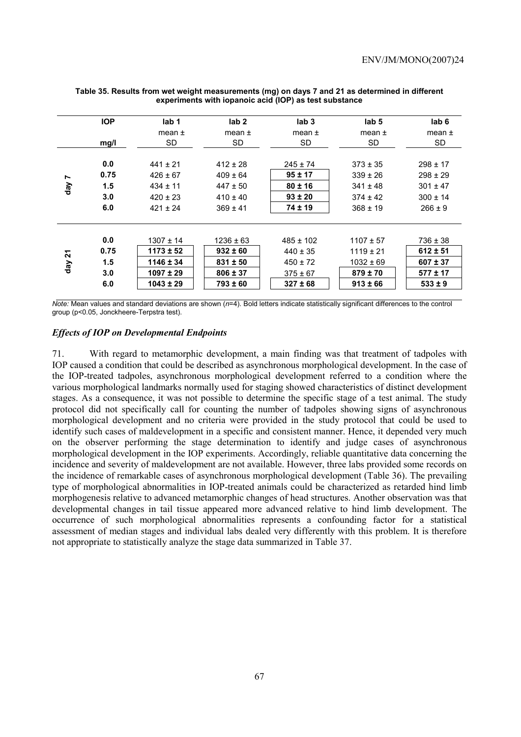|                | <b>IOP</b> | lab <sub>1</sub> | lab <sub>2</sub> | lab <sub>3</sub> | lab <sub>5</sub> | lab <sub>6</sub> |
|----------------|------------|------------------|------------------|------------------|------------------|------------------|
|                |            | mean $\pm$       | mean $\pm$       | mean $\pm$       | mean $\pm$       | mean ±           |
|                | mg/l       | <b>SD</b>        | <b>SD</b>        | <b>SD</b>        | <b>SD</b>        | <b>SD</b>        |
|                |            |                  |                  |                  |                  |                  |
|                | 0.0        | $441 \pm 21$     | $412 \pm 28$     | $245 \pm 74$     | $373 \pm 35$     | $298 \pm 17$     |
| $\overline{ }$ | 0.75       | $426 \pm 67$     | $409 \pm 64$     | $95 \pm 17$      | $339 \pm 26$     | $298 \pm 29$     |
| day            | 1.5        | $434 \pm 11$     | $447 \pm 50$     | $80 \pm 16$      | $341 \pm 48$     | $301 \pm 47$     |
|                | 3.0        | $420 \pm 23$     | $410 \pm 40$     | $93 \pm 20$      | $374 \pm 42$     | $300 \pm 14$     |
|                | 6.0        | $421 \pm 24$     | $369 \pm 41$     | $74 \pm 19$      | $368 \pm 19$     | $266 \pm 9$      |
|                |            |                  |                  |                  |                  |                  |
|                | 0.0        | $1307 \pm 14$    | $1236 \pm 63$    | $485 \pm 102$    | $1107 \pm 57$    | $736 \pm 38$     |
| 24             | 0.75       | $1173 \pm 52$    | $932 \pm 60$     | $440 \pm 35$     | $1119 \pm 21$    | $612 \pm 51$     |
| day            | 1.5        | $1146 \pm 34$    | $831 \pm 50$     | $450 \pm 72$     | $1032 \pm 69$    | $607 \pm 37$     |
|                | 3.0        | $1097 \pm 29$    | $806 \pm 37$     | $375 \pm 67$     | $879 \pm 70$     | $577 \pm 17$     |
|                | 6.0        | $1043 \pm 29$    | 793 ± 60         | $327 \pm 68$     | $913 \pm 66$     | $533 \pm 9$      |

### **Table 35. Results from wet weight measurements (mg) on days 7 and 21 as determined in different experiments with iopanoic acid (IOP) as test substance**

*Note:* Mean values and standard deviations are shown (*n*=4). Bold letters indicate statistically significant differences to the control group (p<0.05, Jonckheere-Terpstra test).

### *Effects of IOP on Developmental Endpoints*

71. With regard to metamorphic development, a main finding was that treatment of tadpoles with IOP caused a condition that could be described as asynchronous morphological development. In the case of the IOP-treated tadpoles, asynchronous morphological development referred to a condition where the various morphological landmarks normally used for staging showed characteristics of distinct development stages. As a consequence, it was not possible to determine the specific stage of a test animal. The study protocol did not specifically call for counting the number of tadpoles showing signs of asynchronous morphological development and no criteria were provided in the study protocol that could be used to identify such cases of maldevelopment in a specific and consistent manner. Hence, it depended very much on the observer performing the stage determination to identify and judge cases of asynchronous morphological development in the IOP experiments. Accordingly, reliable quantitative data concerning the incidence and severity of maldevelopment are not available. However, three labs provided some records on the incidence of remarkable cases of asynchronous morphological development (Table 36). The prevailing type of morphological abnormalities in IOP-treated animals could be characterized as retarded hind limb morphogenesis relative to advanced metamorphic changes of head structures. Another observation was that developmental changes in tail tissue appeared more advanced relative to hind limb development. The occurrence of such morphological abnormalities represents a confounding factor for a statistical assessment of median stages and individual labs dealed very differently with this problem. It is therefore not appropriate to statistically analyze the stage data summarized in Table 37.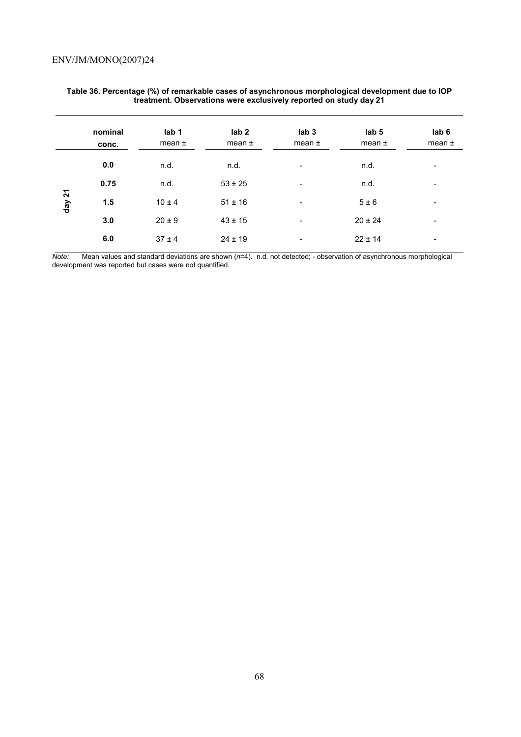|          | nominal<br>conc. | lab 1<br>mean $\pm$ | lab <sub>2</sub><br>mean $\pm$ | lab <sub>3</sub><br>mean $\pm$ | lab <sub>5</sub><br>mean $\pm$ | lab 6<br>mean $\pm$      |
|----------|------------------|---------------------|--------------------------------|--------------------------------|--------------------------------|--------------------------|
|          | 0.0              | n.d.                | n.d.                           | $\overline{\phantom{a}}$       | n.d.                           | $\overline{\phantom{0}}$ |
|          | 0.75             | n.d.                | $53 \pm 25$                    | $\overline{\phantom{a}}$       | n.d.                           |                          |
| day $21$ | 1.5              | $10 \pm 4$          | $51 \pm 16$                    | $\overline{\phantom{a}}$       | $5 \pm 6$                      | $\overline{\phantom{a}}$ |
|          | 3.0              | $20 \pm 9$          | $43 \pm 15$                    | $\overline{\phantom{0}}$       | $20 \pm 24$                    | $\overline{\phantom{0}}$ |
|          | 6.0              | $37 \pm 4$          | $24 \pm 19$                    |                                | $22 \pm 14$                    |                          |

### **Table 36. Percentage (%) of remarkable cases of asynchronous morphological development due to IOP treatment. Observations were exclusively reported on study day 21**

*Note:* Mean values and standard deviations are shown (*n*=4). n.d. not detected; - observation of asynchronous morphological development was reported but cases were not quantified.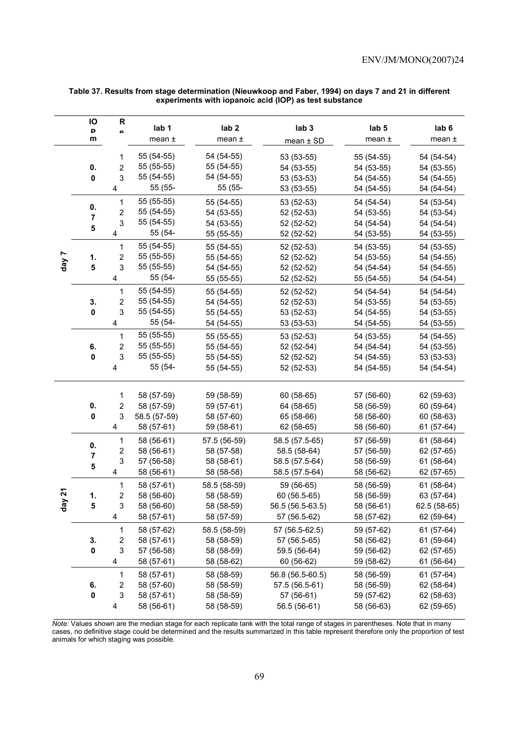|          | IO        | R                       |              |                  |                  |                  |                  |
|----------|-----------|-------------------------|--------------|------------------|------------------|------------------|------------------|
|          | D         | $\bullet$               | lab 1        | lab <sub>2</sub> | lab <sub>3</sub> | lab <sub>5</sub> | lab <sub>6</sub> |
|          | m         |                         | mean $\pm$   | mean ±           | $mean \pm SD$    | mean ±           | mean $\pm$       |
|          |           | 1                       | 55 (54-55)   | 54 (54-55)       | 53 (53-55)       | 55 (54-55)       | 54 (54-54)       |
|          | 0.        | $\overline{2}$          | 55 (55-55)   | 55 (54-55)       | 54 (53-55)       | 54 (53-55)       | 54 (53-55)       |
|          | $\pmb{0}$ | 3                       | 55 (54-55)   | 54 (54-55)       | 53 (53-53)       | 54 (54-55)       | 54 (54-55)       |
|          |           | 4                       | 55 (55-      | 55 (55-          | 53 (53-55)       | 54 (54-55)       | 54 (54-54)       |
|          |           | 1                       | 55 (55-55)   | 55 (54-55)       | 53 (52-53)       | 54 (54-54)       | 54 (53-54)       |
|          | 0.        | 2                       | 55 (54-55)   | 54 (53-55)       | 52 (52-53)       | 54 (53-55)       | 54 (53-54)       |
|          | 7         | 3                       | 55 (54-55)   | 54 (53-55)       | 52 (52-52)       | 54 (54-54)       | 54 (54-54)       |
|          | 5         | 4                       | 55 (54-      | 55 (55-55)       | 52 (52-52)       | 54 (53-55)       | 54 (53-55)       |
|          |           | 1                       | 55 (54-55)   | 55 (54-55)       | 52 (52-53)       | 54 (53-55)       | 54 (53-55)       |
| day 7    | 1.        | $\overline{\mathbf{c}}$ | 55 (55-55)   | 55 (54-55)       | 52 (52-52)       | 54 (53-55)       | 54 (54-55)       |
|          | 5         | 3                       | 55 (55-55)   | 54 (54-55)       | 52 (52-52)       | 54 (54-54)       | 54 (54-55)       |
|          |           | 4                       | 55 (54-      | 55 (55-55)       | 52 (52-52)       | 55 (54-55)       | 54 (54-54)       |
|          |           | 1                       | 55 (54-55)   | 55 (54-55)       | 52 (52-52)       | 54 (54-54)       | 54 (54-54)       |
|          | 3.        | $\overline{c}$          | 55 (54-55)   | 54 (54-55)       | 52 (52-53)       | 54 (53-55)       | 54 (53-55)       |
|          | 0         | 3                       | 55 (54-55)   | 55 (54-55)       | 53 (52-53)       | 54 (54-55)       | 54 (53-55)       |
|          |           | 4                       | 55 (54-      | 54 (54-55)       | 53 (53-53)       | 54 (54-55)       | 54 (53-55)       |
|          |           | 1                       | 55 (55-55)   | 55 (55-55)       | 53 (52-53)       | 54 (53-55)       | 54 (54-55)       |
|          | 6.        | 2                       | 55 (55-55)   | 55 (54-55)       | 52 (52-54)       | 54 (54-54)       | 54 (53-55)       |
|          | 0         | 3                       | 55 (55-55)   | 55 (54-55)       | 52 (52-52)       | 54 (54-55)       | 53 (53-53)       |
|          |           | 4                       | 55 (54-      | 55 (54-55)       | 52 (52-53)       | 54 (54-55)       | 54 (54-54)       |
|          |           |                         |              |                  |                  |                  |                  |
|          |           | 1                       | 58 (57-59)   | 59 (58-59)       | 60 (58-65)       | 57 (56-60)       | 62 (59-63)       |
|          | 0.        | 2                       | 58 (57-59)   | 59 (57-61)       | 64 (58-65)       | 58 (56-59)       | 60 (59-64)       |
|          | 0         | 3                       | 58.5 (57-59) | 58 (57-60)       | 65 (58-66)       | 58 (56-60)       | 60 (58-63)       |
|          |           | 4                       | 58 (57-61)   | 59 (58-61)       | 62 (58-65)       | 58 (56-60)       | 61 (57-64)       |
|          |           | 1                       | 58 (56-61)   | 57.5 (56-59)     | 58.5 (57.5-65)   | 57 (56-59)       | 61 (58-64)       |
|          | 0.<br>7   | 2                       | 58 (56-61)   | 58 (57-58)       | 58.5 (58-64)     | 57 (56-59)       | 62 (57-65)       |
|          | 5         | 3                       | 57 (56-58)   | 58 (58-61)       | 58.5 (57.5-64)   | 58 (56-59)       | 61 (58-64)       |
|          |           | 4                       | 58 (56-61)   | 58 (58-58)       | 58.5 (57.5-64)   | 58 (56-62)       | 62 (57-65)       |
|          |           | 1                       | 58 (57-61)   | 58.5 (58-59)     | 59 (56-65)       | 58 (56-59)       | 61 (58-64)       |
| <u>ম</u> | 1.        | $\overline{\mathbf{c}}$ | 58 (56-60)   | 58 (58-59)       | 60 (56.5-65)     | 58 (56-59)       | 63 (57-64)       |
| Λe<br>ਹ  | 5         | 3                       | 58 (56-60)   | 58 (58-59)       | 56.5 (56.5-63.5) | 58 (56-61)       | 62.5 (58-65)     |
|          |           | 4                       | 58 (57-61)   | 58 (57-59)       | 57 (56.5-62)     | 58 (57-62)       | 62 (59-64)       |
|          |           | 1                       | 58 (57-62)   | 58.5 (58-59)     | 57 (56.5-62.5)   | 59 (57-62)       | 61 (57-64)       |
|          | 3.        | 2                       | 58 (57-61)   | 58 (58-59)       | 57 (56.5-65)     | 58 (56-62)       | 61 (59-64)       |
|          | 0         | 3                       | 57 (56-58)   | 58 (58-59)       | 59.5 (56-64)     | 59 (56-62)       | 62 (57-65)       |
|          |           | 4                       | 58 (57-61)   | 58 (58-62)       | 60 (56-62)       | 59 (58-62)       | 61 (56-64)       |
|          |           | 1                       | 58 (57-61)   | 58 (58-59)       | 56.8 (56.5-60.5) | 58 (56-59)       | 61 (57-64)       |
|          | 6.        | 2                       | 58 (57-60)   | 58 (58-59)       | 57.5 (56.5-61)   | 58 (56-59)       | 62 (58-64)       |
|          | 0         | 3                       | 58 (57-61)   | 58 (58-59)       | 57 (56-61)       | 59 (57-62)       | 62 (58-63)       |
|          |           | 4                       | 58 (56-61)   | 58 (58-59)       | 56.5 (56-61)     | 58 (56-63)       | 62 (59-65)       |

#### **Table 37. Results from stage determination (Nieuwkoop and Faber, 1994) on days 7 and 21 in different experiments with iopanoic acid (IOP) as test substance**

*Note:* Values shown are the median stage for each replicate tank with the total range of stages in parentheses. Note that in many cases, no definitive stage could be determined and the results summarized in this table represent therefore only the proportion of test animals for which staging was possible.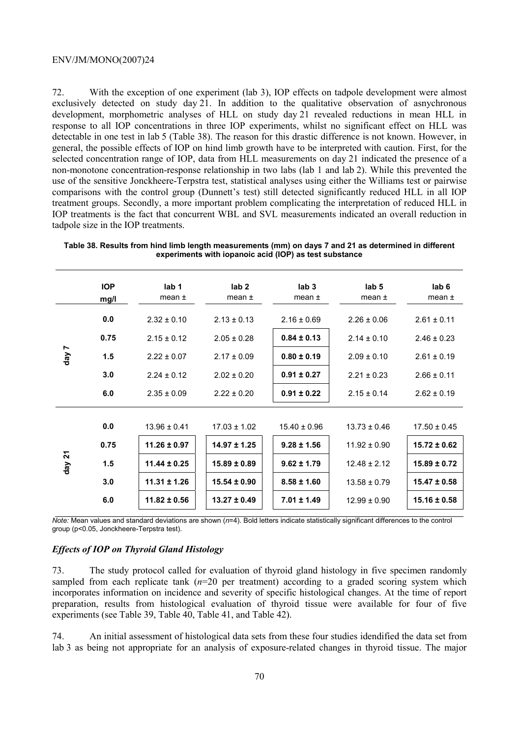72. With the exception of one experiment (lab 3), IOP effects on tadpole development were almost exclusively detected on study day 21. In addition to the qualitative observation of asnychronous development, morphometric analyses of HLL on study day 21 revealed reductions in mean HLL in response to all IOP concentrations in three IOP experiments, whilst no significant effect on HLL was detectable in one test in lab 5 (Table 38). The reason for this drastic difference is not known. However, in general, the possible effects of IOP on hind limb growth have to be interpreted with caution. First, for the selected concentration range of IOP, data from HLL measurements on day 21 indicated the presence of a non-monotone concentration-response relationship in two labs (lab 1 and lab 2). While this prevented the use of the sensitive Jonckheere-Terpstra test, statistical analyses using either the Williams test or pairwise comparisons with the control group (Dunnett's test) still detected significantly reduced HLL in all IOP treatment groups. Secondly, a more important problem complicating the interpretation of reduced HLL in IOP treatments is the fact that concurrent WBL and SVL measurements indicated an overall reduction in tadpole size in the IOP treatments.

| Table 38. Results from hind limb length measurements (mm) on days 7 and 21 as determined in different |  |
|-------------------------------------------------------------------------------------------------------|--|
| experiments with iopanoic acid (IOP) as test substance                                                |  |

|          | <b>IOP</b><br>mg/l | lab 1<br>mean $\pm$ | lab <sub>2</sub><br>mean $\pm$ | lab <sub>3</sub><br>mean $\pm$ | lab <sub>5</sub><br>mean $\pm$ | lab 6<br>mean $\pm$ |  |
|----------|--------------------|---------------------|--------------------------------|--------------------------------|--------------------------------|---------------------|--|
| day 7    | 0.0                | $2.32 \pm 0.10$     | $2.13 \pm 0.13$                | $2.16 \pm 0.69$                | $2.26 \pm 0.06$                | $2.61 \pm 0.11$     |  |
|          | 0.75               | $2.15 \pm 0.12$     | $2.05 \pm 0.28$                | $0.84 \pm 0.13$                | $2.14 \pm 0.10$                | $2.46 \pm 0.23$     |  |
|          | 1.5                | $2.22 \pm 0.07$     | $2.17 \pm 0.09$                | $0.80 \pm 0.19$                | $2.09 \pm 0.10$                | $2.61 \pm 0.19$     |  |
|          | 3.0                | $2.24 \pm 0.12$     | $2.02 \pm 0.20$                | $0.91 \pm 0.27$                | $2.21 \pm 0.23$                | $2.66 \pm 0.11$     |  |
|          | 6.0                | $2.35 \pm 0.09$     | $2.22 \pm 0.20$                | $0.91 \pm 0.22$                | $2.15 \pm 0.14$                | $2.62 \pm 0.19$     |  |
| day $21$ |                    |                     |                                |                                |                                |                     |  |
|          | 0.0                | $13.96 \pm 0.41$    | $17.03 \pm 1.02$               | $15.40 \pm 0.96$               | $13.73 \pm 0.46$               | $17.50 \pm 0.45$    |  |
|          | 0.75               | $11.26 \pm 0.97$    | $14.97 \pm 1.25$               | $9.28 \pm 1.56$                | $11.92 \pm 0.90$               | $15.72 \pm 0.62$    |  |
|          | 1.5                | $11.44 \pm 0.25$    | $15.89 \pm 0.89$               | $9.62 \pm 1.79$                | $12.48 \pm 2.12$               | $15.89 \pm 0.72$    |  |
|          | 3.0                | $11.31 \pm 1.26$    | $15.54 \pm 0.90$               | $8.58 \pm 1.60$                | $13.58 \pm 0.79$               | $15.47 \pm 0.58$    |  |
|          | 6.0                | $11.82 \pm 0.56$    | $13.27 \pm 0.49$               | $7.01 \pm 1.49$                | $12.99 \pm 0.90$               | $15.16 \pm 0.58$    |  |

*Note:* Mean values and standard deviations are shown (*n*=4). Bold letters indicate statistically significant differences to the control group (p<0.05, Jonckheere-Terpstra test).

## *Effects of IOP on Thyroid Gland Histology*

73. The study protocol called for evaluation of thyroid gland histology in five specimen randomly sampled from each replicate tank  $(n=20$  per treatment) according to a graded scoring system which incorporates information on incidence and severity of specific histological changes. At the time of report preparation, results from histological evaluation of thyroid tissue were available for four of five experiments (see Table 39, Table 40, Table 41, and Table 42).

74. An initial assessment of histological data sets from these four studies idendified the data set from lab 3 as being not appropriate for an analysis of exposure-related changes in thyroid tissue. The major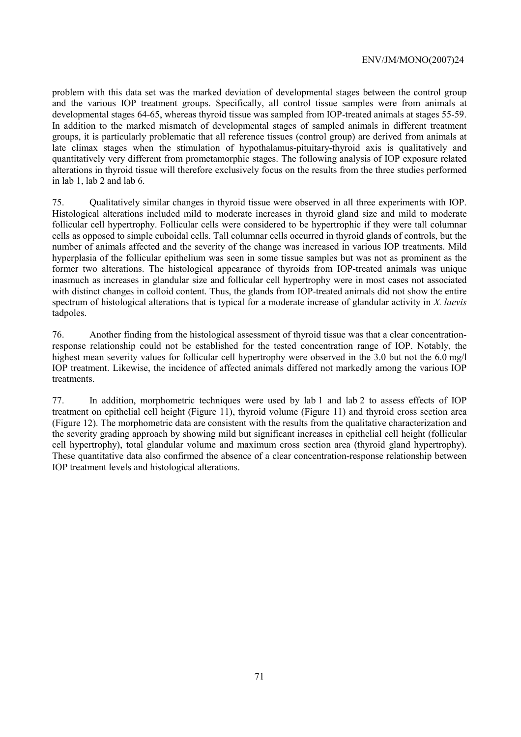problem with this data set was the marked deviation of developmental stages between the control group and the various IOP treatment groups. Specifically, all control tissue samples were from animals at developmental stages 64-65, whereas thyroid tissue was sampled from IOP-treated animals at stages 55-59. In addition to the marked mismatch of developmental stages of sampled animals in different treatment groups, it is particularly problematic that all reference tissues (control group) are derived from animals at late climax stages when the stimulation of hypothalamus-pituitary-thyroid axis is qualitatively and quantitatively very different from prometamorphic stages. The following analysis of IOP exposure related alterations in thyroid tissue will therefore exclusively focus on the results from the three studies performed in lab 1, lab 2 and lab 6.

75. Qualitatively similar changes in thyroid tissue were observed in all three experiments with IOP. Histological alterations included mild to moderate increases in thyroid gland size and mild to moderate follicular cell hypertrophy. Follicular cells were considered to be hypertrophic if they were tall columnar cells as opposed to simple cuboidal cells. Tall columnar cells occurred in thyroid glands of controls, but the number of animals affected and the severity of the change was increased in various IOP treatments. Mild hyperplasia of the follicular epithelium was seen in some tissue samples but was not as prominent as the former two alterations. The histological appearance of thyroids from IOP-treated animals was unique inasmuch as increases in glandular size and follicular cell hypertrophy were in most cases not associated with distinct changes in colloid content. Thus, the glands from IOP-treated animals did not show the entire spectrum of histological alterations that is typical for a moderate increase of glandular activity in *X. laevis* tadpoles.

76. Another finding from the histological assessment of thyroid tissue was that a clear concentrationresponse relationship could not be established for the tested concentration range of IOP. Notably, the highest mean severity values for follicular cell hypertrophy were observed in the 3.0 but not the 6.0 mg/l IOP treatment. Likewise, the incidence of affected animals differed not markedly among the various IOP treatments.

77. In addition, morphometric techniques were used by lab 1 and lab 2 to assess effects of IOP treatment on epithelial cell height (Figure 11), thyroid volume (Figure 11) and thyroid cross section area (Figure 12). The morphometric data are consistent with the results from the qualitative characterization and the severity grading approach by showing mild but significant increases in epithelial cell height (follicular cell hypertrophy), total glandular volume and maximum cross section area (thyroid gland hypertrophy). These quantitative data also confirmed the absence of a clear concentration-response relationship between IOP treatment levels and histological alterations.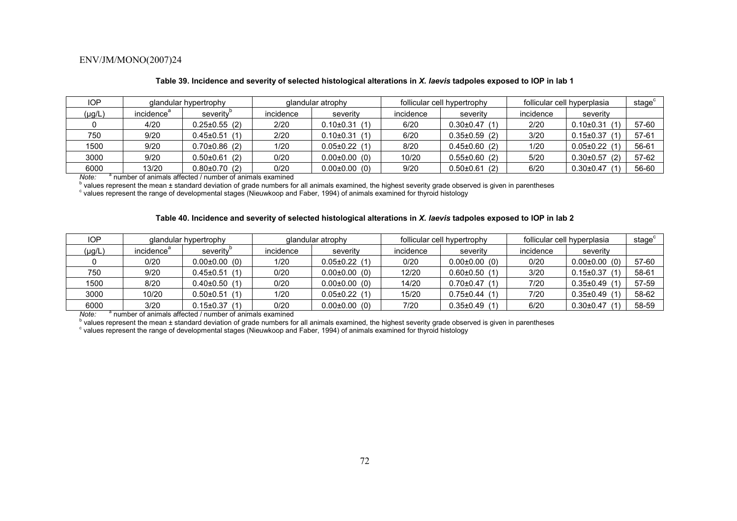### **Table 39. Incidence and severity of selected histological alterations in** *X. laevis* **tadpoles exposed to IOP in lab 1**

| <b>IOP</b>  | glandular hypertrophy  |                       | glandular atrophy |                     | follicular cell hypertrophy |                     | follicular cell hyperplasia |                        | stage <sup>®</sup> |
|-------------|------------------------|-----------------------|-------------------|---------------------|-----------------------------|---------------------|-----------------------------|------------------------|--------------------|
| $(\mu g/L)$ | incidence <sup>a</sup> | severity <sup>o</sup> | incidence         | severity            | incidence                   | severity            | incidence                   | severity               |                    |
|             | 4/20                   | $0.25 \pm 0.55$ (2)   | 2/20              | $0.10\pm0.31$ (1)   | 6/20                        | $0.30\pm0.47$ (1)   | 2/20                        | $0.10\pm0.31$ (1)      | 57-60              |
| 750         | 9/20                   | $0.45\pm0.51$ (1)     | 2/20              | $0.10\pm0.31$ (1)   | 6/20                        | $0.35\pm0.59$ (2)   | 3/20                        | $0.15 \pm 0.37$ (1)    | 57-61              |
| 1500        | 9/20                   | $0.70 \pm 0.86$ (2)   | 1/20              | $0.05 \pm 0.22$ (1) | 8/20                        | $0.45 \pm 0.60$ (2) | 1/20                        | $0.05 \pm 0.22$ (1)    | 56-61              |
| 3000        | 9/20                   | $0.50 \pm 0.61$ (2)   | 0/20              | $0.00 \pm 0.00$ (0) | 10/20                       | $0.55\pm0.60$ (2)   | 5/20                        | $0.30\pm0.57$ (2)      | 57-62              |
| 6000        | 13/20                  | $0.80 \pm 0.70$ (2)   | 0/20              | $0.00 \pm 0.00$ (0) | 9/20                        | $0.50\pm0.61$ (2)   | 6/20                        | $0.30{\pm}0.47$<br>(1) | 56-60              |

*Note:* a number of animals affected / number of animals examined

 $^{\text{b}}$  values represent the mean ± standard deviation of grade numbers for all animals examined, the highest severity grade observed is given in parentheses

 $\degree$  values represent the range of developmental stages (Nieuwkoop and Faber, 1994) of animals examined for thyroid histology

### **Table 40. Incidence and severity of selected histological alterations in** *X. laevis* **tadpoles exposed to IOP in lab 2**

| <b>IOP</b>  | glandular hypertrophy  |                        | glandular atrophy |                     | follicular cell hypertrophy |                     | follicular cell hyperplasia |                     | stage <sup>o</sup> |
|-------------|------------------------|------------------------|-------------------|---------------------|-----------------------------|---------------------|-----------------------------|---------------------|--------------------|
| $(\mu g/L)$ | incidence <sup>ª</sup> | severity <sup>-</sup>  | incidence         | severity            | incidence                   | severity            | incidence                   | severity            |                    |
|             | 0/20                   | $0.00 \pm 0.00$ (0)    | 1/20              | $0.05 \pm 0.22$ (1) | 0/20                        | $0.00 \pm 0.00$ (0) | 0/20                        | $0.00 \pm 0.00$ (0) | 57-60              |
| 750         | 9/20                   | $0.45 \pm 0.51$<br>(1) | 0/20              | $0.00 \pm 0.00$ (0) | 12/20                       | $0.60 \pm 0.50$ (1) | 3/20                        | $0.15 \pm 0.37$     | 58-61              |
| 1500        | 8/20                   | $0.40\pm0.50$ (1)      | 0/20              | $0.00 \pm 0.00$ (0) | 14/20                       | $0.70 \pm 0.47$     | 7/20                        | $0.35 \pm 0.49$ (1) | 57-59              |
| 3000        | 10/20                  | $0.50 + 0.51$          | 1/20              | $0.05 \pm 0.22$ (1) | 15/20                       | $0.75 \pm 0.44$     | 7/20                        | $0.35 \pm 0.49$ (1) | 58-62              |
| 6000        | 3/20                   | $0.15 \pm 0.37$<br>(1) | 0/20              | $0.00 \pm 0.00$ (0) | 7/20                        | $0.35 \pm 0.49$     | 6/20                        | $0.30+0.47$         | 58-59              |

*Note:* a number of animals affected / number of animals examined

 $^{\text{b}}$  values represent the mean ± standard deviation of grade numbers for all animals examined, the highest severity grade observed is given in parentheses

 $\textdegree$  values represent the range of developmental stages (Nieuwkoop and Faber, 1994) of animals examined for thyroid histology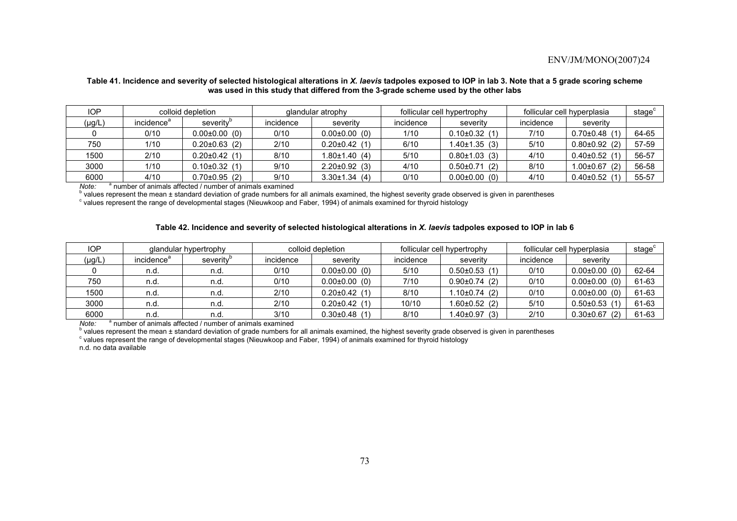#### **Table 41. Incidence and severity of selected histological alterations in** *X. laevis* **tadpoles exposed to IOP in lab 3. Note that a 5 grade scoring scheme was used in this study that differed from the 3-grade scheme used by the other labs**

| <b>IOP</b>  | colloid depletion      |                       | glandular atrophy |                     | follicular cell hypertrophy |                     | follicular cell hyperplasia |                     | stage <sup>o</sup> |
|-------------|------------------------|-----------------------|-------------------|---------------------|-----------------------------|---------------------|-----------------------------|---------------------|--------------------|
| $(\mu g/L)$ | incidence <sup>a</sup> | severity <sup>o</sup> | incidence         | severity            | incidence                   | severity            | incidence                   | severity            |                    |
|             | 0/10                   | $0.00 \pm 0.00$ (0)   | 0/10              | $0.00 \pm 0.00$ (0) | 1/10                        | $0.10 \pm 0.32$ (1) | 7/10                        | $0.70 \pm 0.48$ (1) | 64-65              |
| 750         | 1/10                   | $0.20 \pm 0.63$ (2)   | 2/10              | $0.20 \pm 0.42$ (1) | 6/10                        | $1.40\pm1.35$ (3)   | 5/10                        | $0.80 \pm 0.92$ (2) | 57-59              |
| 1500        | 2/10                   | $0.20 \pm 0.42$ (1)   | 8/10              | $.80 \pm 1.40$ (4)  | 5/10                        | $0.80 \pm 1.03$ (3) | 4/10                        | $0.40 \pm 0.52$ (1) | 56-57              |
| 3000        | 1/10                   | $0.10\pm0.32$ (1)     | 9/10              | $2.20 \pm 0.92$ (3) | 4/10                        | $0.50 \pm 0.71$ (2) | 8/10                        | $1.00 \pm 0.67$ (2) | 56-58              |
| 6000        | 4/10                   | $0.70\pm0.95$ (2)     | 9/10              | $3.30 \pm 1.34$ (4) | 0/10                        | $0.00 \pm 0.00$ (0) | 4/10                        | $0.40 \pm 0.52$     | 55-57              |

*Note:*

Note: a number of animals affected / number of animals examined<br>
b values represent the mean ± standard deviation of grade numbers for all animals examined, the highest severity grade observed is given in parentheses<br>
c va

#### **Table 42. Incidence and severity of selected histological alterations in** *X. laevis* **tadpoles exposed to IOP in lab 6**

| <b>IOP</b>  | glandular hypertrophy  |                       | colloid depletion |                     | follicular cell hypertrophy |                     | follicular cell hyperplasia |                        | stage <sup>c</sup> |
|-------------|------------------------|-----------------------|-------------------|---------------------|-----------------------------|---------------------|-----------------------------|------------------------|--------------------|
| $(\mu g/L)$ | incidence <sup>a</sup> | severity <sup>o</sup> | incidence         | severity            | incidence                   | severity            | incidence                   | severity               |                    |
|             | n.d.                   | n.d.                  | 0/10              | $0.00 \pm 0.00$ (0) | 5/10                        | $0.50\pm0.53$ (1)   | 0/10                        | $0.00 \pm 0.00$ (0)    | 62-64              |
| 750         | n.d.                   | n.d.                  | 0/10              | $0.00 \pm 0.00$ (0) | 7/10                        | $0.90 \pm 0.74$ (2) | 0/10                        | $0.00 \pm 0.00$ (0)    | 61-63              |
| 1500        | n.d.                   | n.d.                  | 2/10              | $0.20 \pm 0.42$ (1) | 8/10                        | $1.10\pm0.74$ (2)   | 0/10                        | $0.00\pm0.00$ (0)      | 61-63              |
| 3000        | n.d.                   | n.d.                  | 2/10              | $0.20 \pm 0.42$ (1) | 10/10                       | $1.60 \pm 0.52$ (2) | 5/10                        | $0.50 \pm 0.53$ (1)    | 61-63              |
| 6000        | n.d                    | n.d.                  | 3/10              | $0.30 \pm 0.48$ (1) | 8/10                        | .40±0.97<br>(3)     | 2/10                        | $0.30 \pm 0.67$<br>(2) | 61-63              |

*Note:* <sup>a</sup> number of animals affected / number of animals examined

<sup>b</sup> values represent the mean ± standard deviation of grade numbers for all animals examined, the highest severity grade observed is given in parentheses called values represent the range of developmental stages (Nieuwkoop

n.d. no data available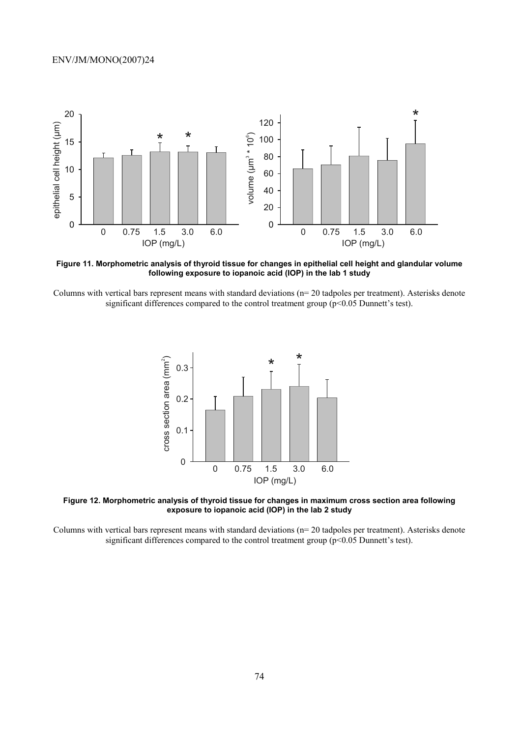

**Figure 11. Morphometric analysis of thyroid tissue for changes in epithelial cell height and glandular volume following exposure to iopanoic acid (IOP) in the lab 1 study** 

Columns with vertical bars represent means with standard deviations (n= 20 tadpoles per treatment). Asterisks denote significant differences compared to the control treatment group ( $p$ <0.05 Dunnett's test).



**Figure 12. Morphometric analysis of thyroid tissue for changes in maximum cross section area following exposure to iopanoic acid (IOP) in the lab 2 study** 

Columns with vertical bars represent means with standard deviations (n= 20 tadpoles per treatment). Asterisks denote significant differences compared to the control treatment group ( $p \le 0.05$  Dunnett's test).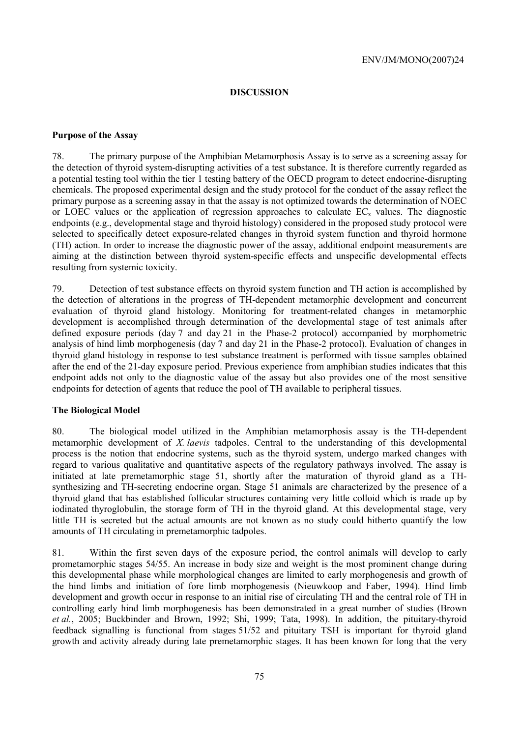#### **DISCUSSION**

#### **Purpose of the Assay**

78. The primary purpose of the Amphibian Metamorphosis Assay is to serve as a screening assay for the detection of thyroid system-disrupting activities of a test substance. It is therefore currently regarded as a potential testing tool within the tier 1 testing battery of the OECD program to detect endocrine-disrupting chemicals. The proposed experimental design and the study protocol for the conduct of the assay reflect the primary purpose as a screening assay in that the assay is not optimized towards the determination of NOEC or LOEC values or the application of regression approaches to calculate  $EC<sub>x</sub>$  values. The diagnostic endpoints (e.g., developmental stage and thyroid histology) considered in the proposed study protocol were selected to specifically detect exposure-related changes in thyroid system function and thyroid hormone (TH) action. In order to increase the diagnostic power of the assay, additional endpoint measurements are aiming at the distinction between thyroid system-specific effects and unspecific developmental effects resulting from systemic toxicity.

79. Detection of test substance effects on thyroid system function and TH action is accomplished by the detection of alterations in the progress of TH-dependent metamorphic development and concurrent evaluation of thyroid gland histology. Monitoring for treatment-related changes in metamorphic development is accomplished through determination of the developmental stage of test animals after defined exposure periods (day 7 and day 21 in the Phase-2 protocol) accompanied by morphometric analysis of hind limb morphogenesis (day 7 and day 21 in the Phase-2 protocol). Evaluation of changes in thyroid gland histology in response to test substance treatment is performed with tissue samples obtained after the end of the 21-day exposure period. Previous experience from amphibian studies indicates that this endpoint adds not only to the diagnostic value of the assay but also provides one of the most sensitive endpoints for detection of agents that reduce the pool of TH available to peripheral tissues.

## **The Biological Model**

80. The biological model utilized in the Amphibian metamorphosis assay is the TH-dependent metamorphic development of *X. laevis* tadpoles. Central to the understanding of this developmental process is the notion that endocrine systems, such as the thyroid system, undergo marked changes with regard to various qualitative and quantitative aspects of the regulatory pathways involved. The assay is initiated at late premetamorphic stage 51, shortly after the maturation of thyroid gland as a THsynthesizing and TH-secreting endocrine organ. Stage 51 animals are characterized by the presence of a thyroid gland that has established follicular structures containing very little colloid which is made up by iodinated thyroglobulin, the storage form of TH in the thyroid gland. At this developmental stage, very little TH is secreted but the actual amounts are not known as no study could hitherto quantify the low amounts of TH circulating in premetamorphic tadpoles.

81. Within the first seven days of the exposure period, the control animals will develop to early prometamorphic stages 54/55. An increase in body size and weight is the most prominent change during this developmental phase while morphological changes are limited to early morphogenesis and growth of the hind limbs and initiation of fore limb morphogenesis (Nieuwkoop and Faber, 1994). Hind limb development and growth occur in response to an initial rise of circulating TH and the central role of TH in controlling early hind limb morphogenesis has been demonstrated in a great number of studies (Brown *et al.*, 2005; Buckbinder and Brown, 1992; Shi, 1999; Tata, 1998). In addition, the pituitary-thyroid feedback signalling is functional from stages 51/52 and pituitary TSH is important for thyroid gland growth and activity already during late premetamorphic stages. It has been known for long that the very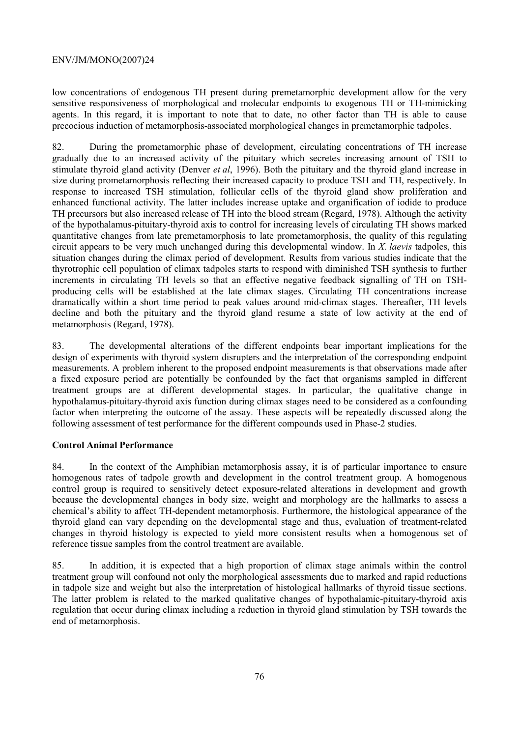low concentrations of endogenous TH present during premetamorphic development allow for the very sensitive responsiveness of morphological and molecular endpoints to exogenous TH or TH-mimicking agents. In this regard, it is important to note that to date, no other factor than TH is able to cause precocious induction of metamorphosis-associated morphological changes in premetamorphic tadpoles.

82. During the prometamorphic phase of development, circulating concentrations of TH increase gradually due to an increased activity of the pituitary which secretes increasing amount of TSH to stimulate thyroid gland activity (Denver *et al*, 1996). Both the pituitary and the thyroid gland increase in size during prometamorphosis reflecting their increased capacity to produce TSH and TH, respectively. In response to increased TSH stimulation, follicular cells of the thyroid gland show proliferation and enhanced functional activity. The latter includes increase uptake and organification of iodide to produce TH precursors but also increased release of TH into the blood stream (Regard, 1978). Although the activity of the hypothalamus-pituitary-thyroid axis to control for increasing levels of circulating TH shows marked quantitative changes from late premetamorphosis to late prometamorphosis, the quality of this regulating circuit appears to be very much unchanged during this developmental window. In *X. laevis* tadpoles, this situation changes during the climax period of development. Results from various studies indicate that the thyrotrophic cell population of climax tadpoles starts to respond with diminished TSH synthesis to further increments in circulating TH levels so that an effective negative feedback signalling of TH on TSHproducing cells will be established at the late climax stages. Circulating TH concentrations increase dramatically within a short time period to peak values around mid-climax stages. Thereafter, TH levels decline and both the pituitary and the thyroid gland resume a state of low activity at the end of metamorphosis (Regard, 1978).

83. The developmental alterations of the different endpoints bear important implications for the design of experiments with thyroid system disrupters and the interpretation of the corresponding endpoint measurements. A problem inherent to the proposed endpoint measurements is that observations made after a fixed exposure period are potentially be confounded by the fact that organisms sampled in different treatment groups are at different developmental stages. In particular, the qualitative change in hypothalamus-pituitary-thyroid axis function during climax stages need to be considered as a confounding factor when interpreting the outcome of the assay. These aspects will be repeatedly discussed along the following assessment of test performance for the different compounds used in Phase-2 studies.

## **Control Animal Performance**

84. In the context of the Amphibian metamorphosis assay, it is of particular importance to ensure homogenous rates of tadpole growth and development in the control treatment group. A homogenous control group is required to sensitively detect exposure-related alterations in development and growth because the developmental changes in body size, weight and morphology are the hallmarks to assess a chemical's ability to affect TH-dependent metamorphosis. Furthermore, the histological appearance of the thyroid gland can vary depending on the developmental stage and thus, evaluation of treatment-related changes in thyroid histology is expected to yield more consistent results when a homogenous set of reference tissue samples from the control treatment are available.

85. In addition, it is expected that a high proportion of climax stage animals within the control treatment group will confound not only the morphological assessments due to marked and rapid reductions in tadpole size and weight but also the interpretation of histological hallmarks of thyroid tissue sections. The latter problem is related to the marked qualitative changes of hypothalamic-pituitary-thyroid axis regulation that occur during climax including a reduction in thyroid gland stimulation by TSH towards the end of metamorphosis.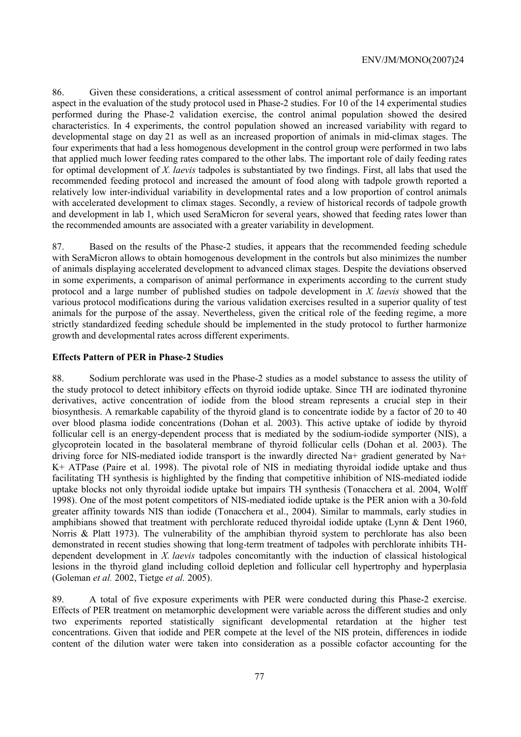86. Given these considerations, a critical assessment of control animal performance is an important aspect in the evaluation of the study protocol used in Phase-2 studies. For 10 of the 14 experimental studies performed during the Phase-2 validation exercise, the control animal population showed the desired characteristics. In 4 experiments, the control population showed an increased variability with regard to developmental stage on day 21 as well as an increased proportion of animals in mid-climax stages. The four experiments that had a less homogenous development in the control group were performed in two labs that applied much lower feeding rates compared to the other labs. The important role of daily feeding rates for optimal development of *X. laevis* tadpoles is substantiated by two findings. First, all labs that used the recommended feeding protocol and increased the amount of food along with tadpole growth reported a relatively low inter-individual variability in developmental rates and a low proportion of control animals with accelerated development to climax stages. Secondly, a review of historical records of tadpole growth and development in lab 1, which used SeraMicron for several years, showed that feeding rates lower than the recommended amounts are associated with a greater variability in development.

87. Based on the results of the Phase-2 studies, it appears that the recommended feeding schedule with SeraMicron allows to obtain homogenous development in the controls but also minimizes the number of animals displaying accelerated development to advanced climax stages. Despite the deviations observed in some experiments, a comparison of animal performance in experiments according to the current study protocol and a large number of published studies on tadpole development in *X. laevis* showed that the various protocol modifications during the various validation exercises resulted in a superior quality of test animals for the purpose of the assay. Nevertheless, given the critical role of the feeding regime, a more strictly standardized feeding schedule should be implemented in the study protocol to further harmonize growth and developmental rates across different experiments.

#### **Effects Pattern of PER in Phase-2 Studies**

88. Sodium perchlorate was used in the Phase-2 studies as a model substance to assess the utility of the study protocol to detect inhibitory effects on thyroid iodide uptake. Since TH are iodinated thyronine derivatives, active concentration of iodide from the blood stream represents a crucial step in their biosynthesis. A remarkable capability of the thyroid gland is to concentrate iodide by a factor of 20 to 40 over blood plasma iodide concentrations (Dohan et al. 2003). This active uptake of iodide by thyroid follicular cell is an energy-dependent process that is mediated by the sodium-iodide symporter (NIS), a glycoprotein located in the basolateral membrane of thyroid follicular cells (Dohan et al. 2003). The driving force for NIS-mediated iodide transport is the inwardly directed Na+ gradient generated by Na+ K+ ATPase (Paire et al. 1998). The pivotal role of NIS in mediating thyroidal iodide uptake and thus facilitating TH synthesis is highlighted by the finding that competitive inhibition of NIS-mediated iodide uptake blocks not only thyroidal iodide uptake but impairs TH synthesis (Tonacchera et al. 2004, Wolff 1998). One of the most potent competitors of NIS-mediated iodide uptake is the PER anion with a 30-fold greater affinity towards NIS than iodide (Tonacchera et al., 2004). Similar to mammals, early studies in amphibians showed that treatment with perchlorate reduced thyroidal iodide uptake (Lynn & Dent 1960, Norris & Platt 1973). The vulnerability of the amphibian thyroid system to perchlorate has also been demonstrated in recent studies showing that long-term treatment of tadpoles with perchlorate inhibits THdependent development in *X. laevis* tadpoles concomitantly with the induction of classical histological lesions in the thyroid gland including colloid depletion and follicular cell hypertrophy and hyperplasia (Goleman *et al.* 2002, Tietge *et al.* 2005).

89. A total of five exposure experiments with PER were conducted during this Phase-2 exercise. Effects of PER treatment on metamorphic development were variable across the different studies and only two experiments reported statistically significant developmental retardation at the higher test concentrations. Given that iodide and PER compete at the level of the NIS protein, differences in iodide content of the dilution water were taken into consideration as a possible cofactor accounting for the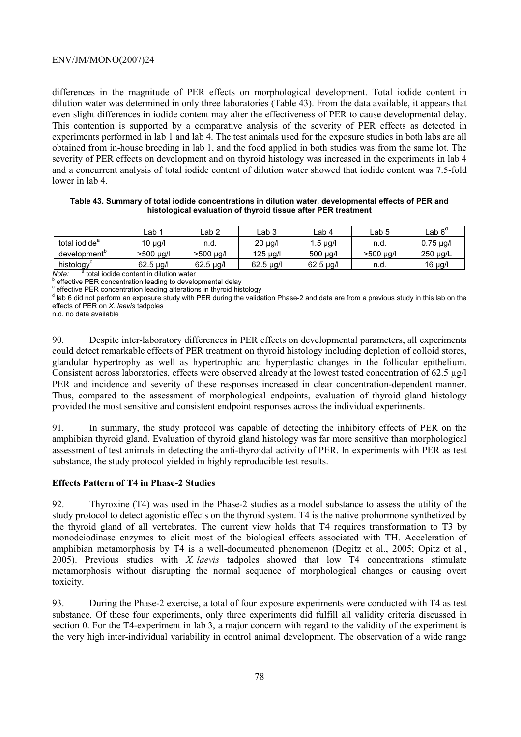differences in the magnitude of PER effects on morphological development. Total iodide content in dilution water was determined in only three laboratories (Table 43). From the data available, it appears that even slight differences in iodide content may alter the effectiveness of PER to cause developmental delay. This contention is supported by a comparative analysis of the severity of PER effects as detected in experiments performed in lab 1 and lab 4. The test animals used for the exposure studies in both labs are all obtained from in-house breeding in lab 1, and the food applied in both studies was from the same lot. The severity of PER effects on development and on thyroid histology was increased in the experiments in lab 4 and a concurrent analysis of total iodide content of dilution water showed that iodide content was 7.5-fold lower in lab 4.

**Table 43. Summary of total iodide concentrations in dilution water, developmental effects of PER and histological evaluation of thyroid tissue after PER treatment** 

|                           | _ab 1               | Lab 2          | ∟ab 3          | ∟ab 4     | Lab 5     | $\mathsf{Lab} 6^\mathsf{u}$ |
|---------------------------|---------------------|----------------|----------------|-----------|-----------|-----------------------------|
| total iodide <sup>a</sup> | 10 µg/l             | n.d.           | $20 \mu g/l$   | 1.5 µg/l  | n.d.      | $0.75 \mu g/l$              |
| development <sup>9</sup>  | >500 µg/l           | >500 µg/l      | 125 µg/l       | 500 µg/l  | >500 µg/l | 250 µg/L                    |
| histology                 | $62.5 \text{ µq/l}$ | $62.5 \mu g/l$ | $62.5 \mu g/l$ | 62.5 µg/l | n.d.      | 16 µg/l                     |

*Note:* total iodide content in dilution water

 $\theta$  effective PER concentration leading to developmental delay

 $c$  effective PER concentration leading alterations in thyroid histology

<sup>d</sup> lab 6 did not perform an exposure study with PER during the validation Phase-2 and data are from a previous study in this lab on the effects of PER on *X. laevis* tadpoles

n.d. no data available

90. Despite inter-laboratory differences in PER effects on developmental parameters, all experiments could detect remarkable effects of PER treatment on thyroid histology including depletion of colloid stores, glandular hypertrophy as well as hypertrophic and hyperplastic changes in the follicular epithelium. Consistent across laboratories, effects were observed already at the lowest tested concentration of 62.5  $\mu$ g/l PER and incidence and severity of these responses increased in clear concentration-dependent manner. Thus, compared to the assessment of morphological endpoints, evaluation of thyroid gland histology provided the most sensitive and consistent endpoint responses across the individual experiments.

91. In summary, the study protocol was capable of detecting the inhibitory effects of PER on the amphibian thyroid gland. Evaluation of thyroid gland histology was far more sensitive than morphological assessment of test animals in detecting the anti-thyroidal activity of PER. In experiments with PER as test substance, the study protocol yielded in highly reproducible test results.

## **Effects Pattern of T4 in Phase-2 Studies**

92. Thyroxine (T4) was used in the Phase-2 studies as a model substance to assess the utility of the study protocol to detect agonistic effects on the thyroid system. T4 is the native prohormone synthetized by the thyroid gland of all vertebrates. The current view holds that T4 requires transformation to T3 by monodeiodinase enzymes to elicit most of the biological effects associated with TH. Acceleration of amphibian metamorphosis by T4 is a well-documented phenomenon (Degitz et al., 2005; Opitz et al., 2005). Previous studies with *X. laevis* tadpoles showed that low T4 concentrations stimulate metamorphosis without disrupting the normal sequence of morphological changes or causing overt toxicity.

93. During the Phase-2 exercise, a total of four exposure experiments were conducted with T4 as test substance. Of these four experiments, only three experiments did fulfill all validity criteria discussed in section 0. For the T4-experiment in lab 3, a major concern with regard to the validity of the experiment is the very high inter-individual variability in control animal development. The observation of a wide range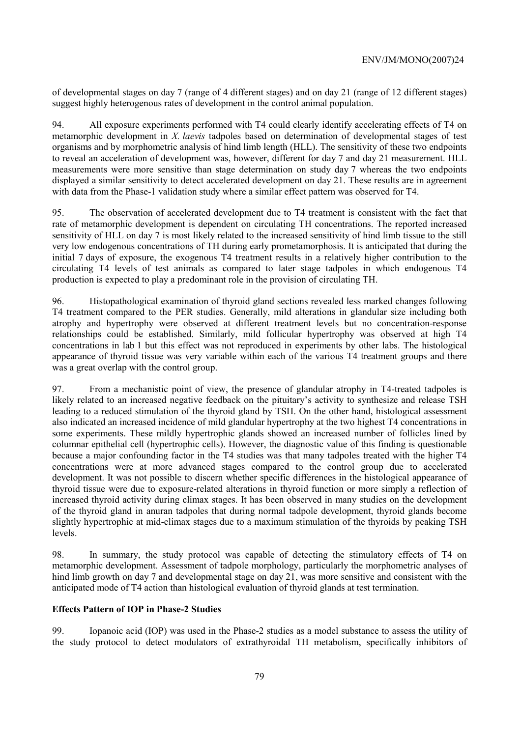of developmental stages on day 7 (range of 4 different stages) and on day 21 (range of 12 different stages) suggest highly heterogenous rates of development in the control animal population.

94. All exposure experiments performed with T4 could clearly identify accelerating effects of T4 on metamorphic development in *X. laevis* tadpoles based on determination of developmental stages of test organisms and by morphometric analysis of hind limb length (HLL). The sensitivity of these two endpoints to reveal an acceleration of development was, however, different for day 7 and day 21 measurement. HLL measurements were more sensitive than stage determination on study day 7 whereas the two endpoints displayed a similar sensitivity to detect accelerated development on day 21. These results are in agreement with data from the Phase-1 validation study where a similar effect pattern was observed for T4.

95. The observation of accelerated development due to T4 treatment is consistent with the fact that rate of metamorphic development is dependent on circulating TH concentrations. The reported increased sensitivity of HLL on day 7 is most likely related to the increased sensitivity of hind limb tissue to the still very low endogenous concentrations of TH during early prometamorphosis. It is anticipated that during the initial 7 days of exposure, the exogenous T4 treatment results in a relatively higher contribution to the circulating T4 levels of test animals as compared to later stage tadpoles in which endogenous T4 production is expected to play a predominant role in the provision of circulating TH.

96. Histopathological examination of thyroid gland sections revealed less marked changes following T4 treatment compared to the PER studies. Generally, mild alterations in glandular size including both atrophy and hypertrophy were observed at different treatment levels but no concentration-response relationships could be established. Similarly, mild follicular hypertrophy was observed at high T4 concentrations in lab 1 but this effect was not reproduced in experiments by other labs. The histological appearance of thyroid tissue was very variable within each of the various T4 treatment groups and there was a great overlap with the control group.

97. From a mechanistic point of view, the presence of glandular atrophy in T4-treated tadpoles is likely related to an increased negative feedback on the pituitary's activity to synthesize and release TSH leading to a reduced stimulation of the thyroid gland by TSH. On the other hand, histological assessment also indicated an increased incidence of mild glandular hypertrophy at the two highest T4 concentrations in some experiments. These mildly hypertrophic glands showed an increased number of follicles lined by columnar epithelial cell (hypertrophic cells). However, the diagnostic value of this finding is questionable because a major confounding factor in the T4 studies was that many tadpoles treated with the higher T4 concentrations were at more advanced stages compared to the control group due to accelerated development. It was not possible to discern whether specific differences in the histological appearance of thyroid tissue were due to exposure-related alterations in thyroid function or more simply a reflection of increased thyroid activity during climax stages. It has been observed in many studies on the development of the thyroid gland in anuran tadpoles that during normal tadpole development, thyroid glands become slightly hypertrophic at mid-climax stages due to a maximum stimulation of the thyroids by peaking TSH levels.

98. In summary, the study protocol was capable of detecting the stimulatory effects of T4 on metamorphic development. Assessment of tadpole morphology, particularly the morphometric analyses of hind limb growth on day 7 and developmental stage on day 21, was more sensitive and consistent with the anticipated mode of T4 action than histological evaluation of thyroid glands at test termination.

## **Effects Pattern of IOP in Phase-2 Studies**

99. Iopanoic acid (IOP) was used in the Phase-2 studies as a model substance to assess the utility of the study protocol to detect modulators of extrathyroidal TH metabolism, specifically inhibitors of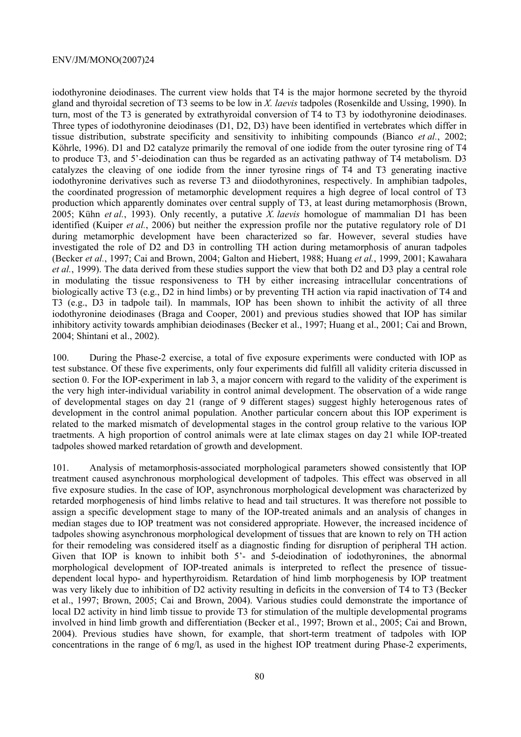iodothyronine deiodinases. The current view holds that T4 is the major hormone secreted by the thyroid gland and thyroidal secretion of T3 seems to be low in *X. laevis* tadpoles (Rosenkilde and Ussing, 1990). In turn, most of the T3 is generated by extrathyroidal conversion of T4 to T3 by iodothyronine deiodinases. Three types of iodothyronine deiodinases (D1, D2, D3) have been identified in vertebrates which differ in tissue distribution, substrate specificity and sensitivity to inhibiting compounds (Bianco *et al.*, 2002; Köhrle, 1996). D1 and D2 catalyze primarily the removal of one iodide from the outer tyrosine ring of T4 to produce T3, and 5'-deiodination can thus be regarded as an activating pathway of T4 metabolism. D3 catalyzes the cleaving of one iodide from the inner tyrosine rings of T4 and T3 generating inactive iodothyronine derivatives such as reverse T3 and diiodothyronines, respectively. In amphibian tadpoles, the coordinated progression of metamorphic development requires a high degree of local control of T3 production which apparently dominates over central supply of T3, at least during metamorphosis (Brown, 2005; Kühn *et al.*, 1993). Only recently, a putative *X. laevis* homologue of mammalian D1 has been identified (Kuiper *et al.*, 2006) but neither the expression profile nor the putative regulatory role of D1 during metamorphic development have been characterized so far. However, several studies have investigated the role of D2 and D3 in controlling TH action during metamorphosis of anuran tadpoles (Becker *et al.*, 1997; Cai and Brown, 2004; Galton and Hiebert, 1988; Huang *et al.*, 1999, 2001; Kawahara *et al.*, 1999). The data derived from these studies support the view that both D2 and D3 play a central role in modulating the tissue responsiveness to TH by either increasing intracellular concentrations of biologically active T3 (e.g., D2 in hind limbs) or by preventing TH action via rapid inactivation of T4 and T3 (e.g., D3 in tadpole tail). In mammals, IOP has been shown to inhibit the activity of all three iodothyronine deiodinases (Braga and Cooper, 2001) and previous studies showed that IOP has similar inhibitory activity towards amphibian deiodinases (Becker et al., 1997; Huang et al., 2001; Cai and Brown, 2004; Shintani et al., 2002).

100. During the Phase-2 exercise, a total of five exposure experiments were conducted with IOP as test substance. Of these five experiments, only four experiments did fulfill all validity criteria discussed in section 0. For the IOP-experiment in lab 3, a major concern with regard to the validity of the experiment is the very high inter-individual variability in control animal development. The observation of a wide range of developmental stages on day 21 (range of 9 different stages) suggest highly heterogenous rates of development in the control animal population. Another particular concern about this IOP experiment is related to the marked mismatch of developmental stages in the control group relative to the various IOP traetments. A high proportion of control animals were at late climax stages on day 21 while IOP-treated tadpoles showed marked retardation of growth and development.

101. Analysis of metamorphosis-associated morphological parameters showed consistently that IOP treatment caused asynchronous morphological development of tadpoles. This effect was observed in all five exposure studies. In the case of IOP, asynchronous morphological development was characterized by retarded morphogenesis of hind limbs relative to head and tail structures. It was therefore not possible to assign a specific development stage to many of the IOP-treated animals and an analysis of changes in median stages due to IOP treatment was not considered appropriate. However, the increased incidence of tadpoles showing asynchronous morphological development of tissues that are known to rely on TH action for their remodeling was considered itself as a diagnostic finding for disruption of peripheral TH action. Given that IOP is known to inhibit both 5'- and 5-deiodination of iodothyronines, the abnormal morphological development of IOP-treated animals is interpreted to reflect the presence of tissuedependent local hypo- and hyperthyroidism. Retardation of hind limb morphogenesis by IOP treatment was very likely due to inhibition of D2 activity resulting in deficits in the conversion of T4 to T3 (Becker et al., 1997; Brown, 2005; Cai and Brown, 2004). Various studies could demonstrate the importance of local D2 activity in hind limb tissue to provide T3 for stimulation of the multiple developmental programs involved in hind limb growth and differentiation (Becker et al., 1997; Brown et al., 2005; Cai and Brown, 2004). Previous studies have shown, for example, that short-term treatment of tadpoles with IOP concentrations in the range of 6 mg/l, as used in the highest IOP treatment during Phase-2 experiments,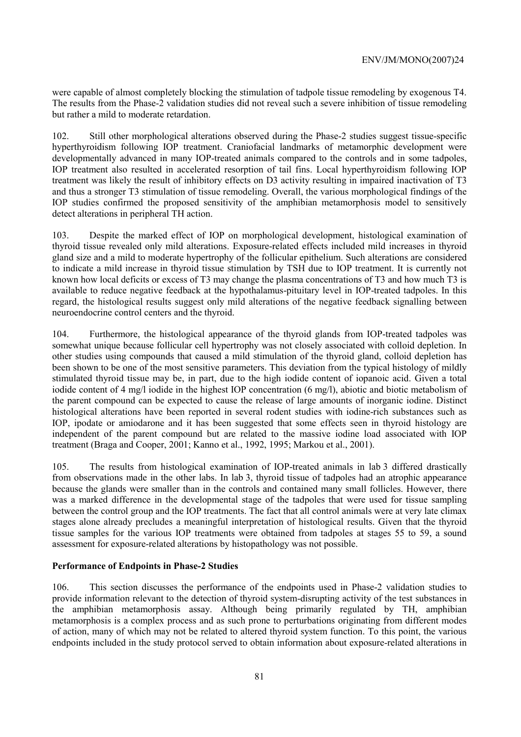were capable of almost completely blocking the stimulation of tadpole tissue remodeling by exogenous T4. The results from the Phase-2 validation studies did not reveal such a severe inhibition of tissue remodeling but rather a mild to moderate retardation.

102. Still other morphological alterations observed during the Phase-2 studies suggest tissue-specific hyperthyroidism following IOP treatment. Craniofacial landmarks of metamorphic development were developmentally advanced in many IOP-treated animals compared to the controls and in some tadpoles, IOP treatment also resulted in accelerated resorption of tail fins. Local hyperthyroidism following IOP treatment was likely the result of inhibitory effects on D3 activity resulting in impaired inactivation of T3 and thus a stronger T3 stimulation of tissue remodeling. Overall, the various morphological findings of the IOP studies confirmed the proposed sensitivity of the amphibian metamorphosis model to sensitively detect alterations in peripheral TH action.

103. Despite the marked effect of IOP on morphological development, histological examination of thyroid tissue revealed only mild alterations. Exposure-related effects included mild increases in thyroid gland size and a mild to moderate hypertrophy of the follicular epithelium. Such alterations are considered to indicate a mild increase in thyroid tissue stimulation by TSH due to IOP treatment. It is currently not known how local deficits or excess of T3 may change the plasma concentrations of T3 and how much T3 is available to reduce negative feedback at the hypothalamus-pituitary level in IOP-treated tadpoles. In this regard, the histological results suggest only mild alterations of the negative feedback signalling between neuroendocrine control centers and the thyroid.

104. Furthermore, the histological appearance of the thyroid glands from IOP-treated tadpoles was somewhat unique because follicular cell hypertrophy was not closely associated with colloid depletion. In other studies using compounds that caused a mild stimulation of the thyroid gland, colloid depletion has been shown to be one of the most sensitive parameters. This deviation from the typical histology of mildly stimulated thyroid tissue may be, in part, due to the high iodide content of iopanoic acid. Given a total iodide content of 4 mg/l iodide in the highest IOP concentration (6 mg/l), abiotic and biotic metabolism of the parent compound can be expected to cause the release of large amounts of inorganic iodine. Distinct histological alterations have been reported in several rodent studies with iodine-rich substances such as IOP, ipodate or amiodarone and it has been suggested that some effects seen in thyroid histology are independent of the parent compound but are related to the massive iodine load associated with IOP treatment (Braga and Cooper, 2001; Kanno et al., 1992, 1995; Markou et al., 2001).

105. The results from histological examination of IOP-treated animals in lab 3 differed drastically from observations made in the other labs. In lab 3, thyroid tissue of tadpoles had an atrophic appearance because the glands were smaller than in the controls and contained many small follicles. However, there was a marked difference in the developmental stage of the tadpoles that were used for tissue sampling between the control group and the IOP treatments. The fact that all control animals were at very late climax stages alone already precludes a meaningful interpretation of histological results. Given that the thyroid tissue samples for the various IOP treatments were obtained from tadpoles at stages 55 to 59, a sound assessment for exposure-related alterations by histopathology was not possible.

#### **Performance of Endpoints in Phase-2 Studies**

106. This section discusses the performance of the endpoints used in Phase-2 validation studies to provide information relevant to the detection of thyroid system-disrupting activity of the test substances in the amphibian metamorphosis assay. Although being primarily regulated by TH, amphibian metamorphosis is a complex process and as such prone to perturbations originating from different modes of action, many of which may not be related to altered thyroid system function. To this point, the various endpoints included in the study protocol served to obtain information about exposure-related alterations in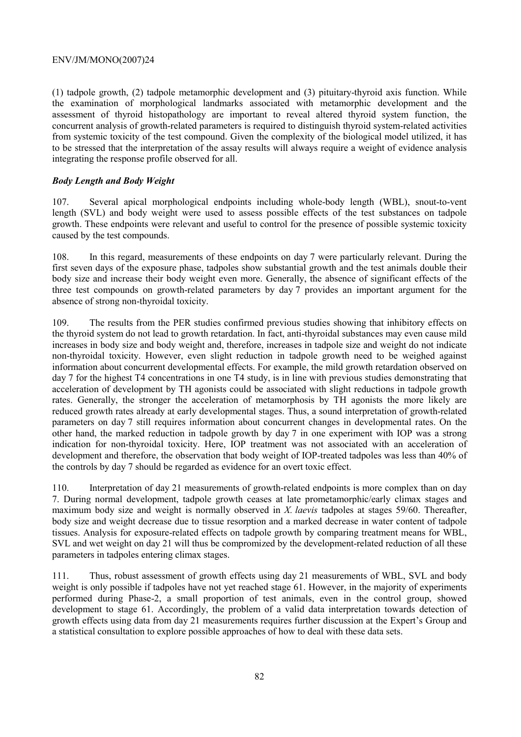(1) tadpole growth, (2) tadpole metamorphic development and (3) pituitary-thyroid axis function. While the examination of morphological landmarks associated with metamorphic development and the assessment of thyroid histopathology are important to reveal altered thyroid system function, the concurrent analysis of growth-related parameters is required to distinguish thyroid system-related activities from systemic toxicity of the test compound. Given the complexity of the biological model utilized, it has to be stressed that the interpretation of the assay results will always require a weight of evidence analysis integrating the response profile observed for all.

# *Body Length and Body Weight*

107. Several apical morphological endpoints including whole-body length (WBL), snout-to-vent length (SVL) and body weight were used to assess possible effects of the test substances on tadpole growth. These endpoints were relevant and useful to control for the presence of possible systemic toxicity caused by the test compounds.

108. In this regard, measurements of these endpoints on day 7 were particularly relevant. During the first seven days of the exposure phase, tadpoles show substantial growth and the test animals double their body size and increase their body weight even more. Generally, the absence of significant effects of the three test compounds on growth-related parameters by day 7 provides an important argument for the absence of strong non-thyroidal toxicity.

109. The results from the PER studies confirmed previous studies showing that inhibitory effects on the thyroid system do not lead to growth retardation. In fact, anti-thyroidal substances may even cause mild increases in body size and body weight and, therefore, increases in tadpole size and weight do not indicate non-thyroidal toxicity. However, even slight reduction in tadpole growth need to be weighed against information about concurrent developmental effects. For example, the mild growth retardation observed on day 7 for the highest T4 concentrations in one T4 study, is in line with previous studies demonstrating that acceleration of development by TH agonists could be associated with slight reductions in tadpole growth rates. Generally, the stronger the acceleration of metamorphosis by TH agonists the more likely are reduced growth rates already at early developmental stages. Thus, a sound interpretation of growth-related parameters on day 7 still requires information about concurrent changes in developmental rates. On the other hand, the marked reduction in tadpole growth by day 7 in one experiment with IOP was a strong indication for non-thyroidal toxicity. Here, IOP treatment was not associated with an acceleration of development and therefore, the observation that body weight of IOP-treated tadpoles was less than 40% of the controls by day 7 should be regarded as evidence for an overt toxic effect.

110. Interpretation of day 21 measurements of growth-related endpoints is more complex than on day 7. During normal development, tadpole growth ceases at late prometamorphic/early climax stages and maximum body size and weight is normally observed in *X. laevis* tadpoles at stages 59/60. Thereafter, body size and weight decrease due to tissue resorption and a marked decrease in water content of tadpole tissues. Analysis for exposure-related effects on tadpole growth by comparing treatment means for WBL, SVL and wet weight on day 21 will thus be compromized by the development-related reduction of all these parameters in tadpoles entering climax stages.

111. Thus, robust assessment of growth effects using day 21 measurements of WBL, SVL and body weight is only possible if tadpoles have not yet reached stage 61. However, in the majority of experiments performed during Phase-2, a small proportion of test animals, even in the control group, showed development to stage 61. Accordingly, the problem of a valid data interpretation towards detection of growth effects using data from day 21 measurements requires further discussion at the Expert's Group and a statistical consultation to explore possible approaches of how to deal with these data sets.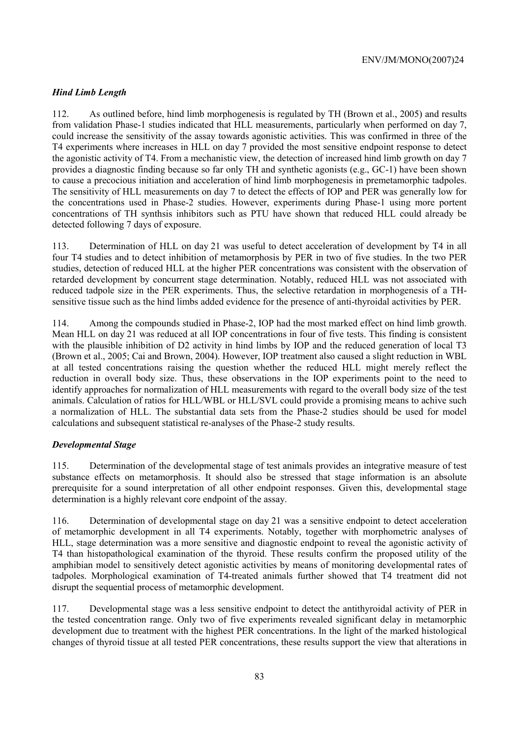# *Hind Limb Length*

112. As outlined before, hind limb morphogenesis is regulated by TH (Brown et al., 2005) and results from validation Phase-1 studies indicated that HLL measurements, particularly when performed on day 7, could increase the sensitivity of the assay towards agonistic activities. This was confirmed in three of the T4 experiments where increases in HLL on day 7 provided the most sensitive endpoint response to detect the agonistic activity of T4. From a mechanistic view, the detection of increased hind limb growth on day 7 provides a diagnostic finding because so far only TH and synthetic agonists (e.g., GC-1) have been shown to cause a precocious initiation and acceleration of hind limb morphogenesis in premetamorphic tadpoles. The sensitivity of HLL measurements on day 7 to detect the effects of IOP and PER was generally low for the concentrations used in Phase-2 studies. However, experiments during Phase-1 using more portent concentrations of TH synthsis inhibitors such as PTU have shown that reduced HLL could already be detected following 7 days of exposure.

113. Determination of HLL on day 21 was useful to detect acceleration of development by T4 in all four T4 studies and to detect inhibition of metamorphosis by PER in two of five studies. In the two PER studies, detection of reduced HLL at the higher PER concentrations was consistent with the observation of retarded development by concurrent stage determination. Notably, reduced HLL was not associated with reduced tadpole size in the PER experiments. Thus, the selective retardation in morphogenesis of a THsensitive tissue such as the hind limbs added evidence for the presence of anti-thyroidal activities by PER.

114. Among the compounds studied in Phase-2, IOP had the most marked effect on hind limb growth. Mean HLL on day 21 was reduced at all IOP concentrations in four of five tests. This finding is consistent with the plausible inhibition of D2 activity in hind limbs by IOP and the reduced generation of local T3 (Brown et al., 2005; Cai and Brown, 2004). However, IOP treatment also caused a slight reduction in WBL at all tested concentrations raising the question whether the reduced HLL might merely reflect the reduction in overall body size. Thus, these observations in the IOP experiments point to the need to identify approaches for normalization of HLL measurements with regard to the overall body size of the test animals. Calculation of ratios for HLL/WBL or HLL/SVL could provide a promising means to achive such a normalization of HLL. The substantial data sets from the Phase-2 studies should be used for model calculations and subsequent statistical re-analyses of the Phase-2 study results.

## *Developmental Stage*

115. Determination of the developmental stage of test animals provides an integrative measure of test substance effects on metamorphosis. It should also be stressed that stage information is an absolute prerequisite for a sound interpretation of all other endpoint responses. Given this, developmental stage determination is a highly relevant core endpoint of the assay.

116. Determination of developmental stage on day 21 was a sensitive endpoint to detect acceleration of metamorphic development in all T4 experiments. Notably, together with morphometric analyses of HLL, stage determination was a more sensitive and diagnostic endpoint to reveal the agonistic activity of T4 than histopathological examination of the thyroid. These results confirm the proposed utility of the amphibian model to sensitively detect agonistic activities by means of monitoring developmental rates of tadpoles. Morphological examination of T4-treated animals further showed that T4 treatment did not disrupt the sequential process of metamorphic development.

117. Developmental stage was a less sensitive endpoint to detect the antithyroidal activity of PER in the tested concentration range. Only two of five experiments revealed significant delay in metamorphic development due to treatment with the highest PER concentrations. In the light of the marked histological changes of thyroid tissue at all tested PER concentrations, these results support the view that alterations in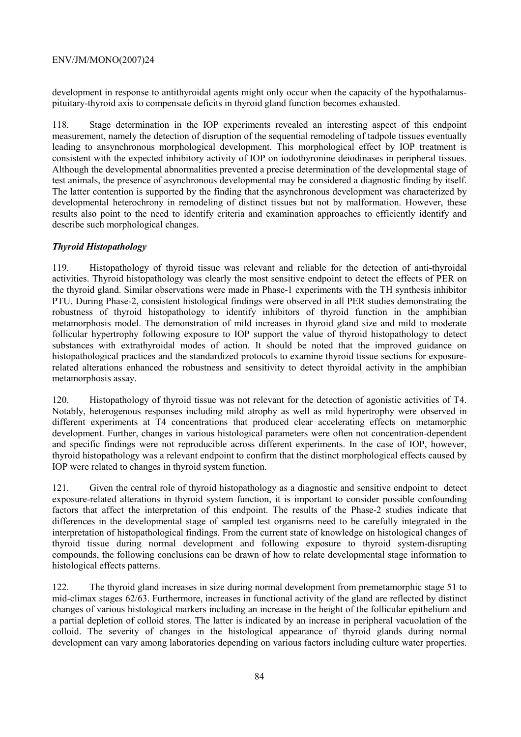development in response to antithyroidal agents might only occur when the capacity of the hypothalamuspituitary-thyroid axis to compensate deficits in thyroid gland function becomes exhausted.

118. Stage determination in the IOP experiments revealed an interesting aspect of this endpoint measurement, namely the detection of disruption of the sequential remodeling of tadpole tissues eventually leading to ansynchronous morphological development. This morphological effect by IOP treatment is consistent with the expected inhibitory activity of IOP on iodothyronine deiodinases in peripheral tissues. Although the developmental abnormalities prevented a precise determination of the developmental stage of test animals, the presence of asynchronous developmental may be considered a diagnostic finding by itself. The latter contention is supported by the finding that the asynchronous development was characterized by developmental heterochrony in remodeling of distinct tissues but not by malformation. However, these results also point to the need to identify criteria and examination approaches to efficiently identify and describe such morphological changes.

# *Thyroid Histopathology*

119. Histopathology of thyroid tissue was relevant and reliable for the detection of anti-thyroidal activities. Thyroid histopathology was clearly the most sensitive endpoint to detect the effects of PER on the thyroid gland. Similar observations were made in Phase-1 experiments with the TH synthesis inhibitor PTU. During Phase-2, consistent histological findings were observed in all PER studies demonstrating the robustness of thyroid histopathology to identify inhibitors of thyroid function in the amphibian metamorphosis model. The demonstration of mild increases in thyroid gland size and mild to moderate follicular hypertrophy following exposure to IOP support the value of thyroid histopathology to detect substances with extrathyroidal modes of action. It should be noted that the improved guidance on histopathological practices and the standardized protocols to examine thyroid tissue sections for exposurerelated alterations enhanced the robustness and sensitivity to detect thyroidal activity in the amphibian metamorphosis assay.

120. Histopathology of thyroid tissue was not relevant for the detection of agonistic activities of T4. Notably, heterogenous responses including mild atrophy as well as mild hypertrophy were observed in different experiments at T4 concentrations that produced clear accelerating effects on metamorphic development. Further, changes in various histological parameters were often not concentration-dependent and specific findings were not reproducible across different experiments. In the case of IOP, however, thyroid histopathology was a relevant endpoint to confirm that the distinct morphological effects caused by IOP were related to changes in thyroid system function.

121. Given the central role of thyroid histopathology as a diagnostic and sensitive endpoint to detect exposure-related alterations in thyroid system function, it is important to consider possible confounding factors that affect the interpretation of this endpoint. The results of the Phase-2 studies indicate that differences in the developmental stage of sampled test organisms need to be carefully integrated in the interpretation of histopathological findings. From the current state of knowledge on histological changes of thyroid tissue during normal development and following exposure to thyroid system-disrupting compounds, the following conclusions can be drawn of how to relate developmental stage information to histological effects patterns.

122. The thyroid gland increases in size during normal development from premetamorphic stage 51 to mid-climax stages 62/63. Furthermore, increases in functional activity of the gland are reflected by distinct changes of various histological markers including an increase in the height of the follicular epithelium and a partial depletion of colloid stores. The latter is indicated by an increase in peripheral vacuolation of the colloid. The severity of changes in the histological appearance of thyroid glands during normal development can vary among laboratories depending on various factors including culture water properties.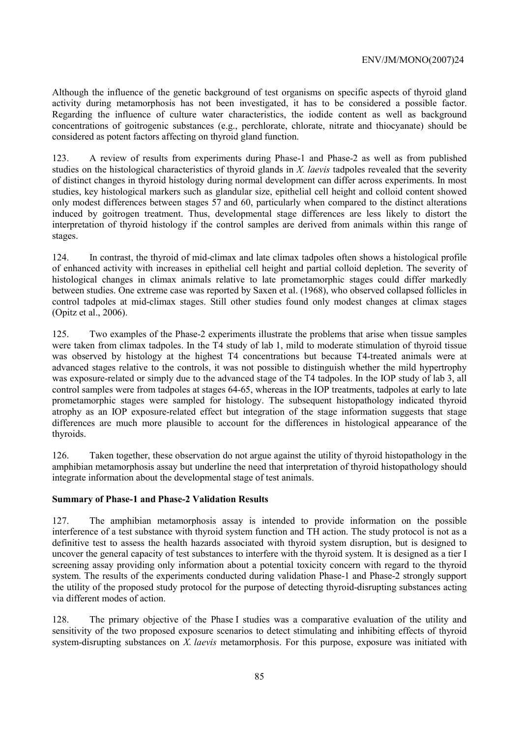Although the influence of the genetic background of test organisms on specific aspects of thyroid gland activity during metamorphosis has not been investigated, it has to be considered a possible factor. Regarding the influence of culture water characteristics, the iodide content as well as background concentrations of goitrogenic substances (e.g., perchlorate, chlorate, nitrate and thiocyanate) should be considered as potent factors affecting on thyroid gland function.

123. A review of results from experiments during Phase-1 and Phase-2 as well as from published studies on the histological characteristics of thyroid glands in *X. laevis* tadpoles revealed that the severity of distinct changes in thyroid histology during normal development can differ across experiments. In most studies, key histological markers such as glandular size, epithelial cell height and colloid content showed only modest differences between stages 57 and 60, particularly when compared to the distinct alterations induced by goitrogen treatment. Thus, developmental stage differences are less likely to distort the interpretation of thyroid histology if the control samples are derived from animals within this range of stages.

124. In contrast, the thyroid of mid-climax and late climax tadpoles often shows a histological profile of enhanced activity with increases in epithelial cell height and partial colloid depletion. The severity of histological changes in climax animals relative to late prometamorphic stages could differ markedly between studies. One extreme case was reported by Saxen et al. (1968), who observed collapsed follicles in control tadpoles at mid-climax stages. Still other studies found only modest changes at climax stages (Opitz et al., 2006).

125. Two examples of the Phase-2 experiments illustrate the problems that arise when tissue samples were taken from climax tadpoles. In the T4 study of lab 1, mild to moderate stimulation of thyroid tissue was observed by histology at the highest T4 concentrations but because T4-treated animals were at advanced stages relative to the controls, it was not possible to distinguish whether the mild hypertrophy was exposure-related or simply due to the advanced stage of the T4 tadpoles. In the IOP study of lab 3, all control samples were from tadpoles at stages 64-65, whereas in the IOP treatments, tadpoles at early to late prometamorphic stages were sampled for histology. The subsequent histopathology indicated thyroid atrophy as an IOP exposure-related effect but integration of the stage information suggests that stage differences are much more plausible to account for the differences in histological appearance of the thyroids.

126. Taken together, these observation do not argue against the utility of thyroid histopathology in the amphibian metamorphosis assay but underline the need that interpretation of thyroid histopathology should integrate information about the developmental stage of test animals.

#### **Summary of Phase-1 and Phase-2 Validation Results**

127. The amphibian metamorphosis assay is intended to provide information on the possible interference of a test substance with thyroid system function and TH action. The study protocol is not as a definitive test to assess the health hazards associated with thyroid system disruption, but is designed to uncover the general capacity of test substances to interfere with the thyroid system. It is designed as a tier I screening assay providing only information about a potential toxicity concern with regard to the thyroid system. The results of the experiments conducted during validation Phase-1 and Phase-2 strongly support the utility of the proposed study protocol for the purpose of detecting thyroid-disrupting substances acting via different modes of action.

128. The primary objective of the Phase I studies was a comparative evaluation of the utility and sensitivity of the two proposed exposure scenarios to detect stimulating and inhibiting effects of thyroid system-disrupting substances on *X. laevis* metamorphosis. For this purpose, exposure was initiated with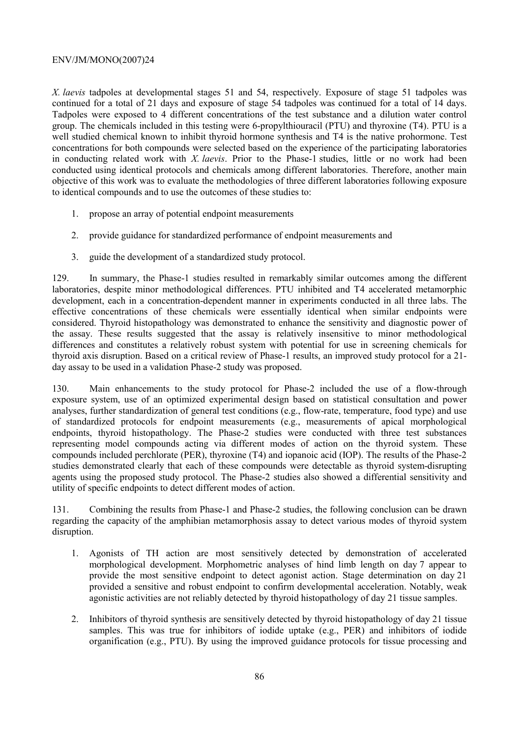*X. laevis* tadpoles at developmental stages 51 and 54, respectively. Exposure of stage 51 tadpoles was continued for a total of 21 days and exposure of stage 54 tadpoles was continued for a total of 14 days. Tadpoles were exposed to 4 different concentrations of the test substance and a dilution water control group. The chemicals included in this testing were 6-propylthiouracil (PTU) and thyroxine (T4). PTU is a well studied chemical known to inhibit thyroid hormone synthesis and T4 is the native prohormone. Test concentrations for both compounds were selected based on the experience of the participating laboratories in conducting related work with *X. laevis*. Prior to the Phase-1 studies, little or no work had been conducted using identical protocols and chemicals among different laboratories. Therefore, another main objective of this work was to evaluate the methodologies of three different laboratories following exposure to identical compounds and to use the outcomes of these studies to:

- 1. propose an array of potential endpoint measurements
- 2. provide guidance for standardized performance of endpoint measurements and
- 3. guide the development of a standardized study protocol.

129. In summary, the Phase-1 studies resulted in remarkably similar outcomes among the different laboratories, despite minor methodological differences. PTU inhibited and T4 accelerated metamorphic development, each in a concentration-dependent manner in experiments conducted in all three labs. The effective concentrations of these chemicals were essentially identical when similar endpoints were considered. Thyroid histopathology was demonstrated to enhance the sensitivity and diagnostic power of the assay. These results suggested that the assay is relatively insensitive to minor methodological differences and constitutes a relatively robust system with potential for use in screening chemicals for thyroid axis disruption. Based on a critical review of Phase-1 results, an improved study protocol for a 21 day assay to be used in a validation Phase-2 study was proposed.

130. Main enhancements to the study protocol for Phase-2 included the use of a flow-through exposure system, use of an optimized experimental design based on statistical consultation and power analyses, further standardization of general test conditions (e.g., flow-rate, temperature, food type) and use of standardized protocols for endpoint measurements (e.g., measurements of apical morphological endpoints, thyroid histopathology. The Phase-2 studies were conducted with three test substances representing model compounds acting via different modes of action on the thyroid system. These compounds included perchlorate (PER), thyroxine (T4) and iopanoic acid (IOP). The results of the Phase-2 studies demonstrated clearly that each of these compounds were detectable as thyroid system-disrupting agents using the proposed study protocol. The Phase-2 studies also showed a differential sensitivity and utility of specific endpoints to detect different modes of action.

131. Combining the results from Phase-1 and Phase-2 studies, the following conclusion can be drawn regarding the capacity of the amphibian metamorphosis assay to detect various modes of thyroid system disruption.

- 1. Agonists of TH action are most sensitively detected by demonstration of accelerated morphological development. Morphometric analyses of hind limb length on day 7 appear to provide the most sensitive endpoint to detect agonist action. Stage determination on day 21 provided a sensitive and robust endpoint to confirm developmental acceleration. Notably, weak agonistic activities are not reliably detected by thyroid histopathology of day 21 tissue samples.
- 2. Inhibitors of thyroid synthesis are sensitively detected by thyroid histopathology of day 21 tissue samples. This was true for inhibitors of iodide uptake (e.g., PER) and inhibitors of iodide organification (e.g., PTU). By using the improved guidance protocols for tissue processing and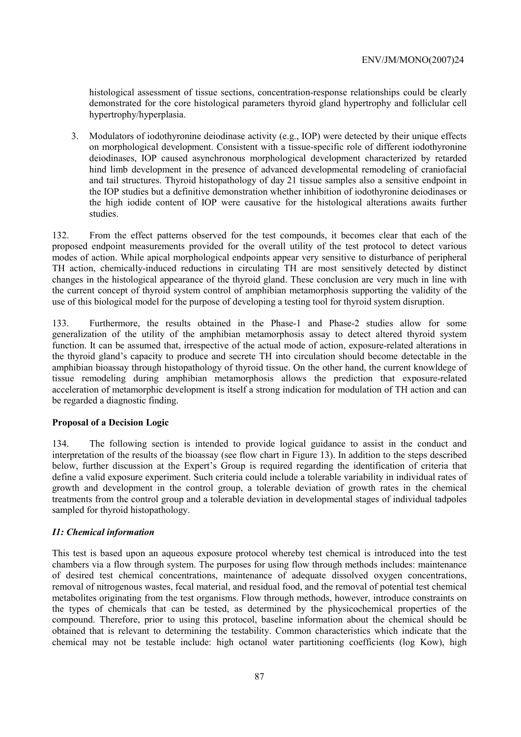histological assessment of tissue sections, concentration-response relationships could be clearly demonstrated for the core histological parameters thyroid gland hypertrophy and folliclular cell hypertrophy/hyperplasia.

3. Modulators of iodothyronine deiodinase activity (e.g., IOP) were detected by their unique effects on morphological development. Consistent with a tissue-specific role of different iodothyronine deiodinases, IOP caused asynchronous morphological development characterized by retarded hind limb development in the presence of advanced developmental remodeling of craniofacial and tail structures. Thyroid histopathology of day 21 tissue samples also a sensitive endpoint in the IOP studies but a definitive demonstration whether inhibition of iodothyronine deiodinases or the high iodide content of IOP were causative for the histological alterations awaits further studies.

132. From the effect patterns observed for the test compounds, it becomes clear that each of the proposed endpoint measurements provided for the overall utility of the test protocol to detect various modes of action. While apical morphological endpoints appear very sensitive to disturbance of peripheral TH action, chemically-induced reductions in circulating TH are most sensitively detected by distinct changes in the histological appearance of the thyroid gland. These conclusion are very much in line with the current concept of thyroid system control of amphibian metamorphosis supporting the validity of the use of this biological model for the purpose of developing a testing tool for thyroid system disruption.

133. Furthermore, the results obtained in the Phase-1 and Phase-2 studies allow for some generalization of the utility of the amphibian metamorphosis assay to detect altered thyroid system function. It can be assumed that, irrespective of the actual mode of action, exposure-related alterations in the thyroid gland's capacity to produce and secrete TH into circulation should become detectable in the amphibian bioassay through histopathology of thyroid tissue. On the other hand, the current knowldege of tissue remodeling during amphibian metamorphosis allows the prediction that exposure-related acceleration of metamorphic development is itself a strong indication for modulation of TH action and can be regarded a diagnostic finding.

## **Proposal of a Decision Logic**

134. The following section is intended to provide logical guidance to assist in the conduct and interpretation of the results of the bioassay (see flow chart in Figure 13). In addition to the steps described below, further discussion at the Expert's Group is required regarding the identification of criteria that define a valid exposure experiment. Such criteria could include a tolerable variability in individual rates of growth and development in the control group, a tolerable deviation of growth rates in the chemical treatments from the control group and a tolerable deviation in developmental stages of individual tadpoles sampled for thyroid histopathology.

## *I1: Chemical information*

This test is based upon an aqueous exposure protocol whereby test chemical is introduced into the test chambers via a flow through system. The purposes for using flow through methods includes: maintenance of desired test chemical concentrations, maintenance of adequate dissolved oxygen concentrations, removal of nitrogenous wastes, fecal material, and residual food, and the removal of potential test chemical metabolites originating from the test organisms. Flow through methods, however, introduce constraints on the types of chemicals that can be tested, as determined by the physicochemical properties of the compound. Therefore, prior to using this protocol, baseline information about the chemical should be obtained that is relevant to determining the testability. Common characteristics which indicate that the chemical may not be testable include: high octanol water partitioning coefficients (log Kow), high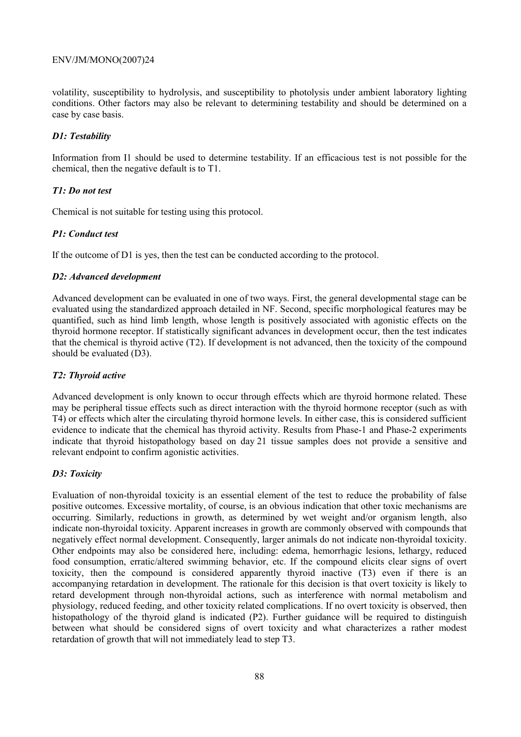volatility, susceptibility to hydrolysis, and susceptibility to photolysis under ambient laboratory lighting conditions. Other factors may also be relevant to determining testability and should be determined on a case by case basis.

# *D1: Testability*

Information from I1 should be used to determine testability. If an efficacious test is not possible for the chemical, then the negative default is to T1.

# *T1: Do not test*

Chemical is not suitable for testing using this protocol.

## *P1: Conduct test*

If the outcome of D1 is yes, then the test can be conducted according to the protocol.

## *D2: Advanced development*

Advanced development can be evaluated in one of two ways. First, the general developmental stage can be evaluated using the standardized approach detailed in NF. Second, specific morphological features may be quantified, such as hind limb length, whose length is positively associated with agonistic effects on the thyroid hormone receptor. If statistically significant advances in development occur, then the test indicates that the chemical is thyroid active (T2). If development is not advanced, then the toxicity of the compound should be evaluated (D3).

## *T2: Thyroid active*

Advanced development is only known to occur through effects which are thyroid hormone related. These may be peripheral tissue effects such as direct interaction with the thyroid hormone receptor (such as with T4) or effects which alter the circulating thyroid hormone levels. In either case, this is considered sufficient evidence to indicate that the chemical has thyroid activity. Results from Phase-1 and Phase-2 experiments indicate that thyroid histopathology based on day 21 tissue samples does not provide a sensitive and relevant endpoint to confirm agonistic activities.

## *D3: Toxicity*

Evaluation of non-thyroidal toxicity is an essential element of the test to reduce the probability of false positive outcomes. Excessive mortality, of course, is an obvious indication that other toxic mechanisms are occurring. Similarly, reductions in growth, as determined by wet weight and/or organism length, also indicate non-thyroidal toxicity. Apparent increases in growth are commonly observed with compounds that negatively effect normal development. Consequently, larger animals do not indicate non-thyroidal toxicity. Other endpoints may also be considered here, including: edema, hemorrhagic lesions, lethargy, reduced food consumption, erratic/altered swimming behavior, etc. If the compound elicits clear signs of overt toxicity, then the compound is considered apparently thyroid inactive (T3) even if there is an accompanying retardation in development. The rationale for this decision is that overt toxicity is likely to retard development through non-thyroidal actions, such as interference with normal metabolism and physiology, reduced feeding, and other toxicity related complications. If no overt toxicity is observed, then histopathology of the thyroid gland is indicated (P2). Further guidance will be required to distinguish between what should be considered signs of overt toxicity and what characterizes a rather modest retardation of growth that will not immediately lead to step T3.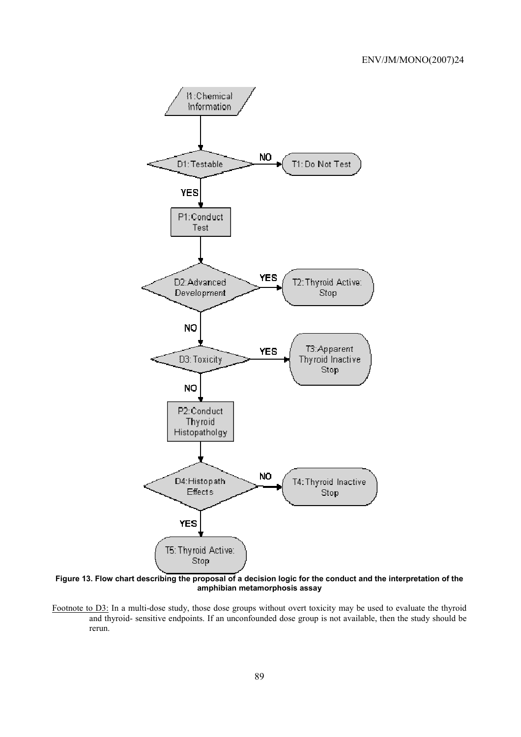

**Figure 13. Flow chart describing the proposal of a decision logic for the conduct and the interpretation of the amphibian metamorphosis assay** 

Footnote to D3: In a multi-dose study, those dose groups without overt toxicity may be used to evaluate the thyroid and thyroid- sensitive endpoints. If an unconfounded dose group is not available, then the study should be rerun.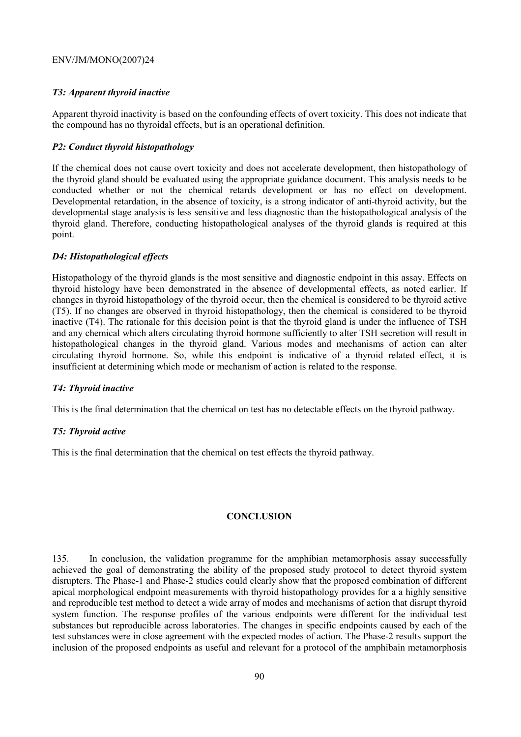# *T3: Apparent thyroid inactive*

Apparent thyroid inactivity is based on the confounding effects of overt toxicity. This does not indicate that the compound has no thyroidal effects, but is an operational definition.

## *P2: Conduct thyroid histopathology*

If the chemical does not cause overt toxicity and does not accelerate development, then histopathology of the thyroid gland should be evaluated using the appropriate guidance document. This analysis needs to be conducted whether or not the chemical retards development or has no effect on development. Developmental retardation, in the absence of toxicity, is a strong indicator of anti-thyroid activity, but the developmental stage analysis is less sensitive and less diagnostic than the histopathological analysis of the thyroid gland. Therefore, conducting histopathological analyses of the thyroid glands is required at this point.

# *D4: Histopathological effects*

Histopathology of the thyroid glands is the most sensitive and diagnostic endpoint in this assay. Effects on thyroid histology have been demonstrated in the absence of developmental effects, as noted earlier. If changes in thyroid histopathology of the thyroid occur, then the chemical is considered to be thyroid active (T5). If no changes are observed in thyroid histopathology, then the chemical is considered to be thyroid inactive (T4). The rationale for this decision point is that the thyroid gland is under the influence of TSH and any chemical which alters circulating thyroid hormone sufficiently to alter TSH secretion will result in histopathological changes in the thyroid gland. Various modes and mechanisms of action can alter circulating thyroid hormone. So, while this endpoint is indicative of a thyroid related effect, it is insufficient at determining which mode or mechanism of action is related to the response.

## *T4: Thyroid inactive*

This is the final determination that the chemical on test has no detectable effects on the thyroid pathway.

## *T5: Thyroid active*

This is the final determination that the chemical on test effects the thyroid pathway.

# **CONCLUSION**

135. In conclusion, the validation programme for the amphibian metamorphosis assay successfully achieved the goal of demonstrating the ability of the proposed study protocol to detect thyroid system disrupters. The Phase-1 and Phase-2 studies could clearly show that the proposed combination of different apical morphological endpoint measurements with thyroid histopathology provides for a a highly sensitive and reproducible test method to detect a wide array of modes and mechanisms of action that disrupt thyroid system function. The response profiles of the various endpoints were different for the individual test substances but reproducible across laboratories. The changes in specific endpoints caused by each of the test substances were in close agreement with the expected modes of action. The Phase-2 results support the inclusion of the proposed endpoints as useful and relevant for a protocol of the amphibain metamorphosis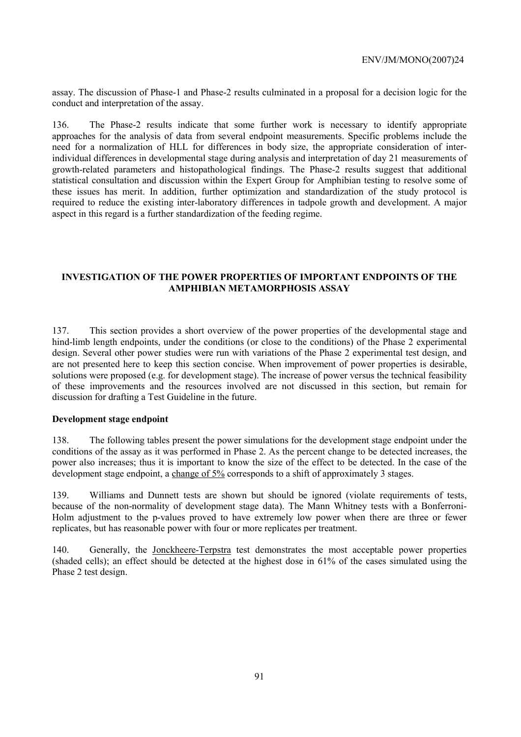assay. The discussion of Phase-1 and Phase-2 results culminated in a proposal for a decision logic for the conduct and interpretation of the assay.

136. The Phase-2 results indicate that some further work is necessary to identify appropriate approaches for the analysis of data from several endpoint measurements. Specific problems include the need for a normalization of HLL for differences in body size, the appropriate consideration of interindividual differences in developmental stage during analysis and interpretation of day 21 measurements of growth-related parameters and histopathological findings. The Phase-2 results suggest that additional statistical consultation and discussion within the Expert Group for Amphibian testing to resolve some of these issues has merit. In addition, further optimization and standardization of the study protocol is required to reduce the existing inter-laboratory differences in tadpole growth and development. A major aspect in this regard is a further standardization of the feeding regime.

## **INVESTIGATION OF THE POWER PROPERTIES OF IMPORTANT ENDPOINTS OF THE AMPHIBIAN METAMORPHOSIS ASSAY**

137. This section provides a short overview of the power properties of the developmental stage and hind-limb length endpoints, under the conditions (or close to the conditions) of the Phase 2 experimental design. Several other power studies were run with variations of the Phase 2 experimental test design, and are not presented here to keep this section concise. When improvement of power properties is desirable, solutions were proposed (e.g. for development stage). The increase of power versus the technical feasibility of these improvements and the resources involved are not discussed in this section, but remain for discussion for drafting a Test Guideline in the future.

#### **Development stage endpoint**

138. The following tables present the power simulations for the development stage endpoint under the conditions of the assay as it was performed in Phase 2. As the percent change to be detected increases, the power also increases; thus it is important to know the size of the effect to be detected. In the case of the development stage endpoint, a change of 5% corresponds to a shift of approximately 3 stages.

139. Williams and Dunnett tests are shown but should be ignored (violate requirements of tests, because of the non-normality of development stage data). The Mann Whitney tests with a Bonferroni-Holm adjustment to the p-values proved to have extremely low power when there are three or fewer replicates, but has reasonable power with four or more replicates per treatment.

140. Generally, the Jonckheere-Terpstra test demonstrates the most acceptable power properties (shaded cells); an effect should be detected at the highest dose in 61% of the cases simulated using the Phase 2 test design.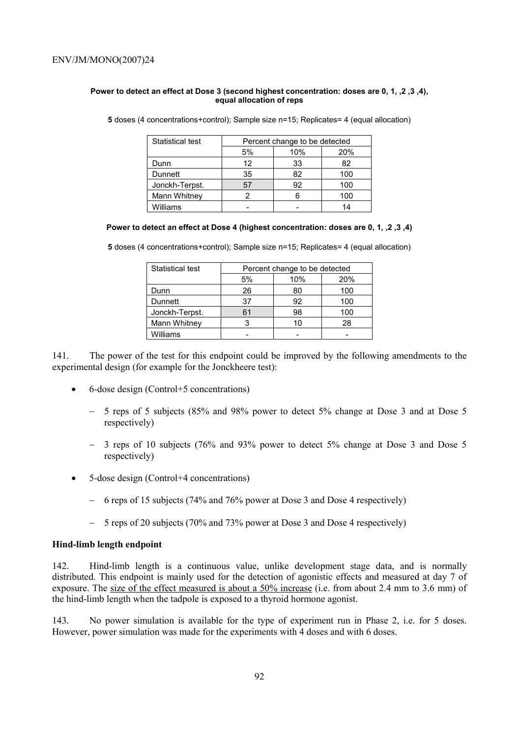#### **Power to detect an effect at Dose 3 (second highest concentration: doses are 0, 1, ,2 ,3 ,4), equal allocation of reps**

| Statistical test | Percent change to be detected |     |     |  |  |  |
|------------------|-------------------------------|-----|-----|--|--|--|
|                  | 5%                            | 10% | 20% |  |  |  |
| Dunn             | 12                            | 33  | 82  |  |  |  |
| <b>Dunnett</b>   | 35                            | 82  | 100 |  |  |  |
| Jonckh-Terpst.   |                               | 92  | 100 |  |  |  |
| Mann Whitney     |                               |     | 100 |  |  |  |
| Williams         |                               |     |     |  |  |  |

**5** doses (4 concentrations+control); Sample size n=15; Replicates= 4 (equal allocation)

#### **Power to detect an effect at Dose 4 (highest concentration: doses are 0, 1, ,2 ,3 ,4)**

**5** doses (4 concentrations+control); Sample size n=15; Replicates= 4 (equal allocation)

| Statistical test | Percent change to be detected |     |     |  |  |
|------------------|-------------------------------|-----|-----|--|--|
|                  | 5%                            | 10% | 20% |  |  |
| Dunn             | 26                            | 80  | 100 |  |  |
| <b>Dunnett</b>   | 37                            | 92  | 100 |  |  |
| Jonckh-Terpst.   | 61                            | 98  | 100 |  |  |
| Mann Whitney     |                               | 10  | 28  |  |  |
| Williams         |                               |     |     |  |  |

141. The power of the test for this endpoint could be improved by the following amendments to the experimental design (for example for the Jonckheere test):

- 6-dose design (Control+5 concentrations)
	- 5 reps of 5 subjects (85% and 98% power to detect 5% change at Dose 3 and at Dose 5 respectively)
	- − 3 reps of 10 subjects (76% and 93% power to detect 5% change at Dose 3 and Dose 5 respectively)
- 5-dose design (Control+4 concentrations)
	- − 6 reps of 15 subjects (74% and 76% power at Dose 3 and Dose 4 respectively)
	- − 5 reps of 20 subjects (70% and 73% power at Dose 3 and Dose 4 respectively)

#### **Hind-limb length endpoint**

142. Hind-limb length is a continuous value, unlike development stage data, and is normally distributed. This endpoint is mainly used for the detection of agonistic effects and measured at day 7 of exposure. The size of the effect measured is about a 50% increase (i.e. from about 2.4 mm to 3.6 mm) of the hind-limb length when the tadpole is exposed to a thyroid hormone agonist.

143. No power simulation is available for the type of experiment run in Phase 2, i.e. for 5 doses. However, power simulation was made for the experiments with 4 doses and with 6 doses.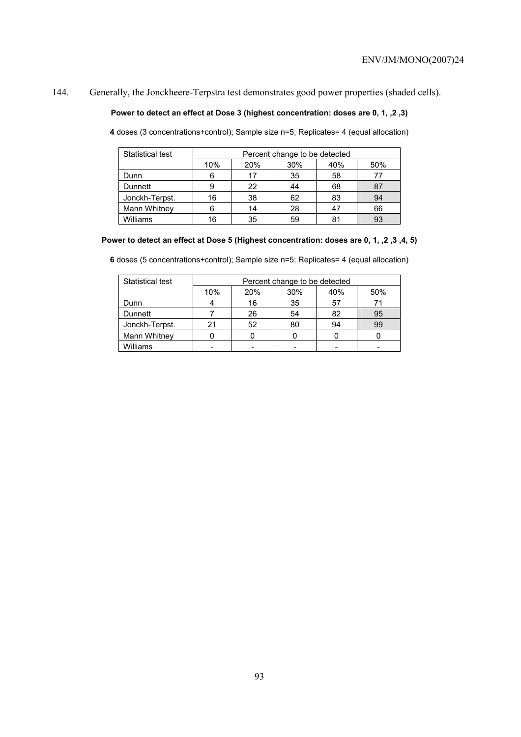144. Generally, the Jonckheere-Terpstra test demonstrates good power properties (shaded cells).

#### **Power to detect an effect at Dose 3 (highest concentration: doses are 0, 1, ,2 ,3)**

**4** doses (3 concentrations+control); Sample size n=5; Replicates= 4 (equal allocation)

| Statistical test | Percent change to be detected |     |     |     |     |  |
|------------------|-------------------------------|-----|-----|-----|-----|--|
|                  | 10%                           | 20% | 30% | 40% | 50% |  |
| Dunn             |                               | 17  | 35  | 58  |     |  |
| Dunnett          |                               | 22  | 44  | 68  |     |  |
| Jonckh-Terpst.   | 16                            | 38  | 62  | 83  | 94  |  |
| Mann Whitney     |                               | 14  | 28  |     | 66  |  |
| Williams         | 16                            | 35  | 59  |     | 93  |  |

#### **Power to detect an effect at Dose 5 (Highest concentration: doses are 0, 1, ,2 ,3 ,4, 5)**

**6** doses (5 concentrations+control); Sample size n=5; Replicates= 4 (equal allocation)

| Statistical test | Percent change to be detected |     |     |     |     |  |
|------------------|-------------------------------|-----|-----|-----|-----|--|
|                  | 10%                           | 20% | 30% | 40% | 50% |  |
| Dunn             |                               | 16  | 35  | 57  |     |  |
| Dunnett          |                               | 26  | 54  | 82  | 95  |  |
| Jonckh-Terpst.   | 21                            | 52  | 80  | 94  | 99  |  |
| Mann Whitney     |                               |     |     |     |     |  |
| Williams         |                               |     |     |     |     |  |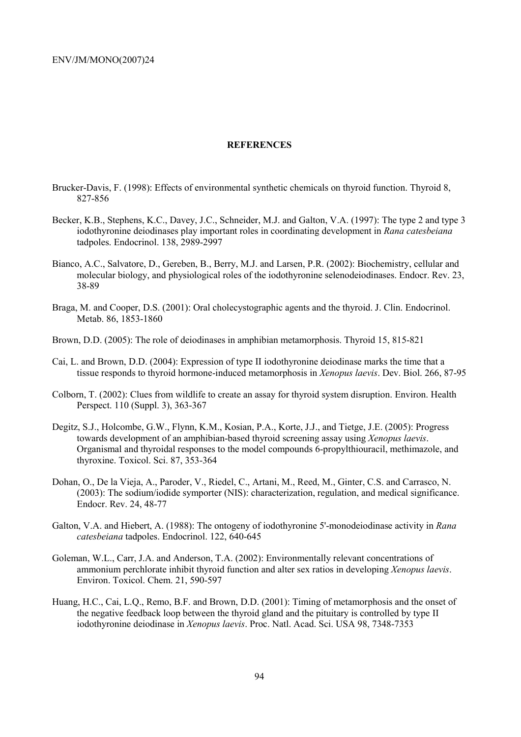#### **REFERENCES**

- Brucker-Davis, F. (1998): Effects of environmental synthetic chemicals on thyroid function. Thyroid 8, 827-856
- Becker, K.B., Stephens, K.C., Davey, J.C., Schneider, M.J. and Galton, V.A. (1997): The type 2 and type 3 iodothyronine deiodinases play important roles in coordinating development in *Rana catesbeiana* tadpoles. Endocrinol. 138, 2989-2997
- Bianco, A.C., Salvatore, D., Gereben, B., Berry, M.J. and Larsen, P.R. (2002): Biochemistry, cellular and molecular biology, and physiological roles of the iodothyronine selenodeiodinases. Endocr. Rev. 23, 38-89
- Braga, M. and Cooper, D.S. (2001): Oral cholecystographic agents and the thyroid. J. Clin. Endocrinol. Metab. 86, 1853-1860
- Brown, D.D. (2005): The role of deiodinases in amphibian metamorphosis. Thyroid 15, 815-821
- Cai, L. and Brown, D.D. (2004): Expression of type II iodothyronine deiodinase marks the time that a tissue responds to thyroid hormone-induced metamorphosis in *Xenopus laevis*. Dev. Biol. 266, 87-95
- Colborn, T. (2002): Clues from wildlife to create an assay for thyroid system disruption. Environ. Health Perspect. 110 (Suppl. 3), 363-367
- Degitz, S.J., Holcombe, G.W., Flynn, K.M., Kosian, P.A., Korte, J.J., and Tietge, J.E. (2005): Progress towards development of an amphibian-based thyroid screening assay using *Xenopus laevis*. Organismal and thyroidal responses to the model compounds 6-propylthiouracil, methimazole, and thyroxine. Toxicol. Sci. 87, 353-364
- Dohan, O., De la Vieja, A., Paroder, V., Riedel, C., Artani, M., Reed, M., Ginter, C.S. and Carrasco, N. (2003): The sodium/iodide symporter (NIS): characterization, regulation, and medical significance. Endocr. Rev. 24, 48-77
- Galton, V.A. and Hiebert, A. (1988): The ontogeny of iodothyronine 5'-monodeiodinase activity in *Rana catesbeiana* tadpoles. Endocrinol. 122, 640-645
- Goleman, W.L., Carr, J.A. and Anderson, T.A. (2002): Environmentally relevant concentrations of ammonium perchlorate inhibit thyroid function and alter sex ratios in developing *Xenopus laevis*. Environ. Toxicol. Chem. 21, 590-597
- Huang, H.C., Cai, L.Q., Remo, B.F. and Brown, D.D. (2001): Timing of metamorphosis and the onset of the negative feedback loop between the thyroid gland and the pituitary is controlled by type II iodothyronine deiodinase in *Xenopus laevis*. Proc. Natl. Acad. Sci. USA 98, 7348-7353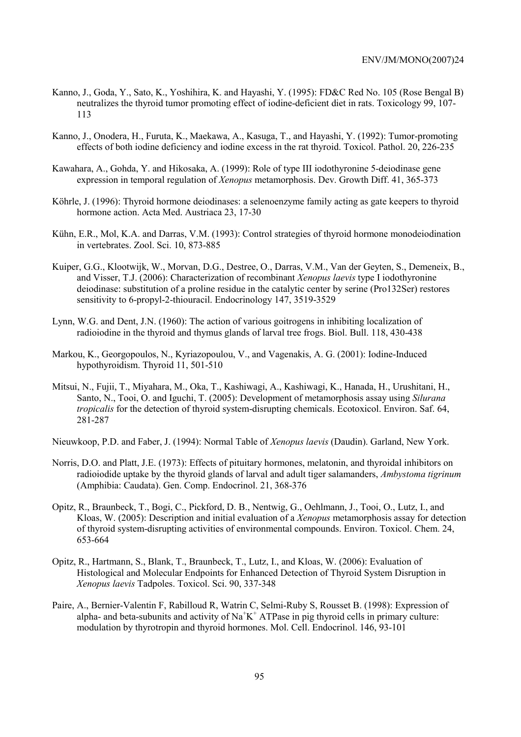- Kanno, J., Goda, Y., Sato, K., Yoshihira, K. and Hayashi, Y. (1995): FD&C Red No. 105 (Rose Bengal B) neutralizes the thyroid tumor promoting effect of iodine-deficient diet in rats. Toxicology 99, 107- 113
- Kanno, J., Onodera, H., Furuta, K., Maekawa, A., Kasuga, T., and Hayashi, Y. (1992): Tumor-promoting effects of both iodine deficiency and iodine excess in the rat thyroid. Toxicol. Pathol. 20, 226-235
- Kawahara, A., Gohda, Y. and Hikosaka, A. (1999): Role of type III iodothyronine 5-deiodinase gene expression in temporal regulation of *Xenopus* metamorphosis. Dev. Growth Diff. 41, 365-373
- Köhrle, J. (1996): Thyroid hormone deiodinases: a selenoenzyme family acting as gate keepers to thyroid hormone action. Acta Med. Austriaca 23, 17-30
- Kühn, E.R., Mol, K.A. and Darras, V.M. (1993): Control strategies of thyroid hormone monodeiodination in vertebrates. Zool. Sci. 10, 873-885
- Kuiper, G.G., Klootwijk, W., Morvan, D.G., Destree, O., Darras, V.M., Van der Geyten, S., Demeneix, B., and Visser, T.J. (2006): Characterization of recombinant *Xenopus laevis* type I iodothyronine deiodinase: substitution of a proline residue in the catalytic center by serine (Pro132Ser) restores sensitivity to 6-propyl-2-thiouracil. Endocrinology 147, 3519-3529
- Lynn, W.G. and Dent, J.N. (1960): The action of various goitrogens in inhibiting localization of radioiodine in the thyroid and thymus glands of larval tree frogs. Biol. Bull. 118, 430-438
- Markou, K., Georgopoulos, N., Kyriazopoulou, V., and Vagenakis, A. G. (2001): Iodine-Induced hypothyroidism. Thyroid 11, 501-510
- Mitsui, N., Fujii, T., Miyahara, M., Oka, T., Kashiwagi, A., Kashiwagi, K., Hanada, H., Urushitani, H., Santo, N., Tooi, O. and Iguchi, T. (2005): Development of metamorphosis assay using *Silurana tropicalis* for the detection of thyroid system-disrupting chemicals. Ecotoxicol. Environ. Saf. 64, 281-287
- Nieuwkoop, P.D. and Faber, J. (1994): Normal Table of *Xenopus laevis* (Daudin). Garland, New York.
- Norris, D.O. and Platt, J.E. (1973): Effects of pituitary hormones, melatonin, and thyroidal inhibitors on radioiodide uptake by the thyroid glands of larval and adult tiger salamanders, *Ambystoma tigrinum*  (Amphibia: Caudata). Gen. Comp. Endocrinol. 21, 368-376
- Opitz, R., Braunbeck, T., Bogi, C., Pickford, D. B., Nentwig, G., Oehlmann, J., Tooi, O., Lutz, I., and Kloas, W. (2005): Description and initial evaluation of a *Xenopus* metamorphosis assay for detection of thyroid system-disrupting activities of environmental compounds. Environ. Toxicol. Chem. 24, 653-664
- Opitz, R., Hartmann, S., Blank, T., Braunbeck, T., Lutz, I., and Kloas, W. (2006): Evaluation of Histological and Molecular Endpoints for Enhanced Detection of Thyroid System Disruption in *Xenopus laevis* Tadpoles. Toxicol. Sci. 90, 337-348
- Paire, A., Bernier-Valentin F, Rabilloud R, Watrin C, Selmi-Ruby S, Rousset B. (1998): Expression of alpha- and beta-subunits and activity of  $Na<sup>+</sup>K<sup>+</sup> ATP$  as in pig thyroid cells in primary culture: modulation by thyrotropin and thyroid hormones. Mol. Cell. Endocrinol. 146, 93-101